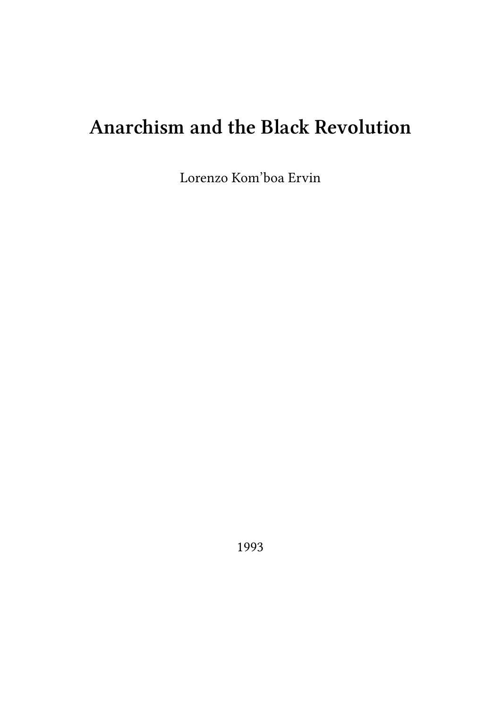# **Anarchism and the Black Revolution**

Lorenzo Kom'boa Ervin

1993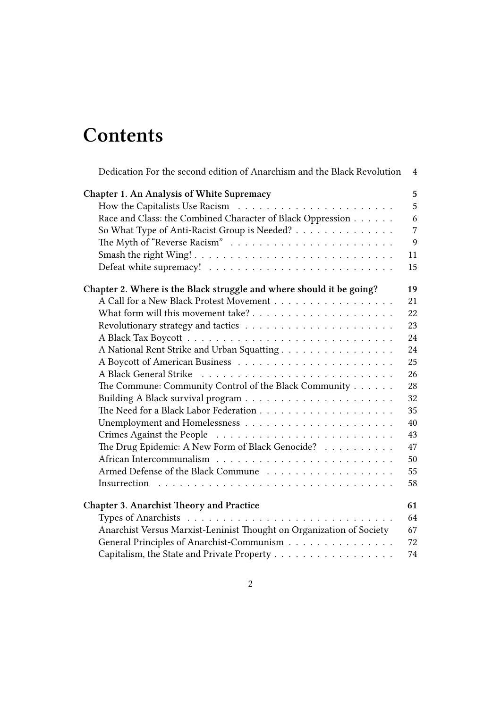# **Contents**

| Dedication For the second edition of Anarchism and the Black Revolution | 4              |
|-------------------------------------------------------------------------|----------------|
| <b>Chapter 1. An Analysis of White Supremacy</b>                        | 5              |
|                                                                         | 5              |
| Race and Class: the Combined Character of Black Oppression              | 6              |
| So What Type of Anti-Racist Group is Needed?                            | $\overline{7}$ |
|                                                                         | 9              |
|                                                                         | 11             |
|                                                                         | 15             |
| Chapter 2. Where is the Black struggle and where should it be going?    | 19             |
| A Call for a New Black Protest Movement                                 | 21             |
|                                                                         | 22             |
|                                                                         | 23             |
|                                                                         | 24             |
| A National Rent Strike and Urban Squatting                              | 24             |
|                                                                         | 25             |
| A Black General Strike                                                  | 26             |
| The Commune: Community Control of the Black Community                   | 28             |
|                                                                         | 32             |
|                                                                         | 35             |
|                                                                         | 40             |
|                                                                         | 43             |
| The Drug Epidemic: A New Form of Black Genocide?                        | 47             |
|                                                                         | 50             |
|                                                                         | 55             |
|                                                                         | 58             |
| <b>Chapter 3. Anarchist Theory and Practice</b>                         | 61             |
|                                                                         | 64             |
| Anarchist Versus Marxist-Leninist Thought on Organization of Society    | 67             |
| General Principles of Anarchist-Communism                               | 72             |
| Capitalism, the State and Private Property                              | 74             |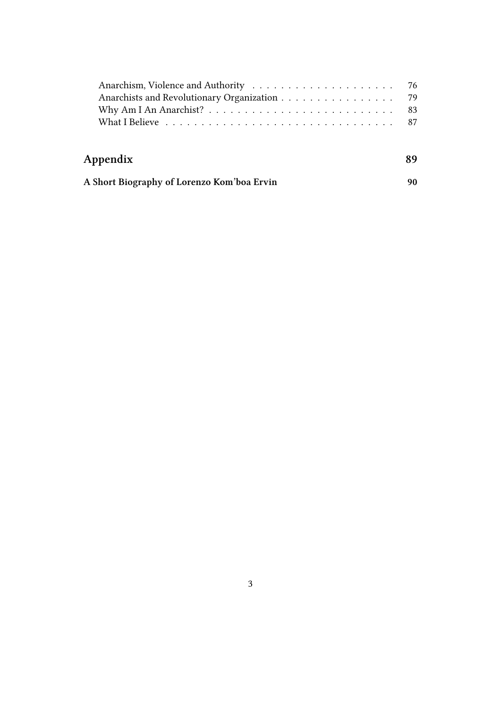| Appendix                                   |  |
|--------------------------------------------|--|
| A Short Biography of Lorenzo Kom'boa Ervin |  |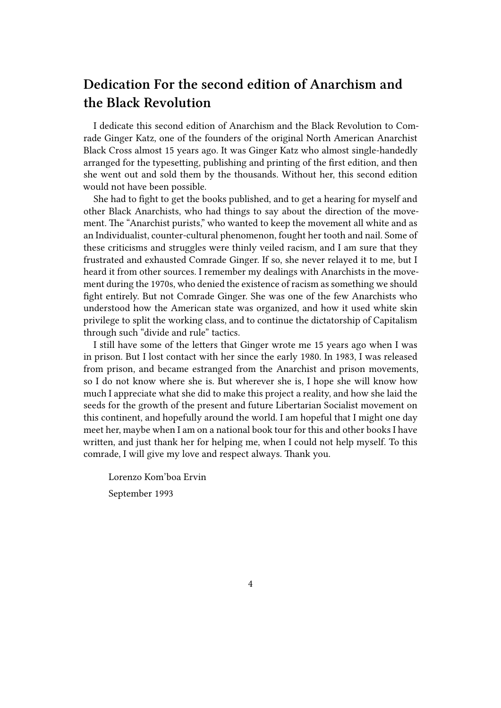## <span id="page-3-0"></span>**Dedication For the second edition of Anarchism and the Black Revolution**

I dedicate this second edition of Anarchism and the Black Revolution to Comrade Ginger Katz, one of the founders of the original North American Anarchist Black Cross almost 15 years ago. It was Ginger Katz who almost single-handedly arranged for the typesetting, publishing and printing of the first edition, and then she went out and sold them by the thousands. Without her, this second edition would not have been possible.

She had to fight to get the books published, and to get a hearing for myself and other Black Anarchists, who had things to say about the direction of the movement. The "Anarchist purists," who wanted to keep the movement all white and as an Individualist, counter-cultural phenomenon, fought her tooth and nail. Some of these criticisms and struggles were thinly veiled racism, and I am sure that they frustrated and exhausted Comrade Ginger. If so, she never relayed it to me, but I heard it from other sources. I remember my dealings with Anarchists in the movement during the 1970s, who denied the existence of racism as something we should fight entirely. But not Comrade Ginger. She was one of the few Anarchists who understood how the American state was organized, and how it used white skin privilege to split the working class, and to continue the dictatorship of Capitalism through such "divide and rule" tactics.

I still have some of the letters that Ginger wrote me 15 years ago when I was in prison. But I lost contact with her since the early 1980. In 1983, I was released from prison, and became estranged from the Anarchist and prison movements, so I do not know where she is. But wherever she is, I hope she will know how much I appreciate what she did to make this project a reality, and how she laid the seeds for the growth of the present and future Libertarian Socialist movement on this continent, and hopefully around the world. I am hopeful that I might one day meet her, maybe when I am on a national book tour for this and other books I have written, and just thank her for helping me, when I could not help myself. To this comrade, I will give my love and respect always. Thank you.

Lorenzo Kom'boa Ervin September 1993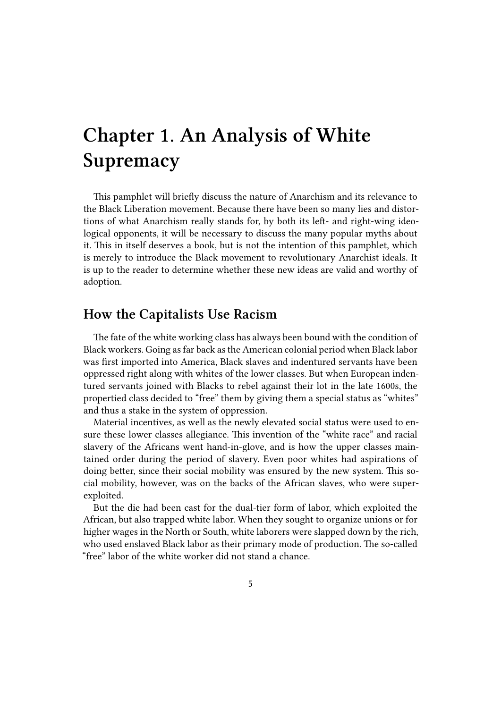# <span id="page-4-0"></span>**Chapter 1. An Analysis of White Supremacy**

This pamphlet will briefly discuss the nature of Anarchism and its relevance to the Black Liberation movement. Because there have been so many lies and distortions of what Anarchism really stands for, by both its left- and right-wing ideological opponents, it will be necessary to discuss the many popular myths about it. This in itself deserves a book, but is not the intention of this pamphlet, which is merely to introduce the Black movement to revolutionary Anarchist ideals. It is up to the reader to determine whether these new ideas are valid and worthy of adoption.

#### <span id="page-4-1"></span>**How the Capitalists Use Racism**

The fate of the white working class has always been bound with the condition of Black workers. Going as far back as the American colonial period when Black labor was first imported into America, Black slaves and indentured servants have been oppressed right along with whites of the lower classes. But when European indentured servants joined with Blacks to rebel against their lot in the late 1600s, the propertied class decided to "free" them by giving them a special status as "whites" and thus a stake in the system of oppression.

Material incentives, as well as the newly elevated social status were used to ensure these lower classes allegiance. This invention of the "white race" and racial slavery of the Africans went hand-in-glove, and is how the upper classes maintained order during the period of slavery. Even poor whites had aspirations of doing better, since their social mobility was ensured by the new system. This social mobility, however, was on the backs of the African slaves, who were superexploited.

But the die had been cast for the dual-tier form of labor, which exploited the African, but also trapped white labor. When they sought to organize unions or for higher wages in the North or South, white laborers were slapped down by the rich, who used enslaved Black labor as their primary mode of production. The so-called "free" labor of the white worker did not stand a chance.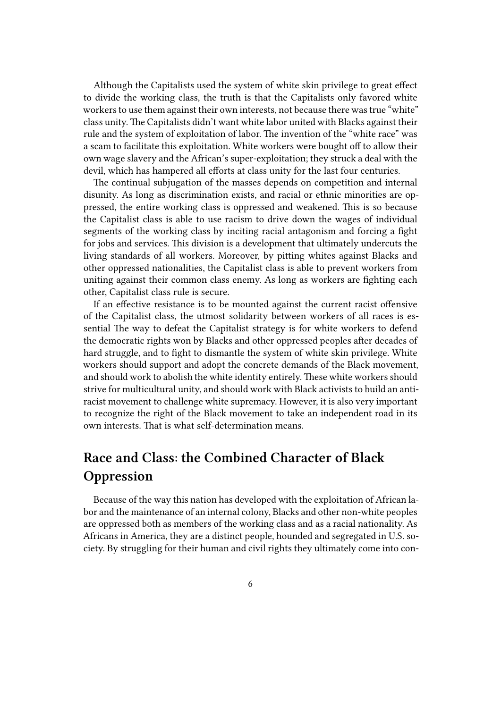Although the Capitalists used the system of white skin privilege to great effect to divide the working class, the truth is that the Capitalists only favored white workers to use them against their own interests, not because there was true "white" class unity. The Capitalists didn't want white labor united with Blacks against their rule and the system of exploitation of labor. The invention of the "white race" was a scam to facilitate this exploitation. White workers were bought off to allow their own wage slavery and the African's super-exploitation; they struck a deal with the devil, which has hampered all efforts at class unity for the last four centuries.

The continual subjugation of the masses depends on competition and internal disunity. As long as discrimination exists, and racial or ethnic minorities are oppressed, the entire working class is oppressed and weakened. This is so because the Capitalist class is able to use racism to drive down the wages of individual segments of the working class by inciting racial antagonism and forcing a fight for jobs and services. This division is a development that ultimately undercuts the living standards of all workers. Moreover, by pitting whites against Blacks and other oppressed nationalities, the Capitalist class is able to prevent workers from uniting against their common class enemy. As long as workers are fighting each other, Capitalist class rule is secure.

If an effective resistance is to be mounted against the current racist offensive of the Capitalist class, the utmost solidarity between workers of all races is essential The way to defeat the Capitalist strategy is for white workers to defend the democratic rights won by Blacks and other oppressed peoples after decades of hard struggle, and to fight to dismantle the system of white skin privilege. White workers should support and adopt the concrete demands of the Black movement, and should work to abolish the white identity entirely. These white workers should strive for multicultural unity, and should work with Black activists to build an antiracist movement to challenge white supremacy. However, it is also very important to recognize the right of the Black movement to take an independent road in its own interests. That is what self-determination means.

# <span id="page-5-0"></span>**Race and Class: the Combined Character of Black Oppression**

Because of the way this nation has developed with the exploitation of African labor and the maintenance of an internal colony, Blacks and other non-white peoples are oppressed both as members of the working class and as a racial nationality. As Africans in America, they are a distinct people, hounded and segregated in U.S. society. By struggling for their human and civil rights they ultimately come into con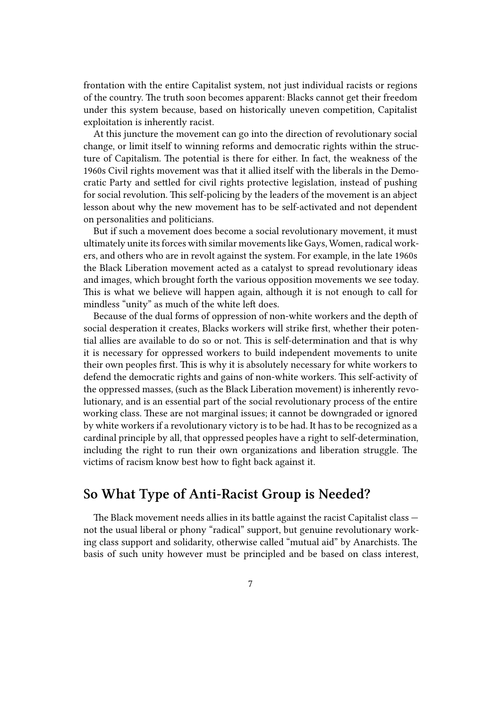frontation with the entire Capitalist system, not just individual racists or regions of the country. The truth soon becomes apparent: Blacks cannot get their freedom under this system because, based on historically uneven competition, Capitalist exploitation is inherently racist.

At this juncture the movement can go into the direction of revolutionary social change, or limit itself to winning reforms and democratic rights within the structure of Capitalism. The potential is there for either. In fact, the weakness of the 1960s Civil rights movement was that it allied itself with the liberals in the Democratic Party and settled for civil rights protective legislation, instead of pushing for social revolution. This self-policing by the leaders of the movement is an abject lesson about why the new movement has to be self-activated and not dependent on personalities and politicians.

But if such a movement does become a social revolutionary movement, it must ultimately unite its forces with similar movements like Gays, Women, radical workers, and others who are in revolt against the system. For example, in the late 1960s the Black Liberation movement acted as a catalyst to spread revolutionary ideas and images, which brought forth the various opposition movements we see today. This is what we believe will happen again, although it is not enough to call for mindless "unity" as much of the white left does.

Because of the dual forms of oppression of non-white workers and the depth of social desperation it creates, Blacks workers will strike first, whether their potential allies are available to do so or not. This is self-determination and that is why it is necessary for oppressed workers to build independent movements to unite their own peoples first. This is why it is absolutely necessary for white workers to defend the democratic rights and gains of non-white workers. This self-activity of the oppressed masses, (such as the Black Liberation movement) is inherently revolutionary, and is an essential part of the social revolutionary process of the entire working class. These are not marginal issues; it cannot be downgraded or ignored by white workers if a revolutionary victory is to be had. It has to be recognized as a cardinal principle by all, that oppressed peoples have a right to self-determination, including the right to run their own organizations and liberation struggle. The victims of racism know best how to fight back against it.

#### <span id="page-6-0"></span>**So What Type of Anti-Racist Group is Needed?**

The Black movement needs allies in its battle against the racist Capitalist class not the usual liberal or phony "radical" support, but genuine revolutionary working class support and solidarity, otherwise called "mutual aid" by Anarchists. The basis of such unity however must be principled and be based on class interest,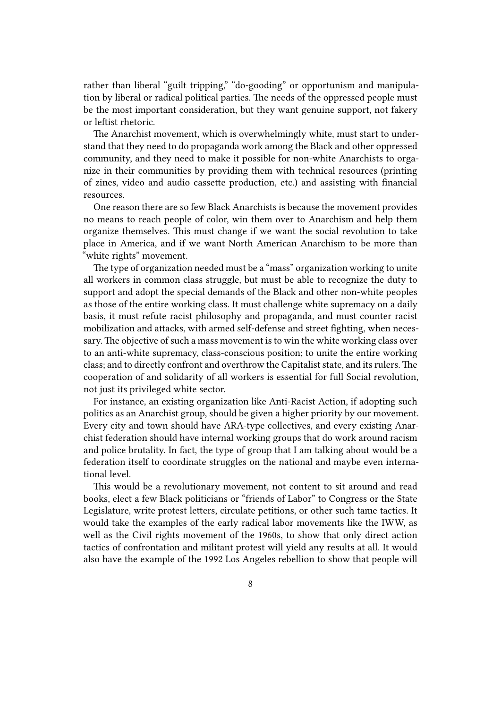rather than liberal "guilt tripping," "do-gooding" or opportunism and manipulation by liberal or radical political parties. The needs of the oppressed people must be the most important consideration, but they want genuine support, not fakery or leftist rhetoric.

The Anarchist movement, which is overwhelmingly white, must start to understand that they need to do propaganda work among the Black and other oppressed community, and they need to make it possible for non-white Anarchists to organize in their communities by providing them with technical resources (printing of zines, video and audio cassette production, etc.) and assisting with financial resources.

One reason there are so few Black Anarchists is because the movement provides no means to reach people of color, win them over to Anarchism and help them organize themselves. This must change if we want the social revolution to take place in America, and if we want North American Anarchism to be more than "white rights" movement.

The type of organization needed must be a "mass" organization working to unite all workers in common class struggle, but must be able to recognize the duty to support and adopt the special demands of the Black and other non-white peoples as those of the entire working class. It must challenge white supremacy on a daily basis, it must refute racist philosophy and propaganda, and must counter racist mobilization and attacks, with armed self-defense and street fighting, when necessary. The objective of such a mass movement is to win the white working class over to an anti-white supremacy, class-conscious position; to unite the entire working class; and to directly confront and overthrow the Capitalist state, and its rulers. The cooperation of and solidarity of all workers is essential for full Social revolution, not just its privileged white sector.

For instance, an existing organization like Anti-Racist Action, if adopting such politics as an Anarchist group, should be given a higher priority by our movement. Every city and town should have ARA-type collectives, and every existing Anarchist federation should have internal working groups that do work around racism and police brutality. In fact, the type of group that I am talking about would be a federation itself to coordinate struggles on the national and maybe even international level.

This would be a revolutionary movement, not content to sit around and read books, elect a few Black politicians or "friends of Labor" to Congress or the State Legislature, write protest letters, circulate petitions, or other such tame tactics. It would take the examples of the early radical labor movements like the IWW, as well as the Civil rights movement of the 1960s, to show that only direct action tactics of confrontation and militant protest will yield any results at all. It would also have the example of the 1992 Los Angeles rebellion to show that people will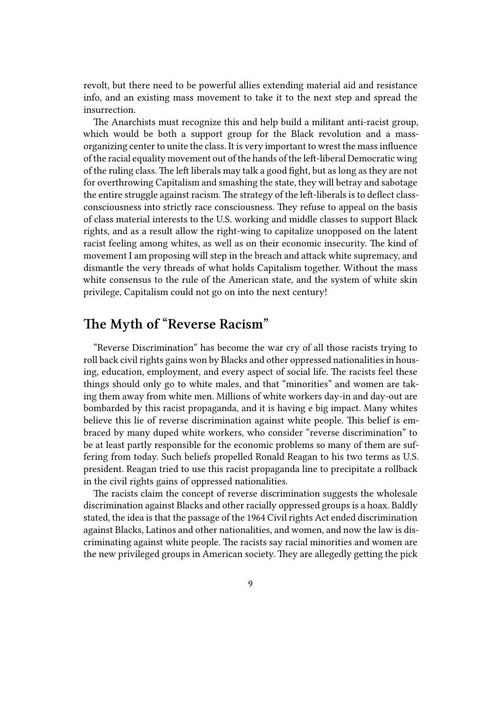revolt, but there need to be powerful allies extending material aid and resistance info, and an existing mass movement to take it to the next step and spread the insurrection.

The Anarchists must recognize this and help build a militant anti-racist group, which would be both a support group for the Black revolution and a massorganizing center to unite the class. It is very important to wrest the mass influence of the racial equality movement out of the hands of the left-liberal Democratic wing of the ruling class. The left liberals may talk a good fight, but as long as they are not for overthrowing Capitalism and smashing the state, they will betray and sabotage the entire struggle against racism. The strategy of the left-liberals is to deflect classconsciousness into strictly race consciousness. They refuse to appeal on the basis of class material interests to the U.S. working and middle classes to support Black rights, and as a result allow the right-wing to capitalize unopposed on the latent racist feeling among whites, as well as on their economic insecurity. The kind of movement I am proposing will step in the breach and attack white supremacy, and dismantle the very threads of what holds Capitalism together. Without the mass white consensus to the rule of the American state, and the system of white skin privilege, Capitalism could not go on into the next century!

## <span id="page-8-0"></span>**The Myth of "Reverse Racism"**

"Reverse Discrimination" has become the war cry of all those racists trying to roll back civil rights gains won by Blacks and other oppressed nationalities in housing, education, employment, and every aspect of social life. The racists feel these things should only go to white males, and that "minorities" and women are taking them away from white men. Millions of white workers day-in and day-out are bombarded by this racist propaganda, and it is having e big impact. Many whites believe this lie of reverse discrimination against white people. This belief is embraced by many duped white workers, who consider "reverse discrimination" to be at least partly responsible for the economic problems so many of them are suffering from today. Such beliefs propelled Ronald Reagan to his two terms as U.S. president. Reagan tried to use this racist propaganda line to precipitate a rollback in the civil rights gains of oppressed nationalities.

The racists claim the concept of reverse discrimination suggests the wholesale discrimination against Blacks and other racially oppressed groups is a hoax. Baldly stated, the idea is that the passage of the 1964 Civil rights Act ended discrimination against Blacks, Latinos and other nationalities, and women, and now the law is discriminating against white people. The racists say racial minorities and women are the new privileged groups in American society. They are allegedly getting the pick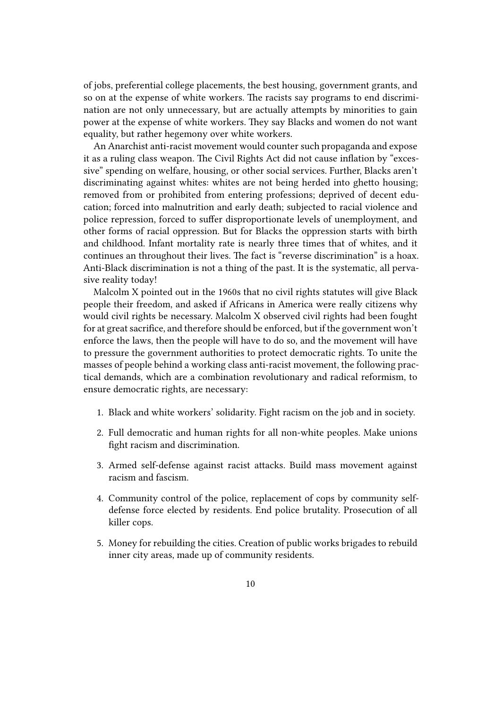of jobs, preferential college placements, the best housing, government grants, and so on at the expense of white workers. The racists say programs to end discrimination are not only unnecessary, but are actually attempts by minorities to gain power at the expense of white workers. They say Blacks and women do not want equality, but rather hegemony over white workers.

An Anarchist anti-racist movement would counter such propaganda and expose it as a ruling class weapon. The Civil Rights Act did not cause inflation by "excessive" spending on welfare, housing, or other social services. Further, Blacks aren't discriminating against whites: whites are not being herded into ghetto housing; removed from or prohibited from entering professions; deprived of decent education; forced into malnutrition and early death; subjected to racial violence and police repression, forced to suffer disproportionate levels of unemployment, and other forms of racial oppression. But for Blacks the oppression starts with birth and childhood. Infant mortality rate is nearly three times that of whites, and it continues an throughout their lives. The fact is "reverse discrimination" is a hoax. Anti-Black discrimination is not a thing of the past. It is the systematic, all pervasive reality today!

Malcolm X pointed out in the 1960s that no civil rights statutes will give Black people their freedom, and asked if Africans in America were really citizens why would civil rights be necessary. Malcolm X observed civil rights had been fought for at great sacrifice, and therefore should be enforced, but if the government won't enforce the laws, then the people will have to do so, and the movement will have to pressure the government authorities to protect democratic rights. To unite the masses of people behind a working class anti-racist movement, the following practical demands, which are a combination revolutionary and radical reformism, to ensure democratic rights, are necessary:

- 1. Black and white workers' solidarity. Fight racism on the job and in society.
- 2. Full democratic and human rights for all non-white peoples. Make unions fight racism and discrimination.
- 3. Armed self-defense against racist attacks. Build mass movement against racism and fascism.
- 4. Community control of the police, replacement of cops by community selfdefense force elected by residents. End police brutality. Prosecution of all killer cops.
- 5. Money for rebuilding the cities. Creation of public works brigades to rebuild inner city areas, made up of community residents.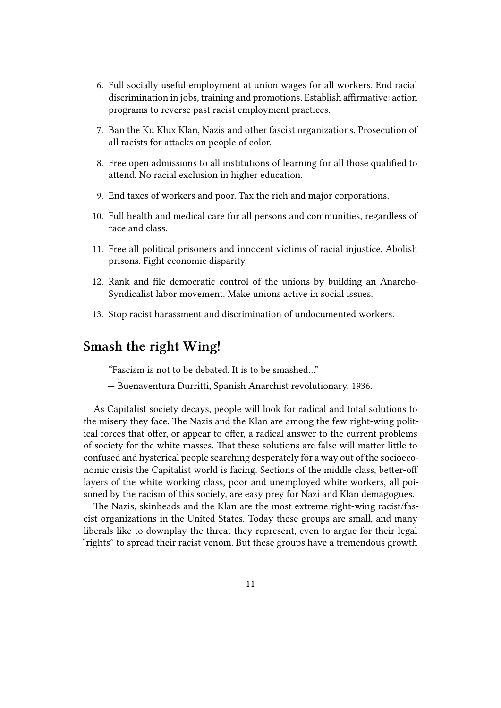- 6. Full socially useful employment at union wages for all workers. End racial discrimination in jobs, training and promotions. Establish affirmative: action programs to reverse past racist employment practices.
- 7. Ban the Ku Klux Klan, Nazis and other fascist organizations. Prosecution of all racists for attacks on people of color.
- 8. Free open admissions to all institutions of learning for all those qualified to attend. No racial exclusion in higher education.
- 9. End taxes of workers and poor. Tax the rich and major corporations.
- 10. Full health and medical care for all persons and communities, regardless of race and class.
- 11. Free all political prisoners and innocent victims of racial injustice. Abolish prisons. Fight economic disparity.
- 12. Rank and file democratic control of the unions by building an Anarcho-Syndicalist labor movement. Make unions active in social issues.
- 13. Stop racist harassment and discrimination of undocumented workers.

### <span id="page-10-0"></span>**Smash the right Wing!**

"Fascism is not to be debated. It is to be smashed…"

— Buenaventura Durritti, Spanish Anarchist revolutionary, 1936.

As Capitalist society decays, people will look for radical and total solutions to the misery they face. The Nazis and the Klan are among the few right-wing political forces that offer, or appear to offer, a radical answer to the current problems of society for the white masses. That these solutions are false will matter little to confused and hysterical people searching desperately for a way out of the socioeconomic crisis the Capitalist world is facing. Sections of the middle class, better-off layers of the white working class, poor and unemployed white workers, all poisoned by the racism of this society, are easy prey for Nazi and Klan demagogues.

The Nazis, skinheads and the Klan are the most extreme right-wing racist/fascist organizations in the United States. Today these groups are small, and many liberals like to downplay the threat they represent, even to argue for their legal "rights" to spread their racist venom. But these groups have a tremendous growth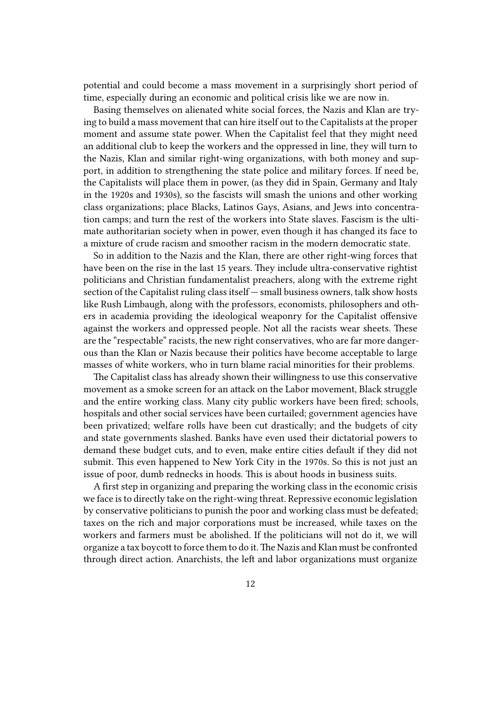potential and could become a mass movement in a surprisingly short period of time, especially during an economic and political crisis like we are now in.

Basing themselves on alienated white social forces, the Nazis and Klan are trying to build a mass movement that can hire itself out to the Capitalists at the proper moment and assume state power. When the Capitalist feel that they might need an additional club to keep the workers and the oppressed in line, they will turn to the Nazis, Klan and similar right-wing organizations, with both money and support, in addition to strengthening the state police and military forces. If need be, the Capitalists will place them in power, (as they did in Spain, Germany and Italy in the 1920s and 1930s), so the fascists will smash the unions and other working class organizations; place Blacks, Latinos Gays, Asians, and Jews into concentration camps; and turn the rest of the workers into State slaves. Fascism is the ultimate authoritarian society when in power, even though it has changed its face to a mixture of crude racism and smoother racism in the modern democratic state.

So in addition to the Nazis and the Klan, there are other right-wing forces that have been on the rise in the last 15 years. They include ultra-conservative rightist politicians and Christian fundamentalist preachers, along with the extreme right section of the Capitalist ruling class itself — small business owners, talk show hosts like Rush Limbaugh, along with the professors, economists, philosophers and others in academia providing the ideological weaponry for the Capitalist offensive against the workers and oppressed people. Not all the racists wear sheets. These are the "respectable" racists, the new right conservatives, who are far more dangerous than the Klan or Nazis because their politics have become acceptable to large masses of white workers, who in turn blame racial minorities for their problems.

The Capitalist class has already shown their willingness to use this conservative movement as a smoke screen for an attack on the Labor movement, Black struggle and the entire working class. Many city public workers have been fired; schools, hospitals and other social services have been curtailed; government agencies have been privatized; welfare rolls have been cut drastically; and the budgets of city and state governments slashed. Banks have even used their dictatorial powers to demand these budget cuts, and to even, make entire cities default if they did not submit. This even happened to New York City in the 1970s. So this is not just an issue of poor, dumb rednecks in hoods. This is about hoods in business suits.

A first step in organizing and preparing the working class in the economic crisis we face is to directly take on the right-wing threat. Repressive economic legislation by conservative politicians to punish the poor and working class must be defeated; taxes on the rich and major corporations must be increased, while taxes on the workers and farmers must be abolished. If the politicians will not do it, we will organize a tax boycott to force them to do it.The Nazis and Klan must be confronted through direct action. Anarchists, the left and labor organizations must organize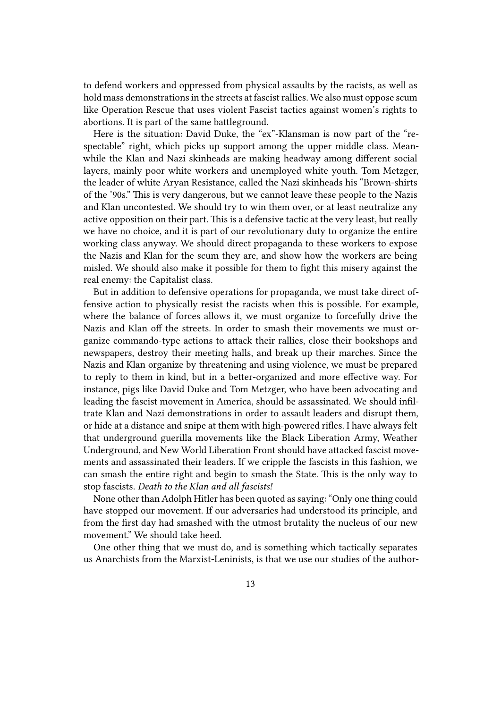to defend workers and oppressed from physical assaults by the racists, as well as hold mass demonstrations in the streets at fascist rallies. We also must oppose scum like Operation Rescue that uses violent Fascist tactics against women's rights to abortions. It is part of the same battleground.

Here is the situation: David Duke, the "ex"-Klansman is now part of the "respectable" right, which picks up support among the upper middle class. Meanwhile the Klan and Nazi skinheads are making headway among different social layers, mainly poor white workers and unemployed white youth. Tom Metzger, the leader of white Aryan Resistance, called the Nazi skinheads his "Brown-shirts of the '90s." This is very dangerous, but we cannot leave these people to the Nazis and Klan uncontested. We should try to win them over, or at least neutralize any active opposition on their part. This is a defensive tactic at the very least, but really we have no choice, and it is part of our revolutionary duty to organize the entire working class anyway. We should direct propaganda to these workers to expose the Nazis and Klan for the scum they are, and show how the workers are being misled. We should also make it possible for them to fight this misery against the real enemy: the Capitalist class.

But in addition to defensive operations for propaganda, we must take direct offensive action to physically resist the racists when this is possible. For example, where the balance of forces allows it, we must organize to forcefully drive the Nazis and Klan off the streets. In order to smash their movements we must organize commando-type actions to attack their rallies, close their bookshops and newspapers, destroy their meeting halls, and break up their marches. Since the Nazis and Klan organize by threatening and using violence, we must be prepared to reply to them in kind, but in a better-organized and more effective way. For instance, pigs like David Duke and Tom Metzger, who have been advocating and leading the fascist movement in America, should be assassinated. We should infiltrate Klan and Nazi demonstrations in order to assault leaders and disrupt them, or hide at a distance and snipe at them with high-powered rifles. I have always felt that underground guerilla movements like the Black Liberation Army, Weather Underground, and New World Liberation Front should have attacked fascist movements and assassinated their leaders. If we cripple the fascists in this fashion, we can smash the entire right and begin to smash the State. This is the only way to stop fascists. *Death to the Klan and all fascists!*

None other than Adolph Hitler has been quoted as saying: "Only one thing could have stopped our movement. If our adversaries had understood its principle, and from the first day had smashed with the utmost brutality the nucleus of our new movement." We should take heed.

One other thing that we must do, and is something which tactically separates us Anarchists from the Marxist-Leninists, is that we use our studies of the author-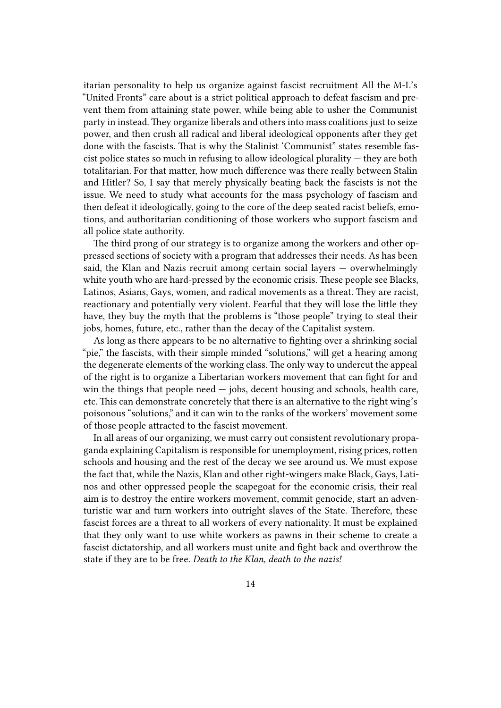itarian personality to help us organize against fascist recruitment All the M-L's "United Fronts" care about is a strict political approach to defeat fascism and prevent them from attaining state power, while being able to usher the Communist party in instead. They organize liberals and others into mass coalitions just to seize power, and then crush all radical and liberal ideological opponents after they get done with the fascists. That is why the Stalinist 'Communist" states resemble fascist police states so much in refusing to allow ideological plurality — they are both totalitarian. For that matter, how much difference was there really between Stalin and Hitler? So, I say that merely physically beating back the fascists is not the issue. We need to study what accounts for the mass psychology of fascism and then defeat it ideologically, going to the core of the deep seated racist beliefs, emotions, and authoritarian conditioning of those workers who support fascism and all police state authority.

The third prong of our strategy is to organize among the workers and other oppressed sections of society with a program that addresses their needs. As has been said, the Klan and Nazis recruit among certain social layers — overwhelmingly white youth who are hard-pressed by the economic crisis. These people see Blacks, Latinos, Asians, Gays, women, and radical movements as a threat. They are racist, reactionary and potentially very violent. Fearful that they will lose the little they have, they buy the myth that the problems is "those people" trying to steal their jobs, homes, future, etc., rather than the decay of the Capitalist system.

As long as there appears to be no alternative to fighting over a shrinking social "pie," the fascists, with their simple minded "solutions," will get a hearing among the degenerate elements of the working class. The only way to undercut the appeal of the right is to organize a Libertarian workers movement that can fight for and win the things that people need  $-$  jobs, decent housing and schools, health care, etc. This can demonstrate concretely that there is an alternative to the right wing's poisonous "solutions," and it can win to the ranks of the workers' movement some of those people attracted to the fascist movement.

In all areas of our organizing, we must carry out consistent revolutionary propaganda explaining Capitalism is responsible for unemployment, rising prices, rotten schools and housing and the rest of the decay we see around us. We must expose the fact that, while the Nazis, Klan and other right-wingers make Black, Gays, Latinos and other oppressed people the scapegoat for the economic crisis, their real aim is to destroy the entire workers movement, commit genocide, start an adventuristic war and turn workers into outright slaves of the State. Therefore, these fascist forces are a threat to all workers of every nationality. It must be explained that they only want to use white workers as pawns in their scheme to create a fascist dictatorship, and all workers must unite and fight back and overthrow the state if they are to be free. *Death to the Klan, death to the nazis!*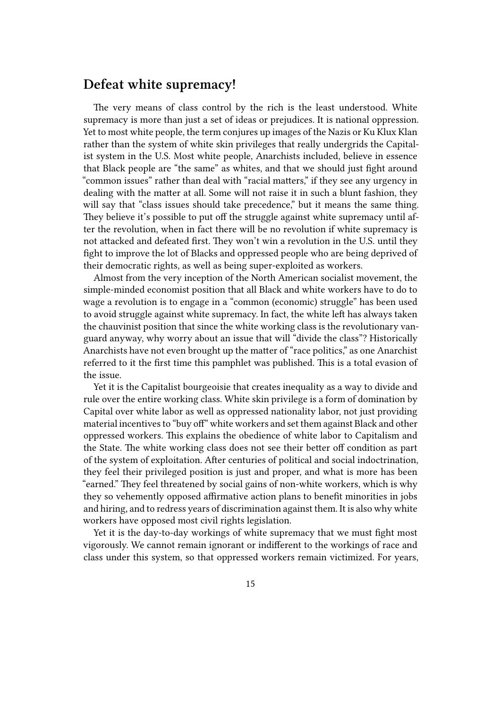### <span id="page-14-0"></span>**Defeat white supremacy!**

The very means of class control by the rich is the least understood. White supremacy is more than just a set of ideas or prejudices. It is national oppression. Yet to most white people, the term conjures up images of the Nazis or Ku Klux Klan rather than the system of white skin privileges that really undergrids the Capitalist system in the U.S. Most white people, Anarchists included, believe in essence that Black people are "the same" as whites, and that we should just fight around "common issues" rather than deal with "racial matters," if they see any urgency in dealing with the matter at all. Some will not raise it in such a blunt fashion, they will say that "class issues should take precedence," but it means the same thing. They believe it's possible to put off the struggle against white supremacy until after the revolution, when in fact there will be no revolution if white supremacy is not attacked and defeated first. They won't win a revolution in the U.S. until they fight to improve the lot of Blacks and oppressed people who are being deprived of their democratic rights, as well as being super-exploited as workers.

Almost from the very inception of the North American socialist movement, the simple-minded economist position that all Black and white workers have to do to wage a revolution is to engage in a "common (economic) struggle" has been used to avoid struggle against white supremacy. In fact, the white left has always taken the chauvinist position that since the white working class is the revolutionary vanguard anyway, why worry about an issue that will "divide the class"? Historically Anarchists have not even brought up the matter of "race politics," as one Anarchist referred to it the first time this pamphlet was published. This is a total evasion of the issue.

Yet it is the Capitalist bourgeoisie that creates inequality as a way to divide and rule over the entire working class. White skin privilege is a form of domination by Capital over white labor as well as oppressed nationality labor, not just providing material incentives to "buy off" white workers and set them against Black and other oppressed workers. This explains the obedience of white labor to Capitalism and the State. The white working class does not see their better off condition as part of the system of exploitation. After centuries of political and social indoctrination, they feel their privileged position is just and proper, and what is more has been "earned." They feel threatened by social gains of non-white workers, which is why they so vehemently opposed affirmative action plans to benefit minorities in jobs and hiring, and to redress years of discrimination against them. It is also why white workers have opposed most civil rights legislation.

Yet it is the day-to-day workings of white supremacy that we must fight most vigorously. We cannot remain ignorant or indifferent to the workings of race and class under this system, so that oppressed workers remain victimized. For years,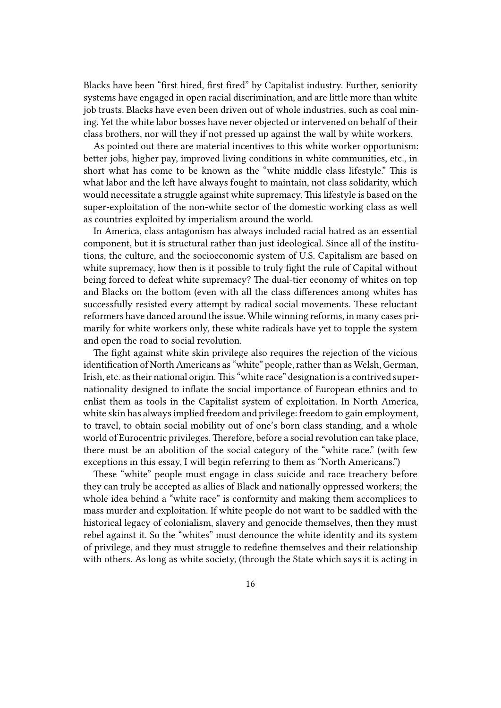Blacks have been "first hired, first fired" by Capitalist industry. Further, seniority systems have engaged in open racial discrimination, and are little more than white job trusts. Blacks have even been driven out of whole industries, such as coal mining. Yet the white labor bosses have never objected or intervened on behalf of their class brothers, nor will they if not pressed up against the wall by white workers.

As pointed out there are material incentives to this white worker opportunism: better jobs, higher pay, improved living conditions in white communities, etc., in short what has come to be known as the "white middle class lifestyle." This is what labor and the left have always fought to maintain, not class solidarity, which would necessitate a struggle against white supremacy. This lifestyle is based on the super-exploitation of the non-white sector of the domestic working class as well as countries exploited by imperialism around the world.

In America, class antagonism has always included racial hatred as an essential component, but it is structural rather than just ideological. Since all of the institutions, the culture, and the socioeconomic system of U.S. Capitalism are based on white supremacy, how then is it possible to truly fight the rule of Capital without being forced to defeat white supremacy? The dual-tier economy of whites on top and Blacks on the bottom (even with all the class differences among whites has successfully resisted every attempt by radical social movements. These reluctant reformers have danced around the issue. While winning reforms, in many cases primarily for white workers only, these white radicals have yet to topple the system and open the road to social revolution.

The fight against white skin privilege also requires the rejection of the vicious identification of North Americans as "white" people, rather than as Welsh, German, Irish, etc. as their national origin.This "white race" designation is a contrived supernationality designed to inflate the social importance of European ethnics and to enlist them as tools in the Capitalist system of exploitation. In North America, white skin has always implied freedom and privilege: freedom to gain employment, to travel, to obtain social mobility out of one's born class standing, and a whole world of Eurocentric privileges. Therefore, before a social revolution can take place, there must be an abolition of the social category of the "white race." (with few exceptions in this essay, I will begin referring to them as "North Americans.")

These "white" people must engage in class suicide and race treachery before they can truly be accepted as allies of Black and nationally oppressed workers; the whole idea behind a "white race" is conformity and making them accomplices to mass murder and exploitation. If white people do not want to be saddled with the historical legacy of colonialism, slavery and genocide themselves, then they must rebel against it. So the "whites" must denounce the white identity and its system of privilege, and they must struggle to redefine themselves and their relationship with others. As long as white society, (through the State which says it is acting in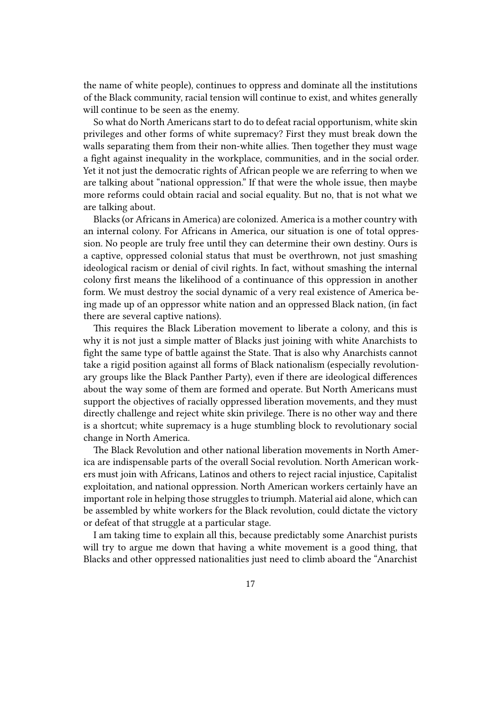the name of white people), continues to oppress and dominate all the institutions of the Black community, racial tension will continue to exist, and whites generally will continue to be seen as the enemy.

So what do North Americans start to do to defeat racial opportunism, white skin privileges and other forms of white supremacy? First they must break down the walls separating them from their non-white allies. Then together they must wage a fight against inequality in the workplace, communities, and in the social order. Yet it not just the democratic rights of African people we are referring to when we are talking about "national oppression." If that were the whole issue, then maybe more reforms could obtain racial and social equality. But no, that is not what we are talking about.

Blacks (or Africans in America) are colonized. America is a mother country with an internal colony. For Africans in America, our situation is one of total oppression. No people are truly free until they can determine their own destiny. Ours is a captive, oppressed colonial status that must be overthrown, not just smashing ideological racism or denial of civil rights. In fact, without smashing the internal colony first means the likelihood of a continuance of this oppression in another form. We must destroy the social dynamic of a very real existence of America being made up of an oppressor white nation and an oppressed Black nation, (in fact there are several captive nations).

This requires the Black Liberation movement to liberate a colony, and this is why it is not just a simple matter of Blacks just joining with white Anarchists to fight the same type of battle against the State. That is also why Anarchists cannot take a rigid position against all forms of Black nationalism (especially revolutionary groups like the Black Panther Party), even if there are ideological differences about the way some of them are formed and operate. But North Americans must support the objectives of racially oppressed liberation movements, and they must directly challenge and reject white skin privilege. There is no other way and there is a shortcut; white supremacy is a huge stumbling block to revolutionary social change in North America.

The Black Revolution and other national liberation movements in North America are indispensable parts of the overall Social revolution. North American workers must join with Africans, Latinos and others to reject racial injustice, Capitalist exploitation, and national oppression. North American workers certainly have an important role in helping those struggles to triumph. Material aid alone, which can be assembled by white workers for the Black revolution, could dictate the victory or defeat of that struggle at a particular stage.

I am taking time to explain all this, because predictably some Anarchist purists will try to argue me down that having a white movement is a good thing, that Blacks and other oppressed nationalities just need to climb aboard the "Anarchist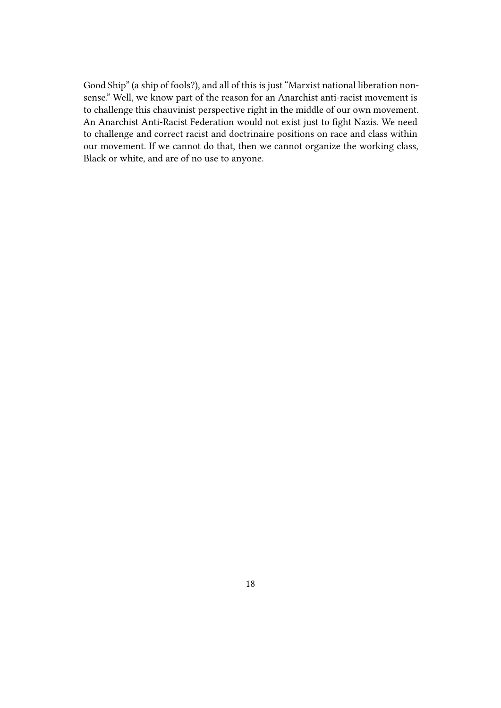Good Ship" (a ship of fools?), and all of this is just "Marxist national liberation nonsense." Well, we know part of the reason for an Anarchist anti-racist movement is to challenge this chauvinist perspective right in the middle of our own movement. An Anarchist Anti-Racist Federation would not exist just to fight Nazis. We need to challenge and correct racist and doctrinaire positions on race and class within our movement. If we cannot do that, then we cannot organize the working class, Black or white, and are of no use to anyone.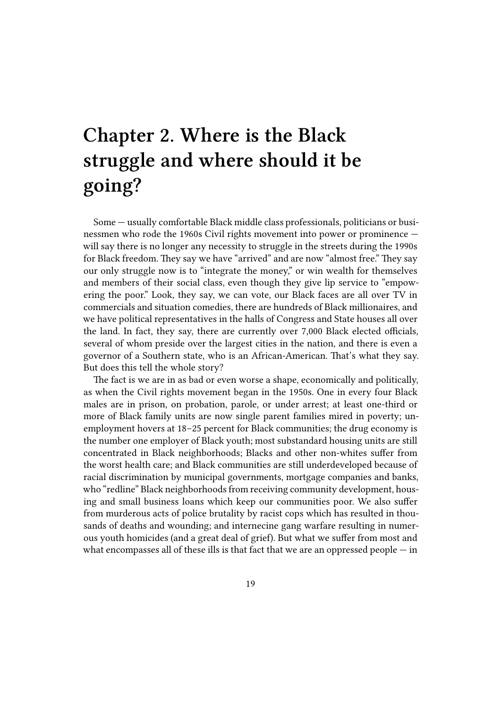# <span id="page-18-0"></span>**Chapter 2. Where is the Black struggle and where should it be going?**

Some — usually comfortable Black middle class professionals, politicians or businessmen who rode the 1960s Civil rights movement into power or prominence will say there is no longer any necessity to struggle in the streets during the 1990s for Black freedom. They say we have "arrived" and are now "almost free." They say our only struggle now is to "integrate the money," or win wealth for themselves and members of their social class, even though they give lip service to "empowering the poor." Look, they say, we can vote, our Black faces are all over TV in commercials and situation comedies, there are hundreds of Black millionaires, and we have political representatives in the halls of Congress and State houses all over the land. In fact, they say, there are currently over 7,000 Black elected officials, several of whom preside over the largest cities in the nation, and there is even a governor of a Southern state, who is an African-American. That's what they say. But does this tell the whole story?

The fact is we are in as bad or even worse a shape, economically and politically, as when the Civil rights movement began in the 1950s. One in every four Black males are in prison, on probation, parole, or under arrest; at least one-third or more of Black family units are now single parent families mired in poverty; unemployment hovers at 18–25 percent for Black communities; the drug economy is the number one employer of Black youth; most substandard housing units are still concentrated in Black neighborhoods; Blacks and other non-whites suffer from the worst health care; and Black communities are still underdeveloped because of racial discrimination by municipal governments, mortgage companies and banks, who "redline" Black neighborhoods from receiving community development, housing and small business loans which keep our communities poor. We also suffer from murderous acts of police brutality by racist cops which has resulted in thousands of deaths and wounding; and internecine gang warfare resulting in numerous youth homicides (and a great deal of grief). But what we suffer from most and what encompasses all of these ills is that fact that we are an oppressed people  $-$  in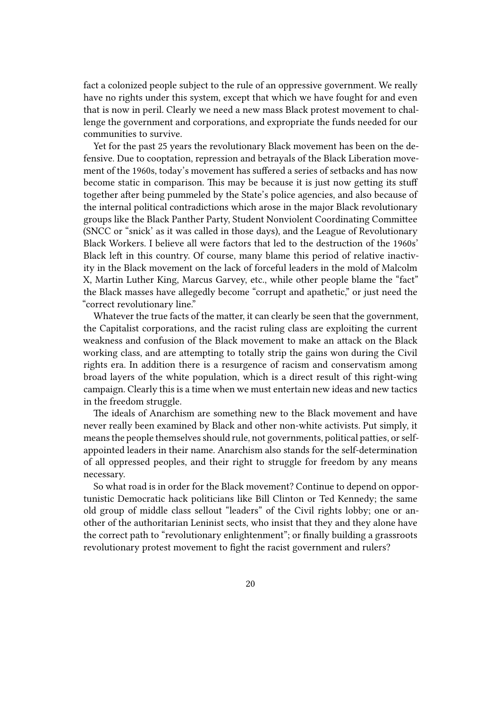fact a colonized people subject to the rule of an oppressive government. We really have no rights under this system, except that which we have fought for and even that is now in peril. Clearly we need a new mass Black protest movement to challenge the government and corporations, and expropriate the funds needed for our communities to survive.

Yet for the past 25 years the revolutionary Black movement has been on the defensive. Due to cooptation, repression and betrayals of the Black Liberation movement of the 1960s, today's movement has suffered a series of setbacks and has now become static in comparison. This may be because it is just now getting its stuff together after being pummeled by the State's police agencies, and also because of the internal political contradictions which arose in the major Black revolutionary groups like the Black Panther Party, Student Nonviolent Coordinating Committee (SNCC or "snick' as it was called in those days), and the League of Revolutionary Black Workers. I believe all were factors that led to the destruction of the 1960s' Black left in this country. Of course, many blame this period of relative inactivity in the Black movement on the lack of forceful leaders in the mold of Malcolm X, Martin Luther King, Marcus Garvey, etc., while other people blame the "fact" the Black masses have allegedly become "corrupt and apathetic," or just need the "correct revolutionary line."

Whatever the true facts of the matter, it can clearly be seen that the government, the Capitalist corporations, and the racist ruling class are exploiting the current weakness and confusion of the Black movement to make an attack on the Black working class, and are attempting to totally strip the gains won during the Civil rights era. In addition there is a resurgence of racism and conservatism among broad layers of the white population, which is a direct result of this right-wing campaign. Clearly this is a time when we must entertain new ideas and new tactics in the freedom struggle.

The ideals of Anarchism are something new to the Black movement and have never really been examined by Black and other non-white activists. Put simply, it means the people themselves should rule, not governments, political patties, or selfappointed leaders in their name. Anarchism also stands for the self-determination of all oppressed peoples, and their right to struggle for freedom by any means necessary.

So what road is in order for the Black movement? Continue to depend on opportunistic Democratic hack politicians like Bill Clinton or Ted Kennedy; the same old group of middle class sellout "leaders" of the Civil rights lobby; one or another of the authoritarian Leninist sects, who insist that they and they alone have the correct path to "revolutionary enlightenment"; or finally building a grassroots revolutionary protest movement to fight the racist government and rulers?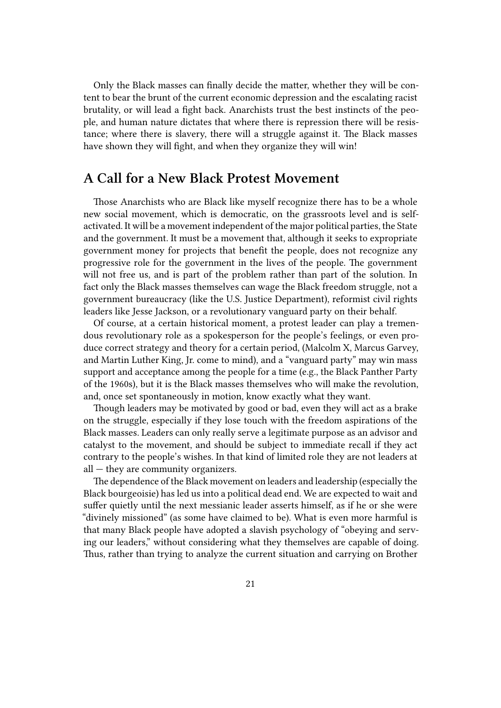Only the Black masses can finally decide the matter, whether they will be content to bear the brunt of the current economic depression and the escalating racist brutality, or will lead a fight back. Anarchists trust the best instincts of the people, and human nature dictates that where there is repression there will be resistance; where there is slavery, there will a struggle against it. The Black masses have shown they will fight, and when they organize they will win!

#### <span id="page-20-0"></span>**A Call for a New Black Protest Movement**

Those Anarchists who are Black like myself recognize there has to be a whole new social movement, which is democratic, on the grassroots level and is selfactivated. It will be a movement independent of the major political parties, the State and the government. It must be a movement that, although it seeks to expropriate government money for projects that benefit the people, does not recognize any progressive role for the government in the lives of the people. The government will not free us, and is part of the problem rather than part of the solution. In fact only the Black masses themselves can wage the Black freedom struggle, not a government bureaucracy (like the U.S. Justice Department), reformist civil rights leaders like Jesse Jackson, or a revolutionary vanguard party on their behalf.

Of course, at a certain historical moment, a protest leader can play a tremendous revolutionary role as a spokesperson for the people's feelings, or even produce correct strategy and theory for a certain period, (Malcolm X, Marcus Garvey, and Martin Luther King, Jr. come to mind), and a "vanguard party" may win mass support and acceptance among the people for a time (e.g., the Black Panther Party of the 1960s), but it is the Black masses themselves who will make the revolution, and, once set spontaneously in motion, know exactly what they want.

Though leaders may be motivated by good or bad, even they will act as a brake on the struggle, especially if they lose touch with the freedom aspirations of the Black masses. Leaders can only really serve a legitimate purpose as an advisor and catalyst to the movement, and should be subject to immediate recall if they act contrary to the people's wishes. In that kind of limited role they are not leaders at all — they are community organizers.

The dependence of the Black movement on leaders and leadership (especially the Black bourgeoisie) has led us into a political dead end. We are expected to wait and suffer quietly until the next messianic leader asserts himself, as if he or she were "divinely missioned" (as some have claimed to be). What is even more harmful is that many Black people have adopted a slavish psychology of "obeying and serving our leaders," without considering what they themselves are capable of doing. Thus, rather than trying to analyze the current situation and carrying on Brother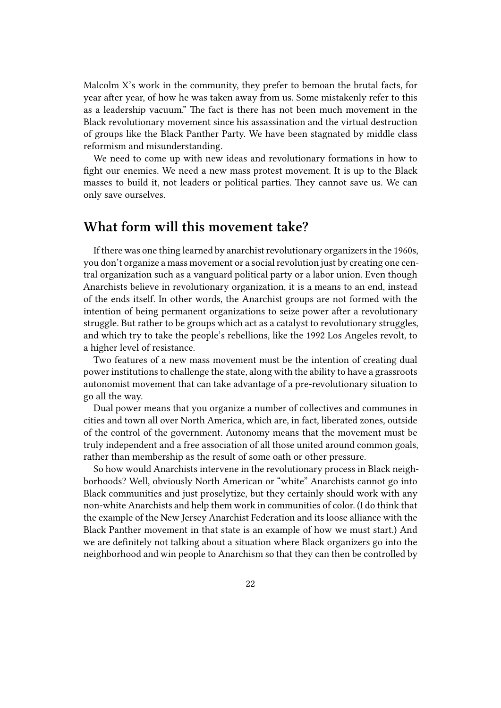Malcolm X's work in the community, they prefer to bemoan the brutal facts, for year after year, of how he was taken away from us. Some mistakenly refer to this as a leadership vacuum." The fact is there has not been much movement in the Black revolutionary movement since his assassination and the virtual destruction of groups like the Black Panther Party. We have been stagnated by middle class reformism and misunderstanding.

We need to come up with new ideas and revolutionary formations in how to fight our enemies. We need a new mass protest movement. It is up to the Black masses to build it, not leaders or political parties. They cannot save us. We can only save ourselves.

#### <span id="page-21-0"></span>**What form will this movement take?**

If there was one thing learned by anarchist revolutionary organizers in the 1960s, you don't organize a mass movement or a social revolution just by creating one central organization such as a vanguard political party or a labor union. Even though Anarchists believe in revolutionary organization, it is a means to an end, instead of the ends itself. In other words, the Anarchist groups are not formed with the intention of being permanent organizations to seize power after a revolutionary struggle. But rather to be groups which act as a catalyst to revolutionary struggles, and which try to take the people's rebellions, like the 1992 Los Angeles revolt, to a higher level of resistance.

Two features of a new mass movement must be the intention of creating dual power institutions to challenge the state, along with the ability to have a grassroots autonomist movement that can take advantage of a pre-revolutionary situation to go all the way.

Dual power means that you organize a number of collectives and communes in cities and town all over North America, which are, in fact, liberated zones, outside of the control of the government. Autonomy means that the movement must be truly independent and a free association of all those united around common goals, rather than membership as the result of some oath or other pressure.

So how would Anarchists intervene in the revolutionary process in Black neighborhoods? Well, obviously North American or "white" Anarchists cannot go into Black communities and just proselytize, but they certainly should work with any non-white Anarchists and help them work in communities of color. (I do think that the example of the New Jersey Anarchist Federation and its loose alliance with the Black Panther movement in that state is an example of how we must start.) And we are definitely not talking about a situation where Black organizers go into the neighborhood and win people to Anarchism so that they can then be controlled by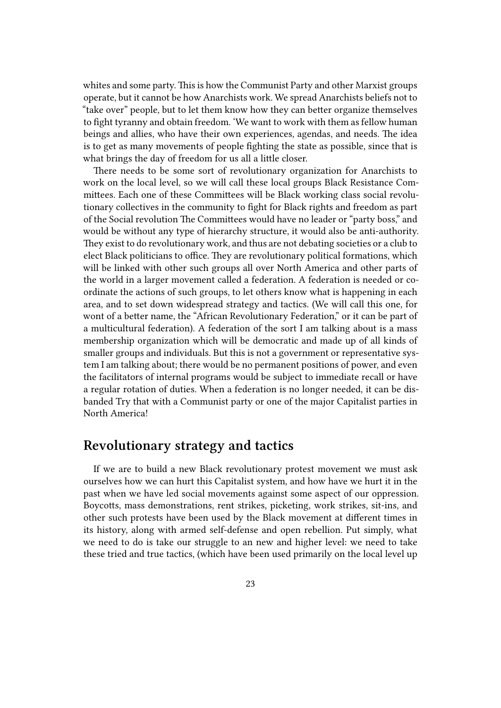whites and some party. This is how the Communist Party and other Marxist groups operate, but it cannot be how Anarchists work. We spread Anarchists beliefs not to "take over" people, but to let them know how they can better organize themselves to fight tyranny and obtain freedom. 'We want to work with them as fellow human beings and allies, who have their own experiences, agendas, and needs. The idea is to get as many movements of people fighting the state as possible, since that is what brings the day of freedom for us all a little closer.

There needs to be some sort of revolutionary organization for Anarchists to work on the local level, so we will call these local groups Black Resistance Committees. Each one of these Committees will be Black working class social revolutionary collectives in the community to fight for Black rights and freedom as part of the Social revolution The Committees would have no leader or "party boss," and would be without any type of hierarchy structure, it would also be anti-authority. They exist to do revolutionary work, and thus are not debating societies or a club to elect Black politicians to office. They are revolutionary political formations, which will be linked with other such groups all over North America and other parts of the world in a larger movement called a federation. A federation is needed or coordinate the actions of such groups, to let others know what is happening in each area, and to set down widespread strategy and tactics. (We will call this one, for wont of a better name, the "African Revolutionary Federation," or it can be part of a multicultural federation). A federation of the sort I am talking about is a mass membership organization which will be democratic and made up of all kinds of smaller groups and individuals. But this is not a government or representative system I am talking about; there would be no permanent positions of power, and even the facilitators of internal programs would be subject to immediate recall or have a regular rotation of duties. When a federation is no longer needed, it can be disbanded Try that with a Communist party or one of the major Capitalist parties in North America!

### <span id="page-22-0"></span>**Revolutionary strategy and tactics**

If we are to build a new Black revolutionary protest movement we must ask ourselves how we can hurt this Capitalist system, and how have we hurt it in the past when we have led social movements against some aspect of our oppression. Boycotts, mass demonstrations, rent strikes, picketing, work strikes, sit-ins, and other such protests have been used by the Black movement at different times in its history, along with armed self-defense and open rebellion. Put simply, what we need to do is take our struggle to an new and higher level: we need to take these tried and true tactics, (which have been used primarily on the local level up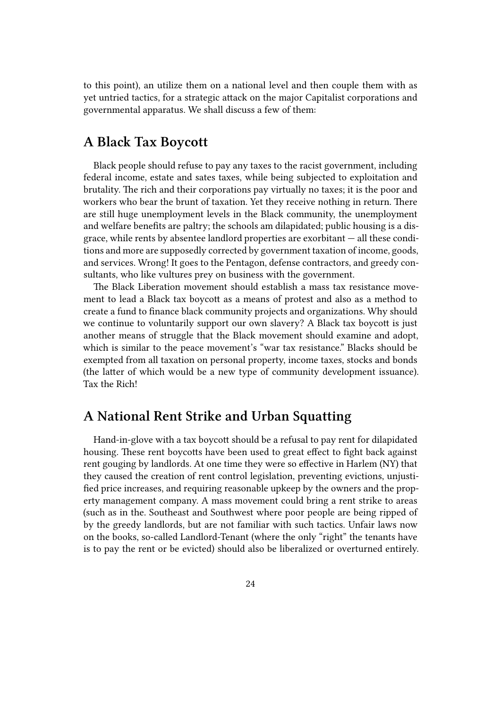to this point), an utilize them on a national level and then couple them with as yet untried tactics, for a strategic attack on the major Capitalist corporations and governmental apparatus. We shall discuss a few of them:

### <span id="page-23-0"></span>**A Black Tax Boycott**

Black people should refuse to pay any taxes to the racist government, including federal income, estate and sates taxes, while being subjected to exploitation and brutality. The rich and their corporations pay virtually no taxes; it is the poor and workers who bear the brunt of taxation. Yet they receive nothing in return. There are still huge unemployment levels in the Black community, the unemployment and welfare benefits are paltry; the schools am dilapidated; public housing is a disgrace, while rents by absentee landlord properties are exorbitant — all these conditions and more are supposedly corrected by government taxation of income, goods, and services. Wrong! It goes to the Pentagon, defense contractors, and greedy consultants, who like vultures prey on business with the government.

The Black Liberation movement should establish a mass tax resistance movement to lead a Black tax boycott as a means of protest and also as a method to create a fund to finance black community projects and organizations. Why should we continue to voluntarily support our own slavery? A Black tax boycott is just another means of struggle that the Black movement should examine and adopt, which is similar to the peace movement's "war tax resistance." Blacks should be exempted from all taxation on personal property, income taxes, stocks and bonds (the latter of which would be a new type of community development issuance). Tax the Rich!

#### <span id="page-23-1"></span>**A National Rent Strike and Urban Squatting**

Hand-in-glove with a tax boycott should be a refusal to pay rent for dilapidated housing. These rent boycotts have been used to great effect to fight back against rent gouging by landlords. At one time they were so effective in Harlem (NY) that they caused the creation of rent control legislation, preventing evictions, unjustified price increases, and requiring reasonable upkeep by the owners and the property management company. A mass movement could bring a rent strike to areas (such as in the. Southeast and Southwest where poor people are being ripped of by the greedy landlords, but are not familiar with such tactics. Unfair laws now on the books, so-called Landlord-Tenant (where the only "right" the tenants have is to pay the rent or be evicted) should also be liberalized or overturned entirely.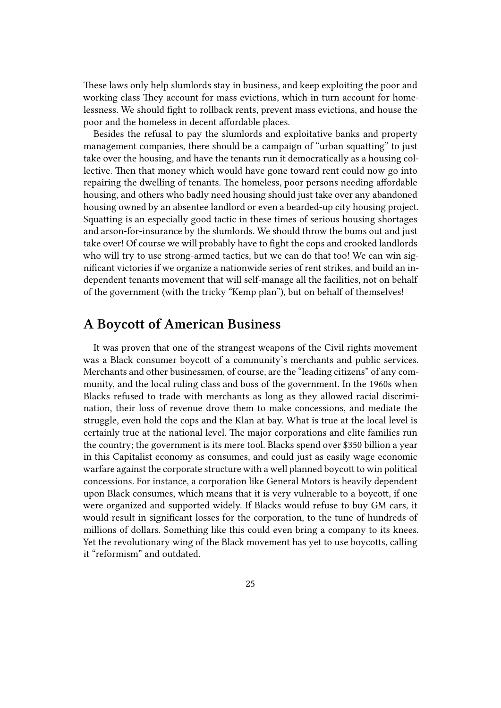These laws only help slumlords stay in business, and keep exploiting the poor and working class They account for mass evictions, which in turn account for homelessness. We should fight to rollback rents, prevent mass evictions, and house the poor and the homeless in decent affordable places.

Besides the refusal to pay the slumlords and exploitative banks and property management companies, there should be a campaign of "urban squatting" to just take over the housing, and have the tenants run it democratically as a housing collective. Then that money which would have gone toward rent could now go into repairing the dwelling of tenants. The homeless, poor persons needing affordable housing, and others who badly need housing should just take over any abandoned housing owned by an absentee landlord or even a bearded-up city housing project. Squatting is an especially good tactic in these times of serious housing shortages and arson-for-insurance by the slumlords. We should throw the bums out and just take over! Of course we will probably have to fight the cops and crooked landlords who will try to use strong-armed tactics, but we can do that too! We can win significant victories if we organize a nationwide series of rent strikes, and build an independent tenants movement that will self-manage all the facilities, not on behalf of the government (with the tricky "Kemp plan"), but on behalf of themselves!

#### <span id="page-24-0"></span>**A Boycott of American Business**

It was proven that one of the strangest weapons of the Civil rights movement was a Black consumer boycott of a community's merchants and public services. Merchants and other businessmen, of course, are the "leading citizens" of any community, and the local ruling class and boss of the government. In the 1960s when Blacks refused to trade with merchants as long as they allowed racial discrimination, their loss of revenue drove them to make concessions, and mediate the struggle, even hold the cops and the Klan at bay. What is true at the local level is certainly true at the national level. The major corporations and elite families run the country; the government is its mere tool. Blacks spend over \$350 billion a year in this Capitalist economy as consumes, and could just as easily wage economic warfare against the corporate structure with a well planned boycott to win political concessions. For instance, a corporation like General Motors is heavily dependent upon Black consumes, which means that it is very vulnerable to a boycott, if one were organized and supported widely. If Blacks would refuse to buy GM cars, it would result in significant losses for the corporation, to the tune of hundreds of millions of dollars. Something like this could even bring a company to its knees. Yet the revolutionary wing of the Black movement has yet to use boycotts, calling it "reformism" and outdated.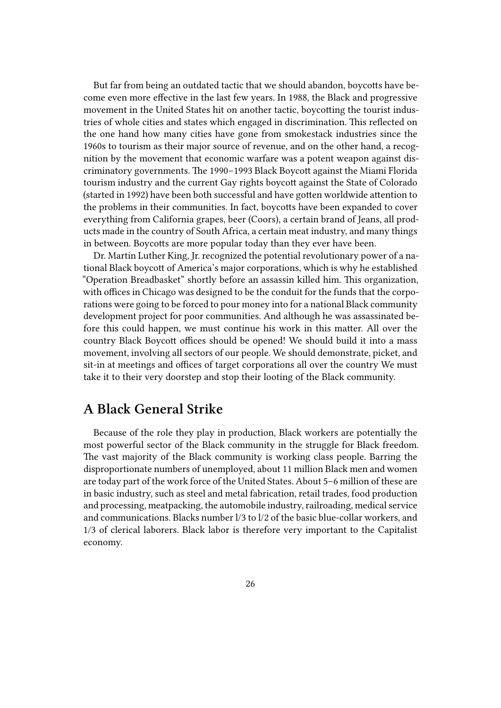But far from being an outdated tactic that we should abandon, boycotts have become even more effective in the last few years. In 1988, the Black and progressive movement in the United States hit on another tactic, boycotting the tourist industries of whole cities and states which engaged in discrimination. This reflected on the one hand how many cities have gone from smokestack industries since the 1960s to tourism as their major source of revenue, and on the other hand, a recognition by the movement that economic warfare was a potent weapon against discriminatory governments. The 1990–1993 Black Boycott against the Miami Florida tourism industry and the current Gay rights boycott against the State of Colorado (started in 1992) have been both successful and have gotten worldwide attention to the problems in their communities. In fact, boycotts have been expanded to cover everything from California grapes, beer (Coors), a certain brand of Jeans, all products made in the country of South Africa, a certain meat industry, and many things in between. Boycotts are more popular today than they ever have been.

Dr. Martin Luther King, Jr. recognized the potential revolutionary power of a national Black boycott of America's major corporations, which is why he established "Operation Breadbasket" shortly before an assassin killed him. This organization, with offices in Chicago was designed to be the conduit for the funds that the corporations were going to be forced to pour money into for a national Black community development project for poor communities. And although he was assassinated before this could happen, we must continue his work in this matter. All over the country Black Boycott offices should be opened! We should build it into a mass movement, involving all sectors of our people. We should demonstrate, picket, and sit-in at meetings and offices of target corporations all over the country We must take it to their very doorstep and stop their looting of the Black community.

### <span id="page-25-0"></span>**A Black General Strike**

Because of the role they play in production, Black workers are potentially the most powerful sector of the Black community in the struggle for Black freedom. The vast majority of the Black community is working class people. Barring the disproportionate numbers of unemployed, about 11 million Black men and women are today part of the work force of the United States. About 5–6 million of these are in basic industry, such as steel and metal fabrication, retail trades, food production and processing, meatpacking, the automobile industry, railroading, medical service and communications. Blacks number l/3 to l/2 of the basic blue-collar workers, and 1/3 of clerical laborers. Black labor is therefore very important to the Capitalist economy.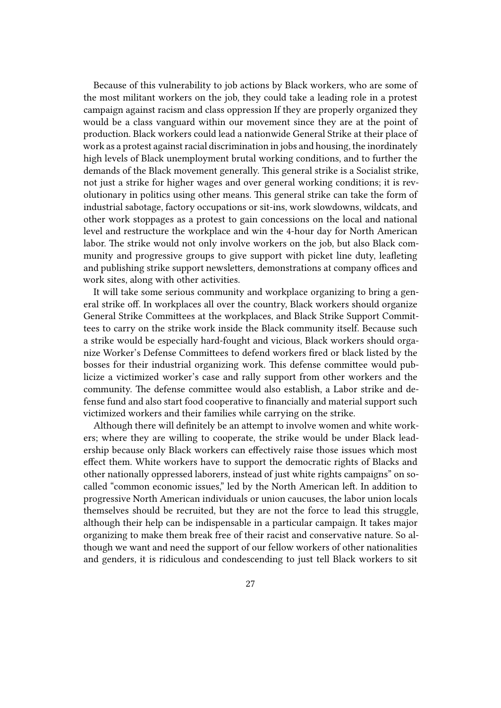Because of this vulnerability to job actions by Black workers, who are some of the most militant workers on the job, they could take a leading role in a protest campaign against racism and class oppression If they are properly organized they would be a class vanguard within our movement since they are at the point of production. Black workers could lead a nationwide General Strike at their place of work as a protest against racial discrimination in jobs and housing, the inordinately high levels of Black unemployment brutal working conditions, and to further the demands of the Black movement generally. This general strike is a Socialist strike, not just a strike for higher wages and over general working conditions; it is revolutionary in politics using other means. This general strike can take the form of industrial sabotage, factory occupations or sit-ins, work slowdowns, wildcats, and other work stoppages as a protest to gain concessions on the local and national level and restructure the workplace and win the 4-hour day for North American labor. The strike would not only involve workers on the job, but also Black community and progressive groups to give support with picket line duty, leafleting and publishing strike support newsletters, demonstrations at company offices and work sites, along with other activities.

It will take some serious community and workplace organizing to bring a general strike off. In workplaces all over the country, Black workers should organize General Strike Committees at the workplaces, and Black Strike Support Committees to carry on the strike work inside the Black community itself. Because such a strike would be especially hard-fought and vicious, Black workers should organize Worker's Defense Committees to defend workers fired or black listed by the bosses for their industrial organizing work. This defense committee would publicize a victimized worker's case and rally support from other workers and the community. The defense committee would also establish, a Labor strike and defense fund and also start food cooperative to financially and material support such victimized workers and their families while carrying on the strike.

Although there will definitely be an attempt to involve women and white workers; where they are willing to cooperate, the strike would be under Black leadership because only Black workers can effectively raise those issues which most effect them. White workers have to support the democratic rights of Blacks and other nationally oppressed laborers, instead of just white rights campaigns" on socalled "common economic issues," led by the North American left. In addition to progressive North American individuals or union caucuses, the labor union locals themselves should be recruited, but they are not the force to lead this struggle, although their help can be indispensable in a particular campaign. It takes major organizing to make them break free of their racist and conservative nature. So although we want and need the support of our fellow workers of other nationalities and genders, it is ridiculous and condescending to just tell Black workers to sit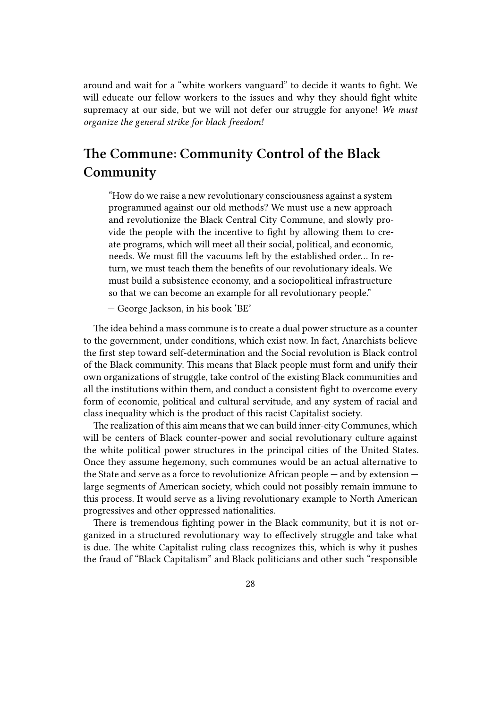around and wait for a "white workers vanguard" to decide it wants to fight. We will educate our fellow workers to the issues and why they should fight white supremacy at our side, but we will not defer our struggle for anyone! *We must organize the general strike for black freedom!*

## <span id="page-27-0"></span>**The Commune: Community Control of the Black Community**

"How do we raise a new revolutionary consciousness against a system programmed against our old methods? We must use a new approach and revolutionize the Black Central City Commune, and slowly provide the people with the incentive to fight by allowing them to create programs, which will meet all their social, political, and economic, needs. We must fill the vacuums left by the established order… In return, we must teach them the benefits of our revolutionary ideals. We must build a subsistence economy, and a sociopolitical infrastructure so that we can become an example for all revolutionary people."

— George Jackson, in his book 'BE'

The idea behind a mass commune is to create a dual power structure as a counter to the government, under conditions, which exist now. In fact, Anarchists believe the first step toward self-determination and the Social revolution is Black control of the Black community. This means that Black people must form and unify their own organizations of struggle, take control of the existing Black communities and all the institutions within them, and conduct a consistent fight to overcome every form of economic, political and cultural servitude, and any system of racial and class inequality which is the product of this racist Capitalist society.

The realization of this aim means that we can build inner-city Communes, which will be centers of Black counter-power and social revolutionary culture against the white political power structures in the principal cities of the United States. Once they assume hegemony, such communes would be an actual alternative to the State and serve as a force to revolutionize African people — and by extension large segments of American society, which could not possibly remain immune to this process. It would serve as a living revolutionary example to North American progressives and other oppressed nationalities.

There is tremendous fighting power in the Black community, but it is not organized in a structured revolutionary way to effectively struggle and take what is due. The white Capitalist ruling class recognizes this, which is why it pushes the fraud of "Black Capitalism" and Black politicians and other such "responsible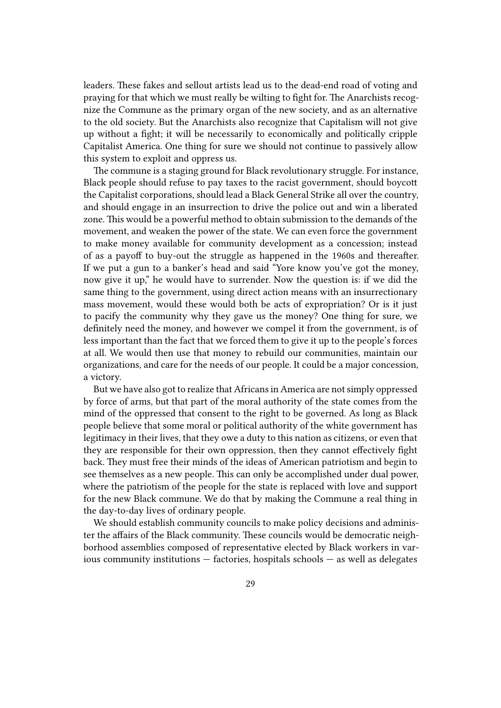leaders. These fakes and sellout artists lead us to the dead-end road of voting and praying for that which we must really be wilting to fight for. The Anarchists recognize the Commune as the primary organ of the new society, and as an alternative to the old society. But the Anarchists also recognize that Capitalism will not give up without a fight; it will be necessarily to economically and politically cripple Capitalist America. One thing for sure we should not continue to passively allow this system to exploit and oppress us.

The commune is a staging ground for Black revolutionary struggle. For instance, Black people should refuse to pay taxes to the racist government, should boycott the Capitalist corporations, should lead a Black General Strike all over the country, and should engage in an insurrection to drive the police out and win a liberated zone. This would be a powerful method to obtain submission to the demands of the movement, and weaken the power of the state. We can even force the government to make money available for community development as a concession; instead of as a payoff to buy-out the struggle as happened in the 1960s and thereafter. If we put a gun to a banker's head and said "Yore know you've got the money, now give it up," he would have to surrender. Now the question is: if we did the same thing to the government, using direct action means with an insurrectionary mass movement, would these would both be acts of expropriation? Or is it just to pacify the community why they gave us the money? One thing for sure, we definitely need the money, and however we compel it from the government, is of less important than the fact that we forced them to give it up to the people's forces at all. We would then use that money to rebuild our communities, maintain our organizations, and care for the needs of our people. It could be a major concession, a victory.

But we have also got to realize that Africans in America are not simply oppressed by force of arms, but that part of the moral authority of the state comes from the mind of the oppressed that consent to the right to be governed. As long as Black people believe that some moral or political authority of the white government has legitimacy in their lives, that they owe a duty to this nation as citizens, or even that they are responsible for their own oppression, then they cannot effectively fight back. They must free their minds of the ideas of American patriotism and begin to see themselves as a new people. This can only be accomplished under dual power, where the patriotism of the people for the state is replaced with love and support for the new Black commune. We do that by making the Commune a real thing in the day-to-day lives of ordinary people.

We should establish community councils to make policy decisions and administer the affairs of the Black community. These councils would be democratic neighborhood assemblies composed of representative elected by Black workers in various community institutions — factories, hospitals schools — as well as delegates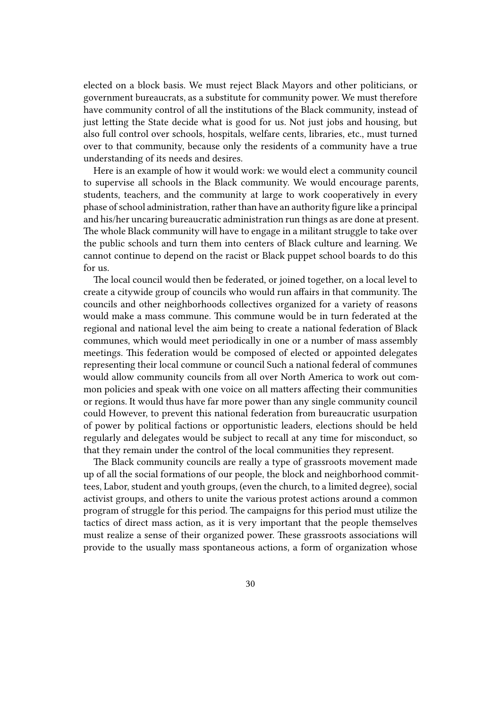elected on a block basis. We must reject Black Mayors and other politicians, or government bureaucrats, as a substitute for community power. We must therefore have community control of all the institutions of the Black community, instead of just letting the State decide what is good for us. Not just jobs and housing, but also full control over schools, hospitals, welfare cents, libraries, etc., must turned over to that community, because only the residents of a community have a true understanding of its needs and desires.

Here is an example of how it would work: we would elect a community council to supervise all schools in the Black community. We would encourage parents, students, teachers, and the community at large to work cooperatively in every phase of school administration, rather than have an authority figure like a principal and his/her uncaring bureaucratic administration run things as are done at present. The whole Black community will have to engage in a militant struggle to take over the public schools and turn them into centers of Black culture and learning. We cannot continue to depend on the racist or Black puppet school boards to do this for us.

The local council would then be federated, or joined together, on a local level to create a citywide group of councils who would run affairs in that community. The councils and other neighborhoods collectives organized for a variety of reasons would make a mass commune. This commune would be in turn federated at the regional and national level the aim being to create a national federation of Black communes, which would meet periodically in one or a number of mass assembly meetings. This federation would be composed of elected or appointed delegates representing their local commune or council Such a national federal of communes would allow community councils from all over North America to work out common policies and speak with one voice on all matters affecting their communities or regions. It would thus have far more power than any single community council could However, to prevent this national federation from bureaucratic usurpation of power by political factions or opportunistic leaders, elections should be held regularly and delegates would be subject to recall at any time for misconduct, so that they remain under the control of the local communities they represent.

The Black community councils are really a type of grassroots movement made up of all the social formations of our people, the block and neighborhood committees, Labor, student and youth groups, (even the church, to a limited degree), social activist groups, and others to unite the various protest actions around a common program of struggle for this period. The campaigns for this period must utilize the tactics of direct mass action, as it is very important that the people themselves must realize a sense of their organized power. These grassroots associations will provide to the usually mass spontaneous actions, a form of organization whose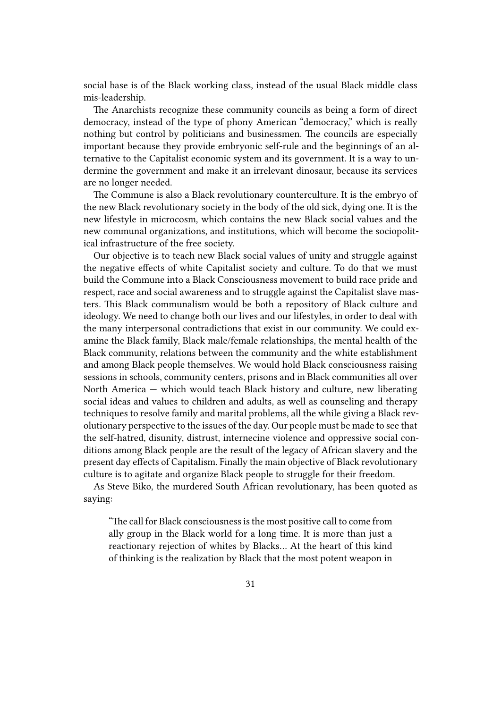social base is of the Black working class, instead of the usual Black middle class mis-leadership.

The Anarchists recognize these community councils as being a form of direct democracy, instead of the type of phony American "democracy," which is really nothing but control by politicians and businessmen. The councils are especially important because they provide embryonic self-rule and the beginnings of an alternative to the Capitalist economic system and its government. It is a way to undermine the government and make it an irrelevant dinosaur, because its services are no longer needed.

The Commune is also a Black revolutionary counterculture. It is the embryo of the new Black revolutionary society in the body of the old sick, dying one. It is the new lifestyle in microcosm, which contains the new Black social values and the new communal organizations, and institutions, which will become the sociopolitical infrastructure of the free society.

Our objective is to teach new Black social values of unity and struggle against the negative effects of white Capitalist society and culture. To do that we must build the Commune into a Black Consciousness movement to build race pride and respect, race and social awareness and to struggle against the Capitalist slave masters. This Black communalism would be both a repository of Black culture and ideology. We need to change both our lives and our lifestyles, in order to deal with the many interpersonal contradictions that exist in our community. We could examine the Black family, Black male/female relationships, the mental health of the Black community, relations between the community and the white establishment and among Black people themselves. We would hold Black consciousness raising sessions in schools, community centers, prisons and in Black communities all over North America — which would teach Black history and culture, new liberating social ideas and values to children and adults, as well as counseling and therapy techniques to resolve family and marital problems, all the while giving a Black revolutionary perspective to the issues of the day. Our people must be made to see that the self-hatred, disunity, distrust, internecine violence and oppressive social conditions among Black people are the result of the legacy of African slavery and the present day effects of Capitalism. Finally the main objective of Black revolutionary culture is to agitate and organize Black people to struggle for their freedom.

As Steve Biko, the murdered South African revolutionary, has been quoted as saying:

"The call for Black consciousness is the most positive call to come from ally group in the Black world for a long time. It is more than just a reactionary rejection of whites by Blacks… At the heart of this kind of thinking is the realization by Black that the most potent weapon in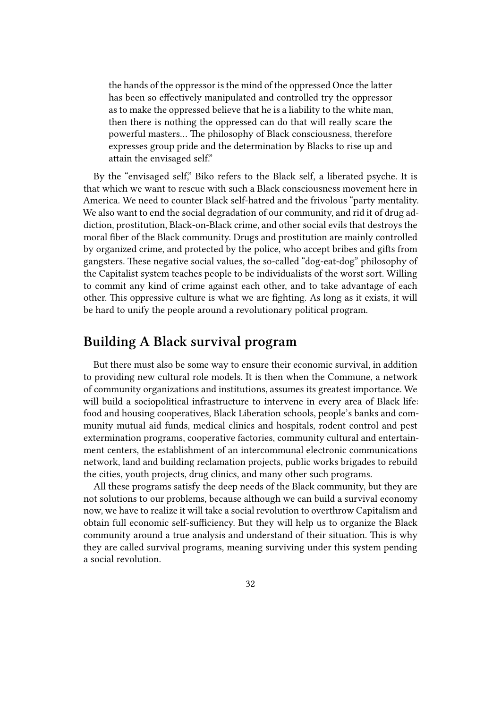the hands of the oppressor is the mind of the oppressed Once the latter has been so effectively manipulated and controlled try the oppressor as to make the oppressed believe that he is a liability to the white man, then there is nothing the oppressed can do that will really scare the powerful masters… The philosophy of Black consciousness, therefore expresses group pride and the determination by Blacks to rise up and attain the envisaged self."

By the "envisaged self," Biko refers to the Black self, a liberated psyche. It is that which we want to rescue with such a Black consciousness movement here in America. We need to counter Black self-hatred and the frivolous "party mentality. We also want to end the social degradation of our community, and rid it of drug addiction, prostitution, Black-on-Black crime, and other social evils that destroys the moral fiber of the Black community. Drugs and prostitution are mainly controlled by organized crime, and protected by the police, who accept bribes and gifts from gangsters. These negative social values, the so-called "dog-eat-dog" philosophy of the Capitalist system teaches people to be individualists of the worst sort. Willing to commit any kind of crime against each other, and to take advantage of each other. This oppressive culture is what we are fighting. As long as it exists, it will be hard to unify the people around a revolutionary political program.

## <span id="page-31-0"></span>**Building A Black survival program**

But there must also be some way to ensure their economic survival, in addition to providing new cultural role models. It is then when the Commune, a network of community organizations and institutions, assumes its greatest importance. We will build a sociopolitical infrastructure to intervene in every area of Black life: food and housing cooperatives, Black Liberation schools, people's banks and community mutual aid funds, medical clinics and hospitals, rodent control and pest extermination programs, cooperative factories, community cultural and entertainment centers, the establishment of an intercommunal electronic communications network, land and building reclamation projects, public works brigades to rebuild the cities, youth projects, drug clinics, and many other such programs.

All these programs satisfy the deep needs of the Black community, but they are not solutions to our problems, because although we can build a survival economy now, we have to realize it will take a social revolution to overthrow Capitalism and obtain full economic self-sufficiency. But they will help us to organize the Black community around a true analysis and understand of their situation. This is why they are called survival programs, meaning surviving under this system pending a social revolution.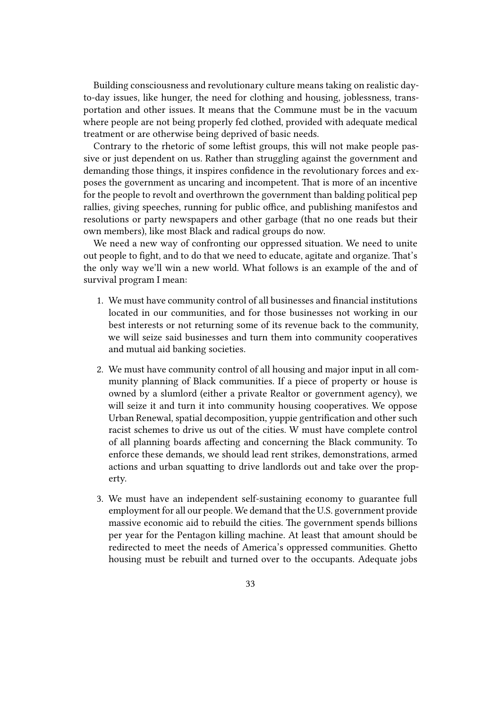Building consciousness and revolutionary culture means taking on realistic dayto-day issues, like hunger, the need for clothing and housing, joblessness, transportation and other issues. It means that the Commune must be in the vacuum where people are not being properly fed clothed, provided with adequate medical treatment or are otherwise being deprived of basic needs.

Contrary to the rhetoric of some leftist groups, this will not make people passive or just dependent on us. Rather than struggling against the government and demanding those things, it inspires confidence in the revolutionary forces and exposes the government as uncaring and incompetent. That is more of an incentive for the people to revolt and overthrown the government than balding political pep rallies, giving speeches, running for public office, and publishing manifestos and resolutions or party newspapers and other garbage (that no one reads but their own members), like most Black and radical groups do now.

We need a new way of confronting our oppressed situation. We need to unite out people to fight, and to do that we need to educate, agitate and organize. That's the only way we'll win a new world. What follows is an example of the and of survival program I mean:

- 1. We must have community control of all businesses and financial institutions located in our communities, and for those businesses not working in our best interests or not returning some of its revenue back to the community, we will seize said businesses and turn them into community cooperatives and mutual aid banking societies.
- 2. We must have community control of all housing and major input in all community planning of Black communities. If a piece of property or house is owned by a slumlord (either a private Realtor or government agency), we will seize it and turn it into community housing cooperatives. We oppose Urban Renewal, spatial decomposition, yuppie gentrification and other such racist schemes to drive us out of the cities. W must have complete control of all planning boards affecting and concerning the Black community. To enforce these demands, we should lead rent strikes, demonstrations, armed actions and urban squatting to drive landlords out and take over the property.
- 3. We must have an independent self-sustaining economy to guarantee full employment for all our people. We demand that the U.S. government provide massive economic aid to rebuild the cities. The government spends billions per year for the Pentagon killing machine. At least that amount should be redirected to meet the needs of America's oppressed communities. Ghetto housing must be rebuilt and turned over to the occupants. Adequate jobs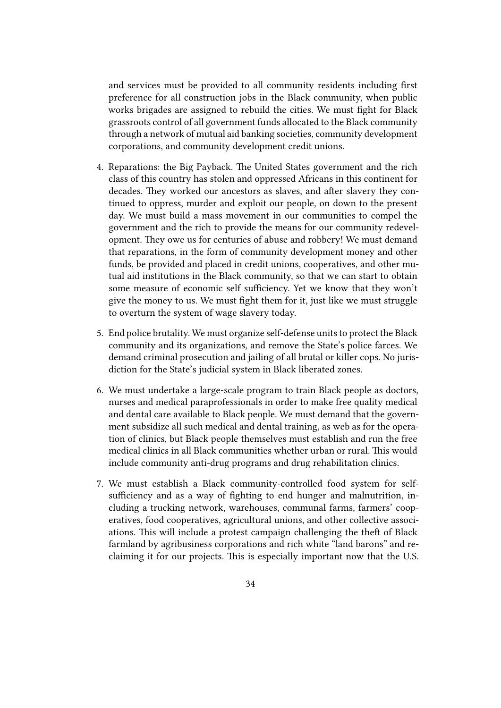and services must be provided to all community residents including first preference for all construction jobs in the Black community, when public works brigades are assigned to rebuild the cities. We must fight for Black grassroots control of all government funds allocated to the Black community through a network of mutual aid banking societies, community development corporations, and community development credit unions.

- 4. Reparations: the Big Payback. The United States government and the rich class of this country has stolen and oppressed Africans in this continent for decades. They worked our ancestors as slaves, and after slavery they continued to oppress, murder and exploit our people, on down to the present day. We must build a mass movement in our communities to compel the government and the rich to provide the means for our community redevelopment. They owe us for centuries of abuse and robbery! We must demand that reparations, in the form of community development money and other funds, be provided and placed in credit unions, cooperatives, and other mutual aid institutions in the Black community, so that we can start to obtain some measure of economic self sufficiency. Yet we know that they won't give the money to us. We must fight them for it, just like we must struggle to overturn the system of wage slavery today.
- 5. End police brutality. We must organize self-defense units to protect the Black community and its organizations, and remove the State's police farces. We demand criminal prosecution and jailing of all brutal or killer cops. No jurisdiction for the State's judicial system in Black liberated zones.
- 6. We must undertake a large-scale program to train Black people as doctors, nurses and medical paraprofessionals in order to make free quality medical and dental care available to Black people. We must demand that the government subsidize all such medical and dental training, as web as for the operation of clinics, but Black people themselves must establish and run the free medical clinics in all Black communities whether urban or rural. This would include community anti-drug programs and drug rehabilitation clinics.
- 7. We must establish a Black community-controlled food system for selfsufficiency and as a way of fighting to end hunger and malnutrition, including a trucking network, warehouses, communal farms, farmers' cooperatives, food cooperatives, agricultural unions, and other collective associations. This will include a protest campaign challenging the theft of Black farmland by agribusiness corporations and rich white "land barons" and reclaiming it for our projects. This is especially important now that the U.S.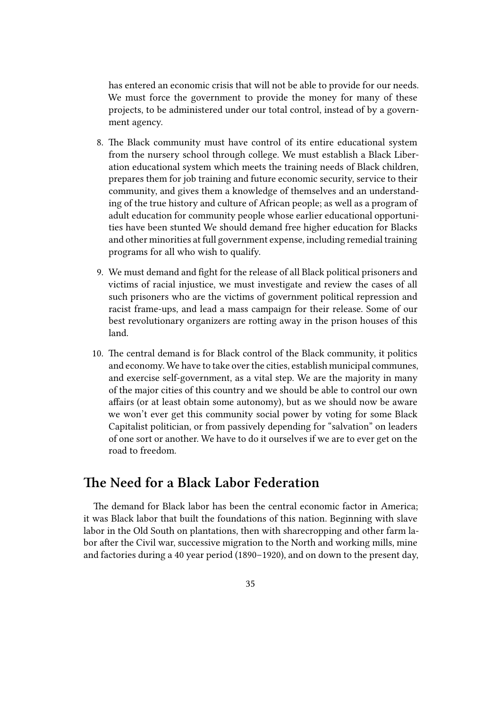has entered an economic crisis that will not be able to provide for our needs. We must force the government to provide the money for many of these projects, to be administered under our total control, instead of by a government agency.

- 8. The Black community must have control of its entire educational system from the nursery school through college. We must establish a Black Liberation educational system which meets the training needs of Black children, prepares them for job training and future economic security, service to their community, and gives them a knowledge of themselves and an understanding of the true history and culture of African people; as well as a program of adult education for community people whose earlier educational opportunities have been stunted We should demand free higher education for Blacks and other minorities at full government expense, including remedial training programs for all who wish to qualify.
- 9. We must demand and fight for the release of all Black political prisoners and victims of racial injustice, we must investigate and review the cases of all such prisoners who are the victims of government political repression and racist frame-ups, and lead a mass campaign for their release. Some of our best revolutionary organizers are rotting away in the prison houses of this land.
- 10. The central demand is for Black control of the Black community, it politics and economy. We have to take over the cities, establish municipal communes, and exercise self-government, as a vital step. We are the majority in many of the major cities of this country and we should be able to control our own affairs (or at least obtain some autonomy), but as we should now be aware we won't ever get this community social power by voting for some Black Capitalist politician, or from passively depending for "salvation" on leaders of one sort or another. We have to do it ourselves if we are to ever get on the road to freedom.

#### <span id="page-34-0"></span>**The Need for a Black Labor Federation**

The demand for Black labor has been the central economic factor in America; it was Black labor that built the foundations of this nation. Beginning with slave labor in the Old South on plantations, then with sharecropping and other farm labor after the Civil war, successive migration to the North and working mills, mine and factories during a 40 year period (1890–1920), and on down to the present day,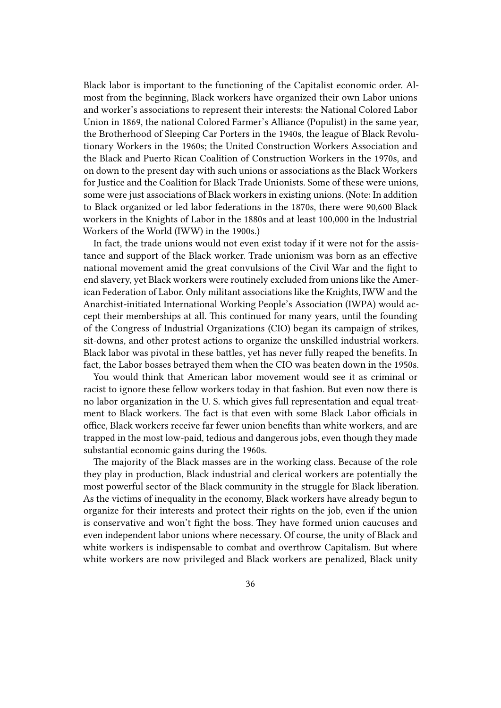Black labor is important to the functioning of the Capitalist economic order. Almost from the beginning, Black workers have organized their own Labor unions and worker's associations to represent their interests: the National Colored Labor Union in 1869, the national Colored Farmer's Alliance (Populist) in the same year, the Brotherhood of Sleeping Car Porters in the 1940s, the league of Black Revolutionary Workers in the 1960s; the United Construction Workers Association and the Black and Puerto Rican Coalition of Construction Workers in the 1970s, and on down to the present day with such unions or associations as the Black Workers for Justice and the Coalition for Black Trade Unionists. Some of these were unions, some were just associations of Black workers in existing unions. (Note: In addition to Black organized or led labor federations in the 1870s, there were 90,600 Black workers in the Knights of Labor in the 1880s and at least 100,000 in the Industrial Workers of the World (IWW) in the 1900s.)

In fact, the trade unions would not even exist today if it were not for the assistance and support of the Black worker. Trade unionism was born as an effective national movement amid the great convulsions of the Civil War and the fight to end slavery, yet Black workers were routinely excluded from unions like the American Federation of Labor. Only militant associations like the Knights, IWW and the Anarchist-initiated International Working People's Association (IWPA) would accept their memberships at all. This continued for many years, until the founding of the Congress of Industrial Organizations (CIO) began its campaign of strikes, sit-downs, and other protest actions to organize the unskilled industrial workers. Black labor was pivotal in these battles, yet has never fully reaped the benefits. In fact, the Labor bosses betrayed them when the CIO was beaten down in the 1950s.

You would think that American labor movement would see it as criminal or racist to ignore these fellow workers today in that fashion. But even now there is no labor organization in the U. S. which gives full representation and equal treatment to Black workers. The fact is that even with some Black Labor officials in office, Black workers receive far fewer union benefits than white workers, and are trapped in the most low-paid, tedious and dangerous jobs, even though they made substantial economic gains during the 1960s.

The majority of the Black masses are in the working class. Because of the role they play in production, Black industrial and clerical workers are potentially the most powerful sector of the Black community in the struggle for Black liberation. As the victims of inequality in the economy, Black workers have already begun to organize for their interests and protect their rights on the job, even if the union is conservative and won't fight the boss. They have formed union caucuses and even independent labor unions where necessary. Of course, the unity of Black and white workers is indispensable to combat and overthrow Capitalism. But where white workers are now privileged and Black workers are penalized, Black unity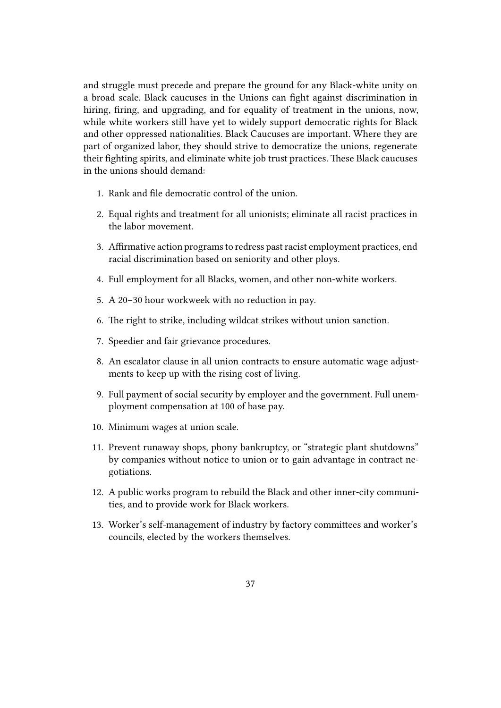and struggle must precede and prepare the ground for any Black-white unity on a broad scale. Black caucuses in the Unions can fight against discrimination in hiring, firing, and upgrading, and for equality of treatment in the unions, now, while white workers still have yet to widely support democratic rights for Black and other oppressed nationalities. Black Caucuses are important. Where they are part of organized labor, they should strive to democratize the unions, regenerate their fighting spirits, and eliminate white job trust practices. These Black caucuses in the unions should demand:

- 1. Rank and file democratic control of the union.
- 2. Equal rights and treatment for all unionists; eliminate all racist practices in the labor movement.
- 3. Affirmative action programs to redress past racist employment practices, end racial discrimination based on seniority and other ploys.
- 4. Full employment for all Blacks, women, and other non-white workers.
- 5. A 20–30 hour workweek with no reduction in pay.
- 6. The right to strike, including wildcat strikes without union sanction.
- 7. Speedier and fair grievance procedures.
- 8. An escalator clause in all union contracts to ensure automatic wage adjustments to keep up with the rising cost of living.
- 9. Full payment of social security by employer and the government. Full unemployment compensation at 100 of base pay.
- 10. Minimum wages at union scale.
- 11. Prevent runaway shops, phony bankruptcy, or "strategic plant shutdowns" by companies without notice to union or to gain advantage in contract negotiations.
- 12. A public works program to rebuild the Black and other inner-city communities, and to provide work for Black workers.
- 13. Worker's self-management of industry by factory committees and worker's councils, elected by the workers themselves.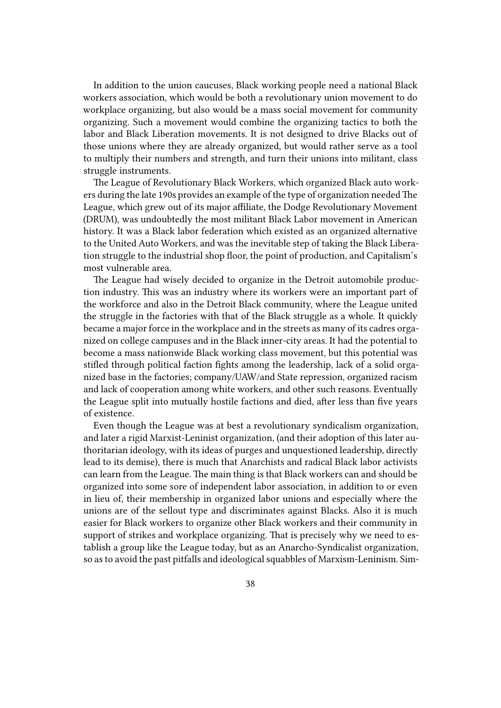In addition to the union caucuses, Black working people need a national Black workers association, which would be both a revolutionary union movement to do workplace organizing, but also would be a mass social movement for community organizing. Such a movement would combine the organizing tactics to both the labor and Black Liberation movements. It is not designed to drive Blacks out of those unions where they are already organized, but would rather serve as a tool to multiply their numbers and strength, and turn their unions into militant, class struggle instruments.

The League of Revolutionary Black Workers, which organized Black auto workers during the late 190s provides an example of the type of organization needed The League, which grew out of its major affiliate, the Dodge Revolutionary Movement (DRUM), was undoubtedly the most militant Black Labor movement in American history. It was a Black labor federation which existed as an organized alternative to the United Auto Workers, and was the inevitable step of taking the Black Liberation struggle to the industrial shop floor, the point of production, and Capitalism's most vulnerable area.

The League had wisely decided to organize in the Detroit automobile production industry. This was an industry where its workers were an important part of the workforce and also in the Detroit Black community, where the League united the struggle in the factories with that of the Black struggle as a whole. It quickly became a major force in the workplace and in the streets as many of its cadres organized on college campuses and in the Black inner-city areas. It had the potential to become a mass nationwide Black working class movement, but this potential was stifled through political faction fights among the leadership, lack of a solid organized base in the factories; company/UAW/and State repression, organized racism and lack of cooperation among white workers, and other such reasons. Eventually the League split into mutually hostile factions and died, after less than five years of existence.

Even though the League was at best a revolutionary syndicalism organization, and later a rigid Marxist-Leninist organization, (and their adoption of this later authoritarian ideology, with its ideas of purges and unquestioned leadership, directly lead to its demise), there is much that Anarchists and radical Black labor activists can learn from the League. The main thing is that Black workers can and should be organized into some sore of independent labor association, in addition to or even in lieu of, their membership in organized labor unions and especially where the unions are of the sellout type and discriminates against Blacks. Also it is much easier for Black workers to organize other Black workers and their community in support of strikes and workplace organizing. That is precisely why we need to establish a group like the League today, but as an Anarcho-Syndicalist organization, so as to avoid the past pitfalls and ideological squabbles of Marxism-Leninism. Sim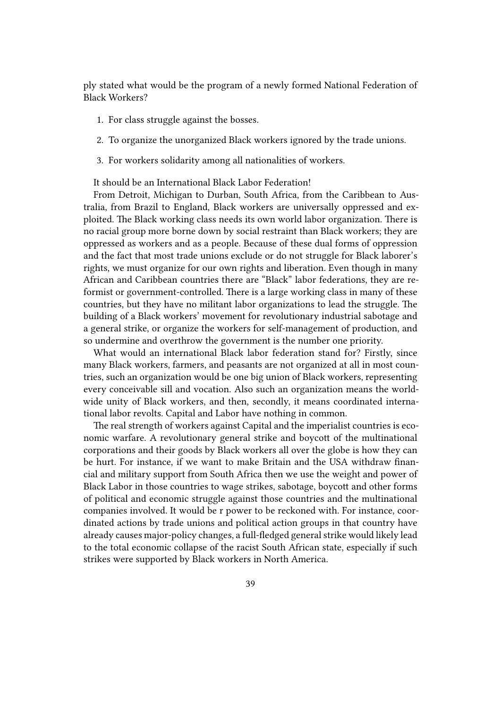ply stated what would be the program of a newly formed National Federation of Black Workers?

- 1. For class struggle against the bosses.
- 2. To organize the unorganized Black workers ignored by the trade unions.
- 3. For workers solidarity among all nationalities of workers.

It should be an International Black Labor Federation!

From Detroit, Michigan to Durban, South Africa, from the Caribbean to Australia, from Brazil to England, Black workers are universally oppressed and exploited. The Black working class needs its own world labor organization. There is no racial group more borne down by social restraint than Black workers; they are oppressed as workers and as a people. Because of these dual forms of oppression and the fact that most trade unions exclude or do not struggle for Black laborer's rights, we must organize for our own rights and liberation. Even though in many African and Caribbean countries there are "Black" labor federations, they are reformist or government-controlled. There is a large working class in many of these countries, but they have no militant labor organizations to lead the struggle. The building of a Black workers' movement for revolutionary industrial sabotage and a general strike, or organize the workers for self-management of production, and so undermine and overthrow the government is the number one priority.

What would an international Black labor federation stand for? Firstly, since many Black workers, farmers, and peasants are not organized at all in most countries, such an organization would be one big union of Black workers, representing every conceivable sill and vocation. Also such an organization means the worldwide unity of Black workers, and then, secondly, it means coordinated international labor revolts. Capital and Labor have nothing in common.

The real strength of workers against Capital and the imperialist countries is economic warfare. A revolutionary general strike and boycott of the multinational corporations and their goods by Black workers all over the globe is how they can be hurt. For instance, if we want to make Britain and the USA withdraw financial and military support from South Africa then we use the weight and power of Black Labor in those countries to wage strikes, sabotage, boycott and other forms of political and economic struggle against those countries and the multinational companies involved. It would be r power to be reckoned with. For instance, coordinated actions by trade unions and political action groups in that country have already causes major-policy changes, a full-fledged general strike would likely lead to the total economic collapse of the racist South African state, especially if such strikes were supported by Black workers in North America.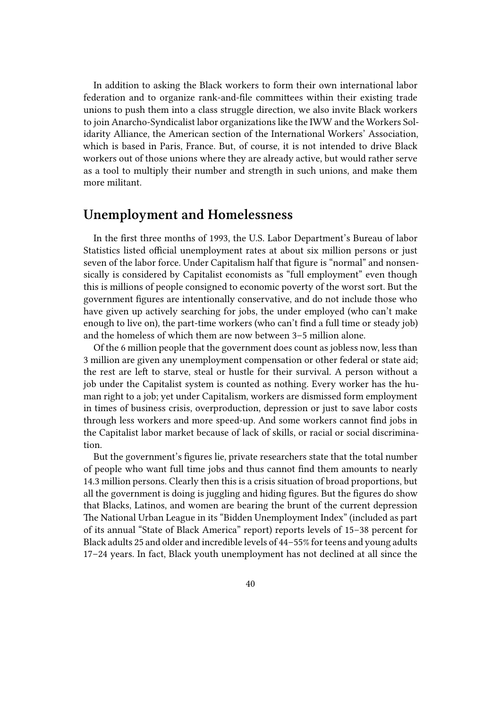In addition to asking the Black workers to form their own international labor federation and to organize rank-and-file committees within their existing trade unions to push them into a class struggle direction, we also invite Black workers to join Anarcho-Syndicalist labor organizations like the IWW and the Workers Solidarity Alliance, the American section of the International Workers' Association, which is based in Paris, France. But, of course, it is not intended to drive Black workers out of those unions where they are already active, but would rather serve as a tool to multiply their number and strength in such unions, and make them more militant.

#### **Unemployment and Homelessness**

In the first three months of 1993, the U.S. Labor Department's Bureau of labor Statistics listed official unemployment rates at about six million persons or just seven of the labor force. Under Capitalism half that figure is "normal" and nonsensically is considered by Capitalist economists as "full employment" even though this is millions of people consigned to economic poverty of the worst sort. But the government figures are intentionally conservative, and do not include those who have given up actively searching for jobs, the under employed (who can't make enough to live on), the part-time workers (who can't find a full time or steady job) and the homeless of which them are now between 3–5 million alone.

Of the 6 million people that the government does count as jobless now, less than 3 million are given any unemployment compensation or other federal or state aid; the rest are left to starve, steal or hustle for their survival. A person without a job under the Capitalist system is counted as nothing. Every worker has the human right to a job; yet under Capitalism, workers are dismissed form employment in times of business crisis, overproduction, depression or just to save labor costs through less workers and more speed-up. And some workers cannot find jobs in the Capitalist labor market because of lack of skills, or racial or social discrimination.

But the government's figures lie, private researchers state that the total number of people who want full time jobs and thus cannot find them amounts to nearly 14.3 million persons. Clearly then this is a crisis situation of broad proportions, but all the government is doing is juggling and hiding figures. But the figures do show that Blacks, Latinos, and women are bearing the brunt of the current depression The National Urban League in its "Bidden Unemployment Index" (included as part of its annual "State of Black America" report) reports levels of 15–38 percent for Black adults 25 and older and incredible levels of 44–55% for teens and young adults 17–24 years. In fact, Black youth unemployment has not declined at all since the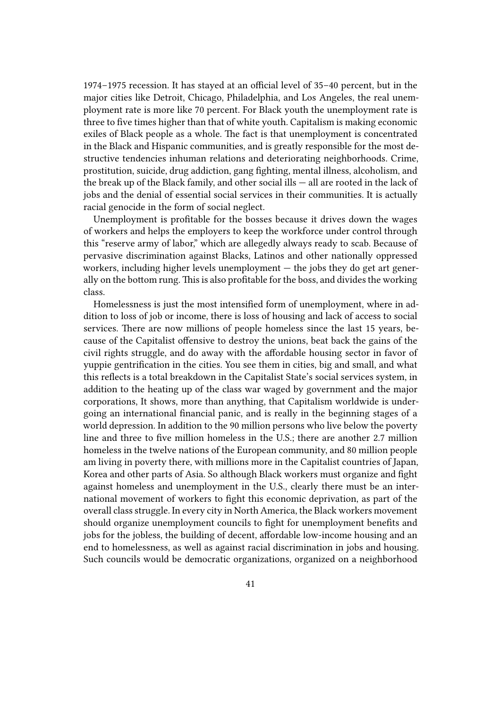1974–1975 recession. It has stayed at an official level of 35–40 percent, but in the major cities like Detroit, Chicago, Philadelphia, and Los Angeles, the real unemployment rate is more like 70 percent. For Black youth the unemployment rate is three to five times higher than that of white youth. Capitalism is making economic exiles of Black people as a whole. The fact is that unemployment is concentrated in the Black and Hispanic communities, and is greatly responsible for the most destructive tendencies inhuman relations and deteriorating neighborhoods. Crime, prostitution, suicide, drug addiction, gang fighting, mental illness, alcoholism, and the break up of the Black family, and other social ills — all are rooted in the lack of jobs and the denial of essential social services in their communities. It is actually racial genocide in the form of social neglect.

Unemployment is profitable for the bosses because it drives down the wages of workers and helps the employers to keep the workforce under control through this "reserve army of labor," which are allegedly always ready to scab. Because of pervasive discrimination against Blacks, Latinos and other nationally oppressed workers, including higher levels unemployment — the jobs they do get art generally on the bottom rung. This is also profitable for the boss, and divides the working class.

Homelessness is just the most intensified form of unemployment, where in addition to loss of job or income, there is loss of housing and lack of access to social services. There are now millions of people homeless since the last 15 years, because of the Capitalist offensive to destroy the unions, beat back the gains of the civil rights struggle, and do away with the affordable housing sector in favor of yuppie gentrification in the cities. You see them in cities, big and small, and what this reflects is a total breakdown in the Capitalist State's social services system, in addition to the heating up of the class war waged by government and the major corporations, It shows, more than anything, that Capitalism worldwide is undergoing an international financial panic, and is really in the beginning stages of a world depression. In addition to the 90 million persons who live below the poverty line and three to five million homeless in the U.S.; there are another 2.7 million homeless in the twelve nations of the European community, and 80 million people am living in poverty there, with millions more in the Capitalist countries of Japan, Korea and other parts of Asia. So although Black workers must organize and fight against homeless and unemployment in the U.S., clearly there must be an international movement of workers to fight this economic deprivation, as part of the overall class struggle. In every city in North America, the Black workers movement should organize unemployment councils to fight for unemployment benefits and jobs for the jobless, the building of decent, affordable low-income housing and an end to homelessness, as well as against racial discrimination in jobs and housing. Such councils would be democratic organizations, organized on a neighborhood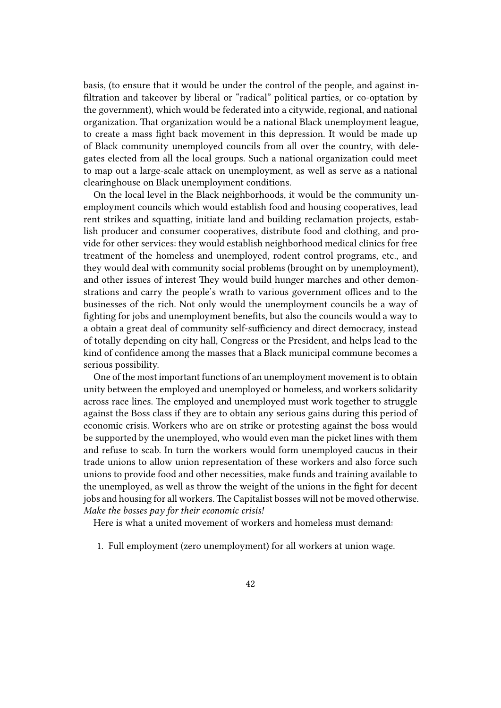basis, (to ensure that it would be under the control of the people, and against infiltration and takeover by liberal or "radical" political parties, or co-optation by the government), which would be federated into a citywide, regional, and national organization. That organization would be a national Black unemployment league, to create a mass fight back movement in this depression. It would be made up of Black community unemployed councils from all over the country, with delegates elected from all the local groups. Such a national organization could meet to map out a large-scale attack on unemployment, as well as serve as a national clearinghouse on Black unemployment conditions.

On the local level in the Black neighborhoods, it would be the community unemployment councils which would establish food and housing cooperatives, lead rent strikes and squatting, initiate land and building reclamation projects, establish producer and consumer cooperatives, distribute food and clothing, and provide for other services: they would establish neighborhood medical clinics for free treatment of the homeless and unemployed, rodent control programs, etc., and they would deal with community social problems (brought on by unemployment), and other issues of interest They would build hunger marches and other demonstrations and carry the people's wrath to various government offices and to the businesses of the rich. Not only would the unemployment councils be a way of fighting for jobs and unemployment benefits, but also the councils would a way to a obtain a great deal of community self-sufficiency and direct democracy, instead of totally depending on city hall, Congress or the President, and helps lead to the kind of confidence among the masses that a Black municipal commune becomes a serious possibility.

One of the most important functions of an unemployment movement is to obtain unity between the employed and unemployed or homeless, and workers solidarity across race lines. The employed and unemployed must work together to struggle against the Boss class if they are to obtain any serious gains during this period of economic crisis. Workers who are on strike or protesting against the boss would be supported by the unemployed, who would even man the picket lines with them and refuse to scab. In turn the workers would form unemployed caucus in their trade unions to allow union representation of these workers and also force such unions to provide food and other necessities, make funds and training available to the unemployed, as well as throw the weight of the unions in the fight for decent jobs and housing for all workers. The Capitalist bosses will not be moved otherwise. *Make the bosses pay for their economic crisis!*

Here is what a united movement of workers and homeless must demand:

1. Full employment (zero unemployment) for all workers at union wage.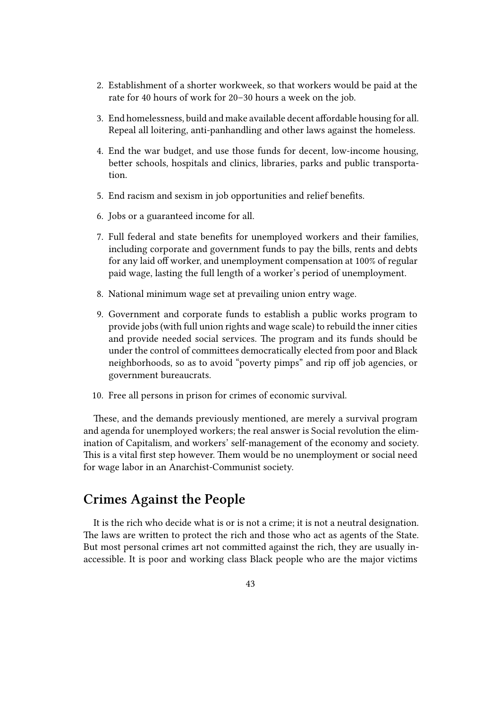- 2. Establishment of a shorter workweek, so that workers would be paid at the rate for 40 hours of work for 20–30 hours a week on the job.
- 3. End homelessness, build and make available decent affordable housing for all. Repeal all loitering, anti-panhandling and other laws against the homeless.
- 4. End the war budget, and use those funds for decent, low-income housing, better schools, hospitals and clinics, libraries, parks and public transportation.
- 5. End racism and sexism in job opportunities and relief benefits.
- 6. Jobs or a guaranteed income for all.
- 7. Full federal and state benefits for unemployed workers and their families, including corporate and government funds to pay the bills, rents and debts for any laid off worker, and unemployment compensation at 100% of regular paid wage, lasting the full length of a worker's period of unemployment.
- 8. National minimum wage set at prevailing union entry wage.
- 9. Government and corporate funds to establish a public works program to provide jobs (with full union rights and wage scale) to rebuild the inner cities and provide needed social services. The program and its funds should be under the control of committees democratically elected from poor and Black neighborhoods, so as to avoid "poverty pimps" and rip off job agencies, or government bureaucrats.
- 10. Free all persons in prison for crimes of economic survival.

These, and the demands previously mentioned, are merely a survival program and agenda for unemployed workers; the real answer is Social revolution the elimination of Capitalism, and workers' self-management of the economy and society. This is a vital first step however. Them would be no unemployment or social need for wage labor in an Anarchist-Communist society.

## **Crimes Against the People**

It is the rich who decide what is or is not a crime; it is not a neutral designation. The laws are written to protect the rich and those who act as agents of the State. But most personal crimes art not committed against the rich, they are usually inaccessible. It is poor and working class Black people who are the major victims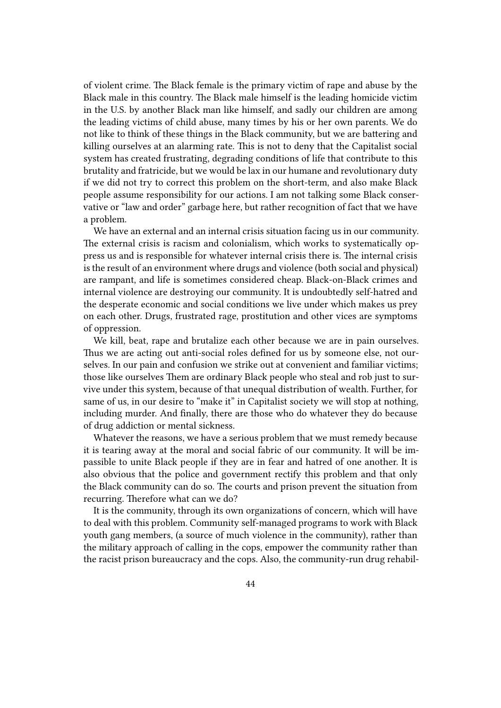of violent crime. The Black female is the primary victim of rape and abuse by the Black male in this country. The Black male himself is the leading homicide victim in the U.S. by another Black man like himself, and sadly our children are among the leading victims of child abuse, many times by his or her own parents. We do not like to think of these things in the Black community, but we are battering and killing ourselves at an alarming rate. This is not to deny that the Capitalist social system has created frustrating, degrading conditions of life that contribute to this brutality and fratricide, but we would be lax in our humane and revolutionary duty if we did not try to correct this problem on the short-term, and also make Black people assume responsibility for our actions. I am not talking some Black conservative or "law and order" garbage here, but rather recognition of fact that we have a problem.

We have an external and an internal crisis situation facing us in our community. The external crisis is racism and colonialism, which works to systematically oppress us and is responsible for whatever internal crisis there is. The internal crisis is the result of an environment where drugs and violence (both social and physical) are rampant, and life is sometimes considered cheap. Black-on-Black crimes and internal violence are destroying our community. It is undoubtedly self-hatred and the desperate economic and social conditions we live under which makes us prey on each other. Drugs, frustrated rage, prostitution and other vices are symptoms of oppression.

We kill, beat, rape and brutalize each other because we are in pain ourselves. Thus we are acting out anti-social roles defined for us by someone else, not ourselves. In our pain and confusion we strike out at convenient and familiar victims; those like ourselves Them are ordinary Black people who steal and rob just to survive under this system, because of that unequal distribution of wealth. Further, for same of us, in our desire to "make it" in Capitalist society we will stop at nothing, including murder. And finally, there are those who do whatever they do because of drug addiction or mental sickness.

Whatever the reasons, we have a serious problem that we must remedy because it is tearing away at the moral and social fabric of our community. It will be impassible to unite Black people if they are in fear and hatred of one another. It is also obvious that the police and government rectify this problem and that only the Black community can do so. The courts and prison prevent the situation from recurring. Therefore what can we do?

It is the community, through its own organizations of concern, which will have to deal with this problem. Community self-managed programs to work with Black youth gang members, (a source of much violence in the community), rather than the military approach of calling in the cops, empower the community rather than the racist prison bureaucracy and the cops. Also, the community-run drug rehabil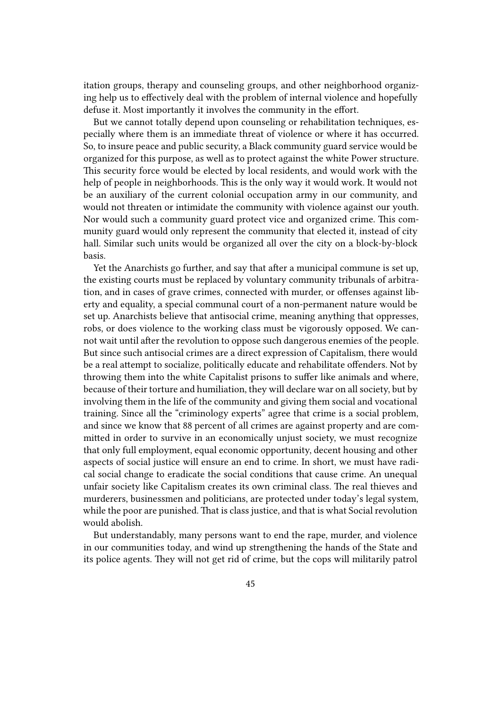itation groups, therapy and counseling groups, and other neighborhood organizing help us to effectively deal with the problem of internal violence and hopefully defuse it. Most importantly it involves the community in the effort.

But we cannot totally depend upon counseling or rehabilitation techniques, especially where them is an immediate threat of violence or where it has occurred. So, to insure peace and public security, a Black community guard service would be organized for this purpose, as well as to protect against the white Power structure. This security force would be elected by local residents, and would work with the help of people in neighborhoods. This is the only way it would work. It would not be an auxiliary of the current colonial occupation army in our community, and would not threaten or intimidate the community with violence against our youth. Nor would such a community guard protect vice and organized crime. This community guard would only represent the community that elected it, instead of city hall. Similar such units would be organized all over the city on a block-by-block basis.

Yet the Anarchists go further, and say that after a municipal commune is set up, the existing courts must be replaced by voluntary community tribunals of arbitration, and in cases of grave crimes, connected with murder, or offenses against liberty and equality, a special communal court of a non-permanent nature would be set up. Anarchists believe that antisocial crime, meaning anything that oppresses, robs, or does violence to the working class must be vigorously opposed. We cannot wait until after the revolution to oppose such dangerous enemies of the people. But since such antisocial crimes are a direct expression of Capitalism, there would be a real attempt to socialize, politically educate and rehabilitate offenders. Not by throwing them into the white Capitalist prisons to suffer like animals and where, because of their torture and humiliation, they will declare war on all society, but by involving them in the life of the community and giving them social and vocational training. Since all the "criminology experts" agree that crime is a social problem, and since we know that 88 percent of all crimes are against property and are committed in order to survive in an economically unjust society, we must recognize that only full employment, equal economic opportunity, decent housing and other aspects of social justice will ensure an end to crime. In short, we must have radical social change to eradicate the social conditions that cause crime. An unequal unfair society like Capitalism creates its own criminal class. The real thieves and murderers, businessmen and politicians, are protected under today's legal system, while the poor are punished. That is class justice, and that is what Social revolution would abolish.

But understandably, many persons want to end the rape, murder, and violence in our communities today, and wind up strengthening the hands of the State and its police agents. They will not get rid of crime, but the cops will militarily patrol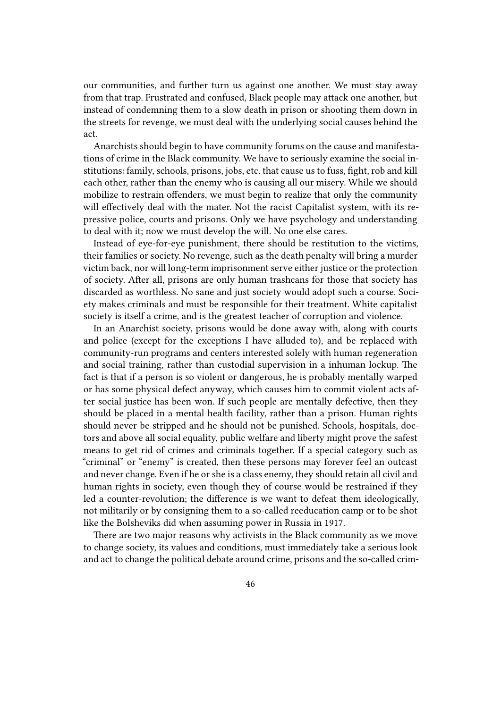our communities, and further turn us against one another. We must stay away from that trap. Frustrated and confused, Black people may attack one another, but instead of condemning them to a slow death in prison or shooting them down in the streets for revenge, we must deal with the underlying social causes behind the act.

Anarchists should begin to have community forums on the cause and manifestations of crime in the Black community. We have to seriously examine the social institutions: family, schools, prisons, jobs, etc. that cause us to fuss, fight, rob and kill each other, rather than the enemy who is causing all our misery. While we should mobilize to restrain offenders, we must begin to realize that only the community will effectively deal with the mater. Not the racist Capitalist system, with its repressive police, courts and prisons. Only we have psychology and understanding to deal with it; now we must develop the will. No one else cares.

Instead of eye-for-eye punishment, there should be restitution to the victims, their families or society. No revenge, such as the death penalty will bring a murder victim back, nor will long-term imprisonment serve either justice or the protection of society. After all, prisons are only human trashcans for those that society has discarded as worthless. No sane and just society would adopt such a course. Society makes criminals and must be responsible for their treatment. White capitalist society is itself a crime, and is the greatest teacher of corruption and violence.

In an Anarchist society, prisons would be done away with, along with courts and police (except for the exceptions I have alluded to), and be replaced with community-run programs and centers interested solely with human regeneration and social training, rather than custodial supervision in a inhuman lockup. The fact is that if a person is so violent or dangerous, he is probably mentally warped or has some physical defect anyway, which causes him to commit violent acts after social justice has been won. If such people are mentally defective, then they should be placed in a mental health facility, rather than a prison. Human rights should never be stripped and he should not be punished. Schools, hospitals, doctors and above all social equality, public welfare and liberty might prove the safest means to get rid of crimes and criminals together. If a special category such as "criminal" or "enemy" is created, then these persons may forever feel an outcast and never change. Even if he or she is a class enemy, they should retain all civil and human rights in society, even though they of course would be restrained if they led a counter-revolution; the difference is we want to defeat them ideologically, not militarily or by consigning them to a so-called reeducation camp or to be shot like the Bolsheviks did when assuming power in Russia in 1917.

There are two major reasons why activists in the Black community as we move to change society, its values and conditions, must immediately take a serious look and act to change the political debate around crime, prisons and the so-called crim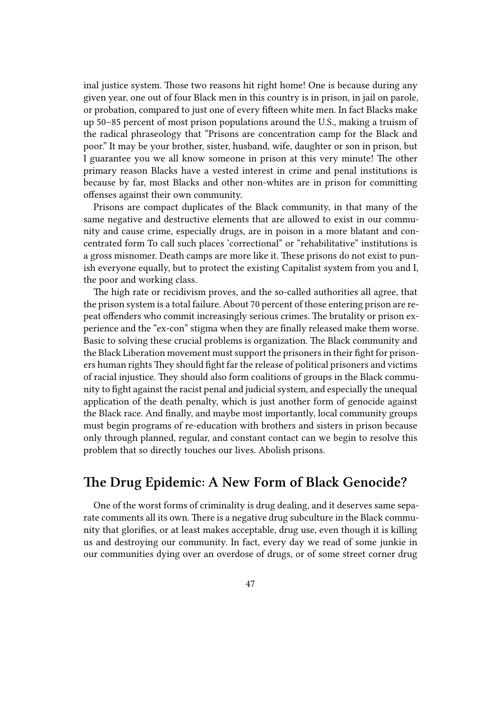inal justice system. Those two reasons hit right home! One is because during any given year, one out of four Black men in this country is in prison, in jail on parole, or probation, compared to just one of every fifteen white men. In fact Blacks make up 50–85 percent of most prison populations around the U.S., making a truism of the radical phraseology that "Prisons are concentration camp for the Black and poor." It may be your brother, sister, husband, wife, daughter or son in prison, but I guarantee you we all know someone in prison at this very minute! The other primary reason Blacks have a vested interest in crime and penal institutions is because by far, most Blacks and other non-whites are in prison for committing offenses against their own community.

Prisons are compact duplicates of the Black community, in that many of the same negative and destructive elements that are allowed to exist in our community and cause crime, especially drugs, are in poison in a more blatant and concentrated form To call such places 'correctional" or "rehabilitative" institutions is a gross misnomer. Death camps are more like it. These prisons do not exist to punish everyone equally, but to protect the existing Capitalist system from you and I, the poor and working class.

The high rate or recidivism proves, and the so-called authorities all agree, that the prison system is a total failure. About 70 percent of those entering prison are repeat offenders who commit increasingly serious crimes. The brutality or prison experience and the "ex-con" stigma when they are finally released make them worse. Basic to solving these crucial problems is organization. The Black community and the Black Liberation movement must support the prisoners in their fight for prisoners human rights They should fight far the release of political prisoners and victims of racial injustice. They should also form coalitions of groups in the Black community to fight against the racist penal and judicial system, and especially the unequal application of the death penalty, which is just another form of genocide against the Black race. And finally, and maybe most importantly, local community groups must begin programs of re-education with brothers and sisters in prison because only through planned, regular, and constant contact can we begin to resolve this problem that so directly touches our lives. Abolish prisons.

#### **The Drug Epidemic: A New Form of Black Genocide?**

One of the worst forms of criminality is drug dealing, and it deserves same separate comments all its own. There is a negative drug subculture in the Black community that glorifies, or at least makes acceptable, drug use, even though it is killing us and destroying our community. In fact, every day we read of some junkie in our communities dying over an overdose of drugs, or of some street corner drug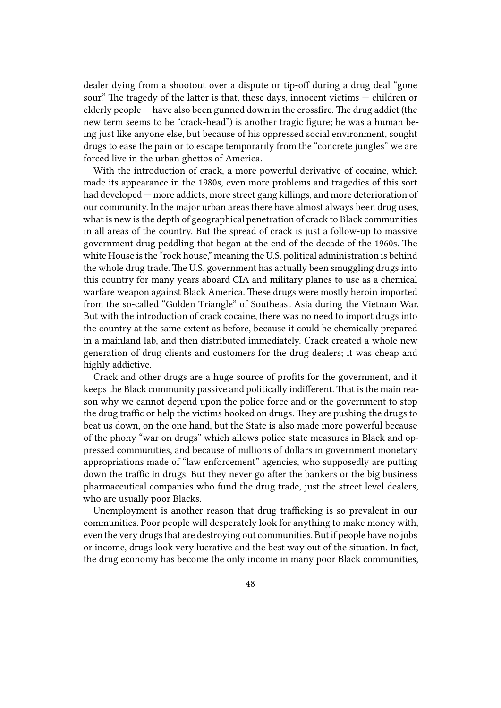dealer dying from a shootout over a dispute or tip-off during a drug deal "gone sour." The tragedy of the latter is that, these days, innocent victims — children or elderly people — have also been gunned down in the crossfire. The drug addict (the new term seems to be "crack-head") is another tragic figure; he was a human being just like anyone else, but because of his oppressed social environment, sought drugs to ease the pain or to escape temporarily from the "concrete jungles" we are forced live in the urban ghettos of America.

With the introduction of crack, a more powerful derivative of cocaine, which made its appearance in the 1980s, even more problems and tragedies of this sort had developed — more addicts, more street gang killings, and more deterioration of our community. In the major urban areas there have almost always been drug uses, what is new is the depth of geographical penetration of crack to Black communities in all areas of the country. But the spread of crack is just a follow-up to massive government drug peddling that began at the end of the decade of the 1960s. The white House is the "rock house," meaning the U.S. political administration is behind the whole drug trade. The U.S. government has actually been smuggling drugs into this country for many years aboard CIA and military planes to use as a chemical warfare weapon against Black America. These drugs were mostly heroin imported from the so-called "Golden Triangle" of Southeast Asia during the Vietnam War. But with the introduction of crack cocaine, there was no need to import drugs into the country at the same extent as before, because it could be chemically prepared in a mainland lab, and then distributed immediately. Crack created a whole new generation of drug clients and customers for the drug dealers; it was cheap and highly addictive.

Crack and other drugs are a huge source of profits for the government, and it keeps the Black community passive and politically indifferent. That is the main reason why we cannot depend upon the police force and or the government to stop the drug traffic or help the victims hooked on drugs. They are pushing the drugs to beat us down, on the one hand, but the State is also made more powerful because of the phony "war on drugs" which allows police state measures in Black and oppressed communities, and because of millions of dollars in government monetary appropriations made of "law enforcement" agencies, who supposedly are putting down the traffic in drugs. But they never go after the bankers or the big business pharmaceutical companies who fund the drug trade, just the street level dealers, who are usually poor Blacks.

Unemployment is another reason that drug trafficking is so prevalent in our communities. Poor people will desperately look for anything to make money with, even the very drugs that are destroying out communities. But if people have no jobs or income, drugs look very lucrative and the best way out of the situation. In fact, the drug economy has become the only income in many poor Black communities,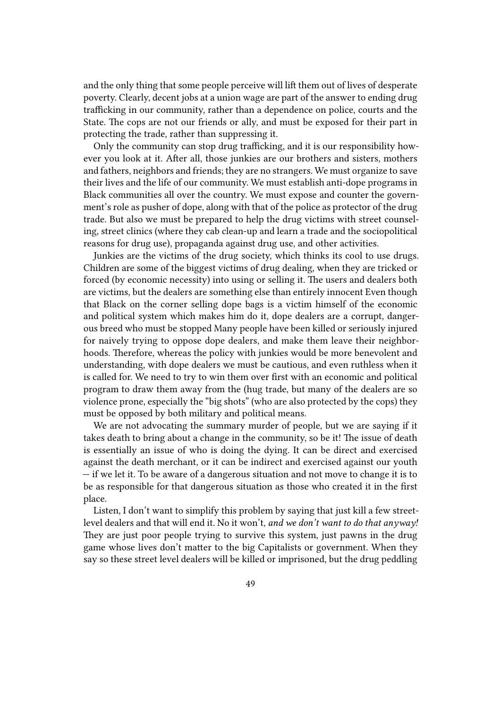and the only thing that some people perceive will lift them out of lives of desperate poverty. Clearly, decent jobs at a union wage are part of the answer to ending drug trafficking in our community, rather than a dependence on police, courts and the State. The cops are not our friends or ally, and must be exposed for their part in protecting the trade, rather than suppressing it.

Only the community can stop drug trafficking, and it is our responsibility however you look at it. After all, those junkies are our brothers and sisters, mothers and fathers, neighbors and friends; they are no strangers. We must organize to save their lives and the life of our community. We must establish anti-dope programs in Black communities all over the country. We must expose and counter the government's role as pusher of dope, along with that of the police as protector of the drug trade. But also we must be prepared to help the drug victims with street counseling, street clinics (where they cab clean-up and learn a trade and the sociopolitical reasons for drug use), propaganda against drug use, and other activities.

Junkies are the victims of the drug society, which thinks its cool to use drugs. Children are some of the biggest victims of drug dealing, when they are tricked or forced (by economic necessity) into using or selling it. The users and dealers both are victims, but the dealers are something else than entirely innocent Even though that Black on the corner selling dope bags is a victim himself of the economic and political system which makes him do it, dope dealers are a corrupt, dangerous breed who must be stopped Many people have been killed or seriously injured for naively trying to oppose dope dealers, and make them leave their neighborhoods. Therefore, whereas the policy with junkies would be more benevolent and understanding, with dope dealers we must be cautious, and even ruthless when it is called for. We need to try to win them over first with an economic and political program to draw them away from the (hug trade, but many of the dealers are so violence prone, especially the "big shots" (who are also protected by the cops) they must be opposed by both military and political means.

We are not advocating the summary murder of people, but we are saying if it takes death to bring about a change in the community, so be it! The issue of death is essentially an issue of who is doing the dying. It can be direct and exercised against the death merchant, or it can be indirect and exercised against our youth — if we let it. To be aware of a dangerous situation and not move to change it is to be as responsible for that dangerous situation as those who created it in the first place.

Listen, I don't want to simplify this problem by saying that just kill a few streetlevel dealers and that will end it. No it won't, *and we don't want to do that anyway!* They are just poor people trying to survive this system, just pawns in the drug game whose lives don't matter to the big Capitalists or government. When they say so these street level dealers will be killed or imprisoned, but the drug peddling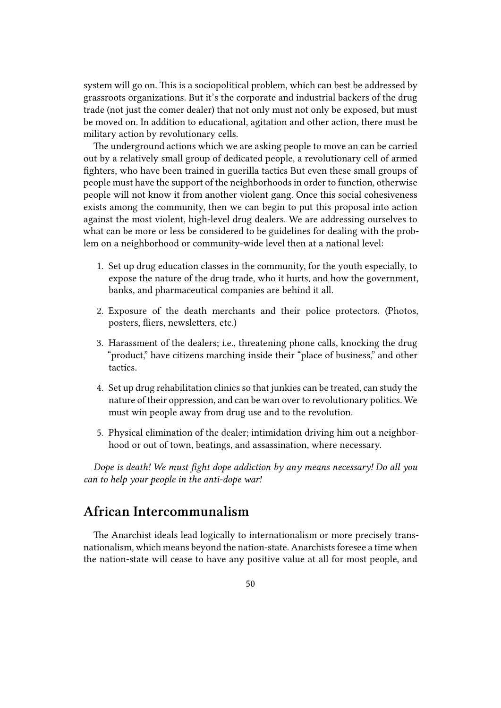system will go on. This is a sociopolitical problem, which can best be addressed by grassroots organizations. But it's the corporate and industrial backers of the drug trade (not just the comer dealer) that not only must not only be exposed, but must be moved on. In addition to educational, agitation and other action, there must be military action by revolutionary cells.

The underground actions which we are asking people to move an can be carried out by a relatively small group of dedicated people, a revolutionary cell of armed fighters, who have been trained in guerilla tactics But even these small groups of people must have the support of the neighborhoods in order to function, otherwise people will not know it from another violent gang. Once this social cohesiveness exists among the community, then we can begin to put this proposal into action against the most violent, high-level drug dealers. We are addressing ourselves to what can be more or less be considered to be guidelines for dealing with the problem on a neighborhood or community-wide level then at a national level:

- 1. Set up drug education classes in the community, for the youth especially, to expose the nature of the drug trade, who it hurts, and how the government, banks, and pharmaceutical companies are behind it all.
- 2. Exposure of the death merchants and their police protectors. (Photos, posters, fliers, newsletters, etc.)
- 3. Harassment of the dealers; i.e., threatening phone calls, knocking the drug "product," have citizens marching inside their "place of business," and other tactics.
- 4. Set up drug rehabilitation clinics so that junkies can be treated, can study the nature of their oppression, and can be wan over to revolutionary politics. We must win people away from drug use and to the revolution.
- 5. Physical elimination of the dealer; intimidation driving him out a neighborhood or out of town, beatings, and assassination, where necessary.

*Dope is death! We must fight dope addiction by any means necessary! Do all you can to help your people in the anti-dope war!*

#### **African Intercommunalism**

The Anarchist ideals lead logically to internationalism or more precisely transnationalism, which means beyond the nation-state. Anarchists foresee a time when the nation-state will cease to have any positive value at all for most people, and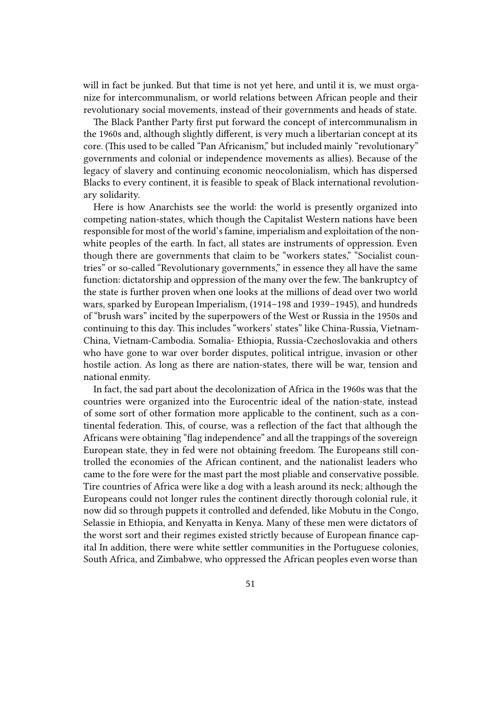will in fact be junked. But that time is not yet here, and until it is, we must organize for intercommunalism, or world relations between African people and their revolutionary social movements, instead of their governments and heads of state.

The Black Panther Party first put forward the concept of intercommunalism in the 1960s and, although slightly different, is very much a libertarian concept at its core. (This used to be called "Pan Africanism," but included mainly "revolutionary" governments and colonial or independence movements as allies). Because of the legacy of slavery and continuing economic neocolonialism, which has dispersed Blacks to every continent, it is feasible to speak of Black international revolutionary solidarity.

Here is how Anarchists see the world: the world is presently organized into competing nation-states, which though the Capitalist Western nations have been responsible for most of the world's famine, imperialism and exploitation of the nonwhite peoples of the earth. In fact, all states are instruments of oppression. Even though there are governments that claim to be "workers states," "Socialist countries" or so-called "Revolutionary governments," in essence they all have the same function: dictatorship and oppression of the many over the few. The bankruptcy of the state is further proven when one looks at the millions of dead over two world wars, sparked by European Imperialism, (1914–198 and 1939–1945), and hundreds of "brush wars" incited by the superpowers of the West or Russia in the 1950s and continuing to this day. This includes "workers' states" like China-Russia, Vietnam-China, Vietnam-Cambodia. Somalia- Ethiopia, Russia-Czechoslovakia and others who have gone to war over border disputes, political intrigue, invasion or other hostile action. As long as there are nation-states, there will be war, tension and national enmity.

In fact, the sad part about the decolonization of Africa in the 1960s was that the countries were organized into the Eurocentric ideal of the nation-state, instead of some sort of other formation more applicable to the continent, such as a continental federation. This, of course, was a reflection of the fact that although the Africans were obtaining "flag independence" and all the trappings of the sovereign European state, they in fed were not obtaining freedom. The Europeans still controlled the economies of the African continent, and the nationalist leaders who came to the fore were for the mast part the most pliable and conservative possible. Tire countries of Africa were like a dog with a leash around its neck; although the Europeans could not longer rules the continent directly thorough colonial rule, it now did so through puppets it controlled and defended, like Mobutu in the Congo, Selassie in Ethiopia, and Kenyatta in Kenya. Many of these men were dictators of the worst sort and their regimes existed strictly because of European finance capital In addition, there were white settler communities in the Portuguese colonies, South Africa, and Zimbabwe, who oppressed the African peoples even worse than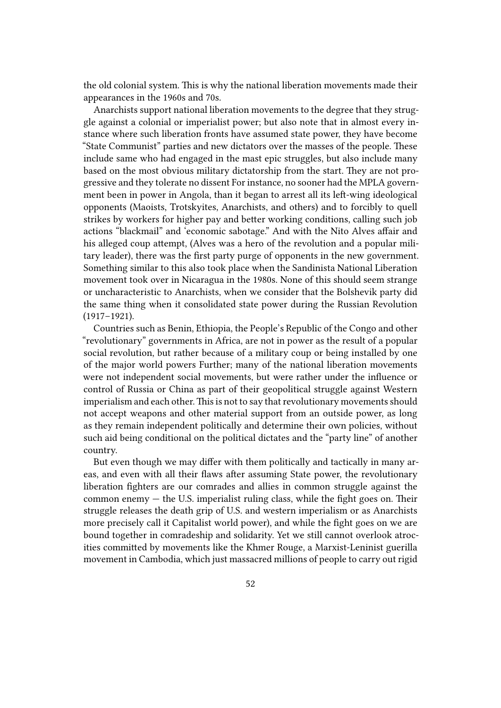the old colonial system. This is why the national liberation movements made their appearances in the 1960s and 70s.

Anarchists support national liberation movements to the degree that they struggle against a colonial or imperialist power; but also note that in almost every instance where such liberation fronts have assumed state power, they have become "State Communist" parties and new dictators over the masses of the people. These include same who had engaged in the mast epic struggles, but also include many based on the most obvious military dictatorship from the start. They are not progressive and they tolerate no dissent For instance, no sooner had the MPLA government been in power in Angola, than it began to arrest all its left-wing ideological opponents (Maoists, Trotskyites, Anarchists, and others) and to forcibly to quell strikes by workers for higher pay and better working conditions, calling such job actions "blackmail" and 'economic sabotage." And with the Nito Alves affair and his alleged coup attempt, (Alves was a hero of the revolution and a popular military leader), there was the first party purge of opponents in the new government. Something similar to this also took place when the Sandinista National Liberation movement took over in Nicaragua in the 1980s. None of this should seem strange or uncharacteristic to Anarchists, when we consider that the Bolshevik party did the same thing when it consolidated state power during the Russian Revolution (1917–1921).

Countries such as Benin, Ethiopia, the People's Republic of the Congo and other "revolutionary" governments in Africa, are not in power as the result of a popular social revolution, but rather because of a military coup or being installed by one of the major world powers Further; many of the national liberation movements were not independent social movements, but were rather under the influence or control of Russia or China as part of their geopolitical struggle against Western imperialism and each other. This is not to say that revolutionary movements should not accept weapons and other material support from an outside power, as long as they remain independent politically and determine their own policies, without such aid being conditional on the political dictates and the "party line" of another country.

But even though we may differ with them politically and tactically in many areas, and even with all their flaws after assuming State power, the revolutionary liberation fighters are our comrades and allies in common struggle against the common enemy  $-$  the U.S. imperialist ruling class, while the fight goes on. Their struggle releases the death grip of U.S. and western imperialism or as Anarchists more precisely call it Capitalist world power), and while the fight goes on we are bound together in comradeship and solidarity. Yet we still cannot overlook atrocities committed by movements like the Khmer Rouge, a Marxist-Leninist guerilla movement in Cambodia, which just massacred millions of people to carry out rigid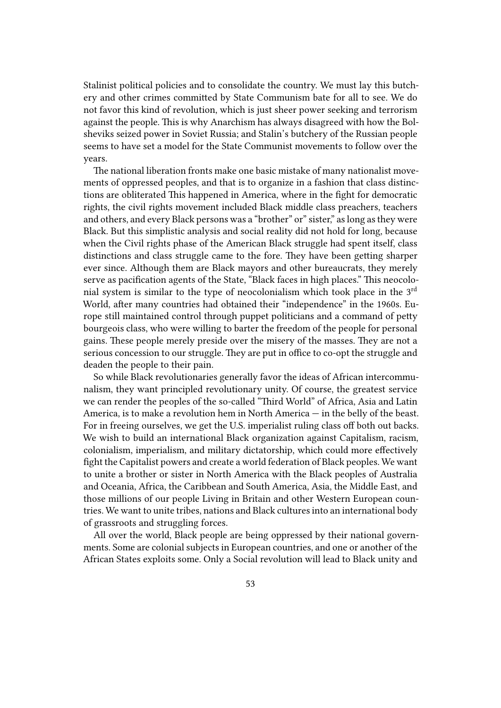Stalinist political policies and to consolidate the country. We must lay this butchery and other crimes committed by State Communism bate for all to see. We do not favor this kind of revolution, which is just sheer power seeking and terrorism against the people. This is why Anarchism has always disagreed with how the Bolsheviks seized power in Soviet Russia; and Stalin's butchery of the Russian people seems to have set a model for the State Communist movements to follow over the years.

The national liberation fronts make one basic mistake of many nationalist movements of oppressed peoples, and that is to organize in a fashion that class distinctions are obliterated This happened in America, where in the fight for democratic rights, the civil rights movement included Black middle class preachers, teachers and others, and every Black persons was a "brother" or" sister," as long as they were Black. But this simplistic analysis and social reality did not hold for long, because when the Civil rights phase of the American Black struggle had spent itself, class distinctions and class struggle came to the fore. They have been getting sharper ever since. Although them are Black mayors and other bureaucrats, they merely serve as pacification agents of the State, "Black faces in high places." This neocolonial system is similar to the type of neocolonialism which took place in the 3rd World, after many countries had obtained their "independence" in the 1960s. Europe still maintained control through puppet politicians and a command of petty bourgeois class, who were willing to barter the freedom of the people for personal gains. These people merely preside over the misery of the masses. They are not a serious concession to our struggle. They are put in office to co-opt the struggle and deaden the people to their pain.

So while Black revolutionaries generally favor the ideas of African intercommunalism, they want principled revolutionary unity. Of course, the greatest service we can render the peoples of the so-called "Third World" of Africa, Asia and Latin America, is to make a revolution hem in North America — in the belly of the beast. For in freeing ourselves, we get the U.S. imperialist ruling class off both out backs. We wish to build an international Black organization against Capitalism, racism, colonialism, imperialism, and military dictatorship, which could more effectively fight the Capitalist powers and create a world federation of Black peoples. We want to unite a brother or sister in North America with the Black peoples of Australia and Oceania, Africa, the Caribbean and South America, Asia, the Middle East, and those millions of our people Living in Britain and other Western European countries. We want to unite tribes, nations and Black cultures into an international body of grassroots and struggling forces.

All over the world, Black people are being oppressed by their national governments. Some are colonial subjects in European countries, and one or another of the African States exploits some. Only a Social revolution will lead to Black unity and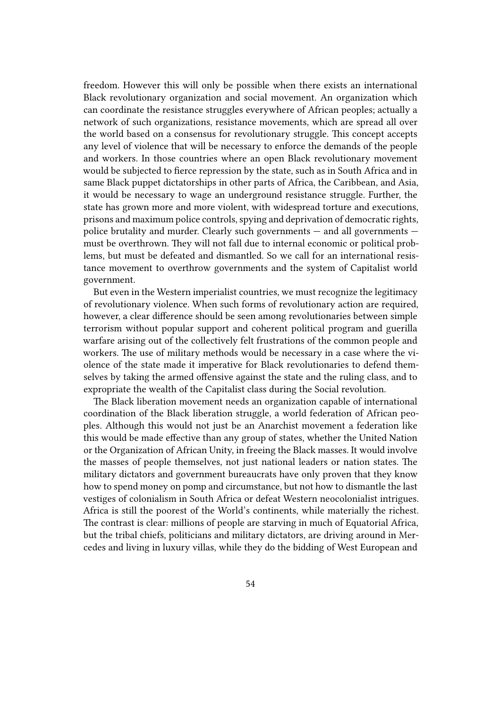freedom. However this will only be possible when there exists an international Black revolutionary organization and social movement. An organization which can coordinate the resistance struggles everywhere of African peoples; actually a network of such organizations, resistance movements, which are spread all over the world based on a consensus for revolutionary struggle. This concept accepts any level of violence that will be necessary to enforce the demands of the people and workers. In those countries where an open Black revolutionary movement would be subjected to fierce repression by the state, such as in South Africa and in same Black puppet dictatorships in other parts of Africa, the Caribbean, and Asia, it would be necessary to wage an underground resistance struggle. Further, the state has grown more and more violent, with widespread torture and executions, prisons and maximum police controls, spying and deprivation of democratic rights, police brutality and murder. Clearly such governments — and all governments must be overthrown. They will not fall due to internal economic or political problems, but must be defeated and dismantled. So we call for an international resistance movement to overthrow governments and the system of Capitalist world government.

But even in the Western imperialist countries, we must recognize the legitimacy of revolutionary violence. When such forms of revolutionary action are required, however, a clear difference should be seen among revolutionaries between simple terrorism without popular support and coherent political program and guerilla warfare arising out of the collectively felt frustrations of the common people and workers. The use of military methods would be necessary in a case where the violence of the state made it imperative for Black revolutionaries to defend themselves by taking the armed offensive against the state and the ruling class, and to expropriate the wealth of the Capitalist class during the Social revolution.

The Black liberation movement needs an organization capable of international coordination of the Black liberation struggle, a world federation of African peoples. Although this would not just be an Anarchist movement a federation like this would be made effective than any group of states, whether the United Nation or the Organization of African Unity, in freeing the Black masses. It would involve the masses of people themselves, not just national leaders or nation states. The military dictators and government bureaucrats have only proven that they know how to spend money on pomp and circumstance, but not how to dismantle the last vestiges of colonialism in South Africa or defeat Western neocolonialist intrigues. Africa is still the poorest of the World's continents, while materially the richest. The contrast is clear: millions of people are starving in much of Equatorial Africa, but the tribal chiefs, politicians and military dictators, are driving around in Mercedes and living in luxury villas, while they do the bidding of West European and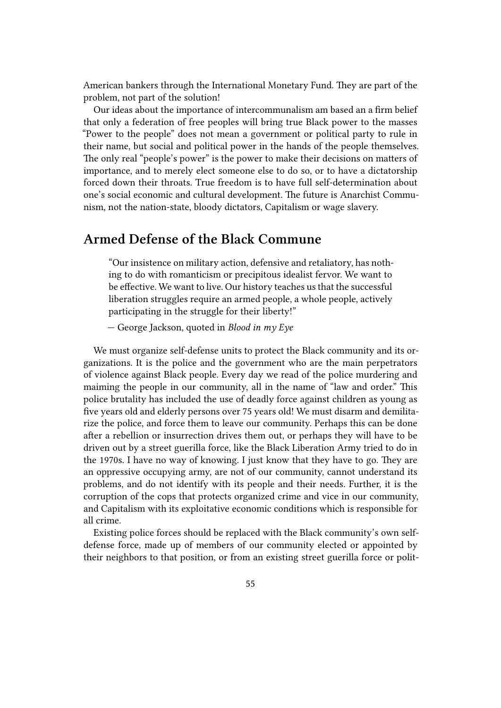American bankers through the International Monetary Fund. They are part of the problem, not part of the solution!

Our ideas about the importance of intercommunalism am based an a firm belief that only a federation of free peoples will bring true Black power to the masses "Power to the people" does not mean a government or political party to rule in their name, but social and political power in the hands of the people themselves. The only real "people's power" is the power to make their decisions on matters of importance, and to merely elect someone else to do so, or to have a dictatorship forced down their throats. True freedom is to have full self-determination about one's social economic and cultural development. The future is Anarchist Communism, not the nation-state, bloody dictators, Capitalism or wage slavery.

# **Armed Defense of the Black Commune**

"Our insistence on military action, defensive and retaliatory, has nothing to do with romanticism or precipitous idealist fervor. We want to be effective. We want to live. Our history teaches us that the successful liberation struggles require an armed people, a whole people, actively participating in the struggle for their liberty!"

— George Jackson, quoted in *Blood in my Eye*

We must organize self-defense units to protect the Black community and its organizations. It is the police and the government who are the main perpetrators of violence against Black people. Every day we read of the police murdering and maiming the people in our community, all in the name of "law and order." This police brutality has included the use of deadly force against children as young as five years old and elderly persons over 75 years old! We must disarm and demilitarize the police, and force them to leave our community. Perhaps this can be done after a rebellion or insurrection drives them out, or perhaps they will have to be driven out by a street guerilla force, like the Black Liberation Army tried to do in the 1970s. I have no way of knowing. I just know that they have to go. They are an oppressive occupying army, are not of our community, cannot understand its problems, and do not identify with its people and their needs. Further, it is the corruption of the cops that protects organized crime and vice in our community, and Capitalism with its exploitative economic conditions which is responsible for all crime.

Existing police forces should be replaced with the Black community's own selfdefense force, made up of members of our community elected or appointed by their neighbors to that position, or from an existing street guerilla force or polit-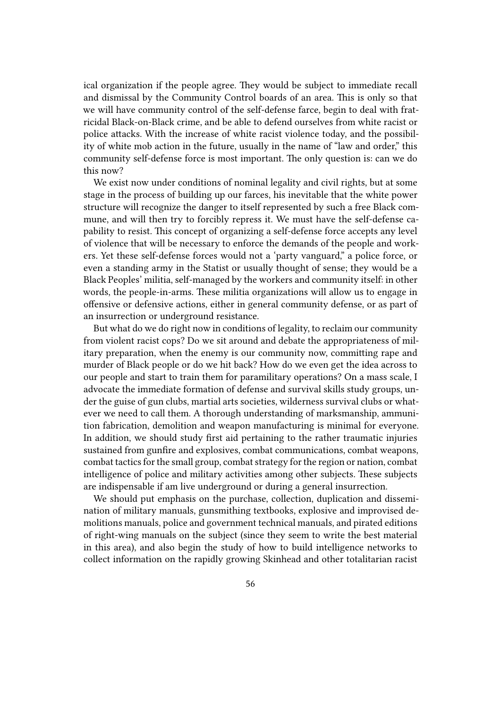ical organization if the people agree. They would be subject to immediate recall and dismissal by the Community Control boards of an area. This is only so that we will have community control of the self-defense farce, begin to deal with fratricidal Black-on-Black crime, and be able to defend ourselves from white racist or police attacks. With the increase of white racist violence today, and the possibility of white mob action in the future, usually in the name of "law and order," this community self-defense force is most important. The only question is: can we do this now?

We exist now under conditions of nominal legality and civil rights, but at some stage in the process of building up our farces, his inevitable that the white power structure will recognize the danger to itself represented by such a free Black commune, and will then try to forcibly repress it. We must have the self-defense capability to resist. This concept of organizing a self-defense force accepts any level of violence that will be necessary to enforce the demands of the people and workers. Yet these self-defense forces would not a 'party vanguard," a police force, or even a standing army in the Statist or usually thought of sense; they would be a Black Peoples' militia, self-managed by the workers and community itself: in other words, the people-in-arms. These militia organizations will allow us to engage in offensive or defensive actions, either in general community defense, or as part of an insurrection or underground resistance.

But what do we do right now in conditions of legality, to reclaim our community from violent racist cops? Do we sit around and debate the appropriateness of military preparation, when the enemy is our community now, committing rape and murder of Black people or do we hit back? How do we even get the idea across to our people and start to train them for paramilitary operations? On a mass scale, I advocate the immediate formation of defense and survival skills study groups, under the guise of gun clubs, martial arts societies, wilderness survival clubs or whatever we need to call them. A thorough understanding of marksmanship, ammunition fabrication, demolition and weapon manufacturing is minimal for everyone. In addition, we should study first aid pertaining to the rather traumatic injuries sustained from gunfire and explosives, combat communications, combat weapons, combat tactics for the small group, combat strategy for the region or nation, combat intelligence of police and military activities among other subjects. These subjects are indispensable if am live underground or during a general insurrection.

We should put emphasis on the purchase, collection, duplication and dissemination of military manuals, gunsmithing textbooks, explosive and improvised demolitions manuals, police and government technical manuals, and pirated editions of right-wing manuals on the subject (since they seem to write the best material in this area), and also begin the study of how to build intelligence networks to collect information on the rapidly growing Skinhead and other totalitarian racist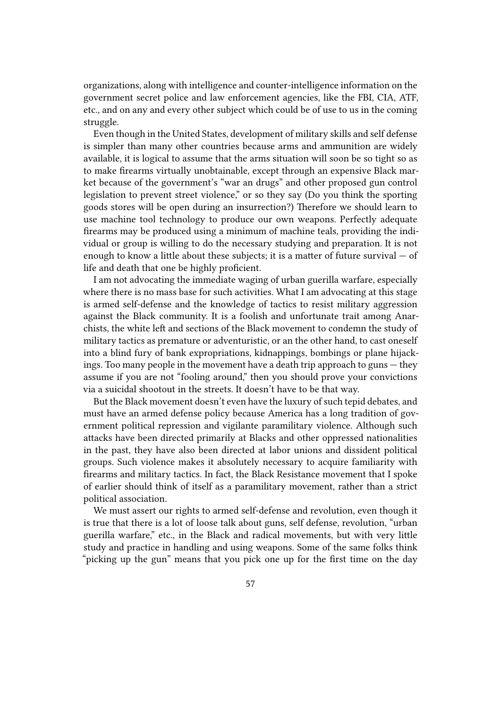organizations, along with intelligence and counter-intelligence information on the government secret police and law enforcement agencies, like the FBI, CIA, ATF, etc., and on any and every other subject which could be of use to us in the coming struggle.

Even though in the United States, development of military skills and self defense is simpler than many other countries because arms and ammunition are widely available, it is logical to assume that the arms situation will soon be so tight so as to make firearms virtually unobtainable, except through an expensive Black market because of the government's "war an drugs" and other proposed gun control legislation to prevent street violence," or so they say (Do you think the sporting goods stores will be open during an insurrection?) Therefore we should learn to use machine tool technology to produce our own weapons. Perfectly adequate firearms may be produced using a minimum of machine teals, providing the individual or group is willing to do the necessary studying and preparation. It is not enough to know a little about these subjects; it is a matter of future survival  $-$  of life and death that one be highly proficient.

I am not advocating the immediate waging of urban guerilla warfare, especially where there is no mass base for such activities. What I am advocating at this stage is armed self-defense and the knowledge of tactics to resist military aggression against the Black community. It is a foolish and unfortunate trait among Anarchists, the white left and sections of the Black movement to condemn the study of military tactics as premature or adventuristic, or an the other hand, to cast oneself into a blind fury of bank expropriations, kidnappings, bombings or plane hijackings. Too many people in the movement have a death trip approach to guns — they assume if you are not "fooling around," then you should prove your convictions via a suicidal shootout in the streets. It doesn't have to be that way.

But the Black movement doesn't even have the luxury of such tepid debates, and must have an armed defense policy because America has a long tradition of government political repression and vigilante paramilitary violence. Although such attacks have been directed primarily at Blacks and other oppressed nationalities in the past, they have also been directed at labor unions and dissident political groups. Such violence makes it absolutely necessary to acquire familiarity with firearms and military tactics. In fact, the Black Resistance movement that I spoke of earlier should think of itself as a paramilitary movement, rather than a strict political association.

We must assert our rights to armed self-defense and revolution, even though it is true that there is a lot of loose talk about guns, self defense, revolution, "urban guerilla warfare," etc., in the Black and radical movements, but with very little study and practice in handling and using weapons. Some of the same folks think "picking up the gun" means that you pick one up for the first time on the day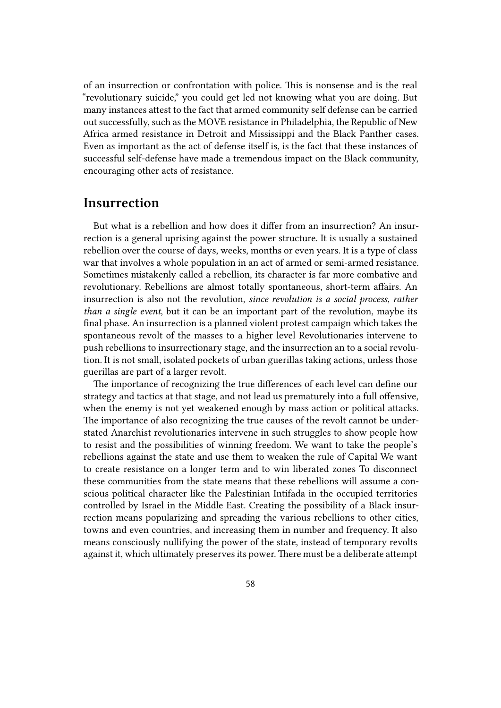of an insurrection or confrontation with police. This is nonsense and is the real "revolutionary suicide," you could get led not knowing what you are doing. But many instances attest to the fact that armed community self defense can be carried out successfully, such as the MOVE resistance in Philadelphia, the Republic of New Africa armed resistance in Detroit and Mississippi and the Black Panther cases. Even as important as the act of defense itself is, is the fact that these instances of successful self-defense have made a tremendous impact on the Black community, encouraging other acts of resistance.

#### **Insurrection**

But what is a rebellion and how does it differ from an insurrection? An insurrection is a general uprising against the power structure. It is usually a sustained rebellion over the course of days, weeks, months or even years. It is a type of class war that involves a whole population in an act of armed or semi-armed resistance. Sometimes mistakenly called a rebellion, its character is far more combative and revolutionary. Rebellions are almost totally spontaneous, short-term affairs. An insurrection is also not the revolution, *since revolution is a social process, rather than a single event*, but it can be an important part of the revolution, maybe its final phase. An insurrection is a planned violent protest campaign which takes the spontaneous revolt of the masses to a higher level Revolutionaries intervene to push rebellions to insurrectionary stage, and the insurrection an to a social revolution. It is not small, isolated pockets of urban guerillas taking actions, unless those guerillas are part of a larger revolt.

The importance of recognizing the true differences of each level can define our strategy and tactics at that stage, and not lead us prematurely into a full offensive, when the enemy is not yet weakened enough by mass action or political attacks. The importance of also recognizing the true causes of the revolt cannot be understated Anarchist revolutionaries intervene in such struggles to show people how to resist and the possibilities of winning freedom. We want to take the people's rebellions against the state and use them to weaken the rule of Capital We want to create resistance on a longer term and to win liberated zones To disconnect these communities from the state means that these rebellions will assume a conscious political character like the Palestinian Intifada in the occupied territories controlled by Israel in the Middle East. Creating the possibility of a Black insurrection means popularizing and spreading the various rebellions to other cities, towns and even countries, and increasing them in number and frequency. It also means consciously nullifying the power of the state, instead of temporary revolts against it, which ultimately preserves its power. There must be a deliberate attempt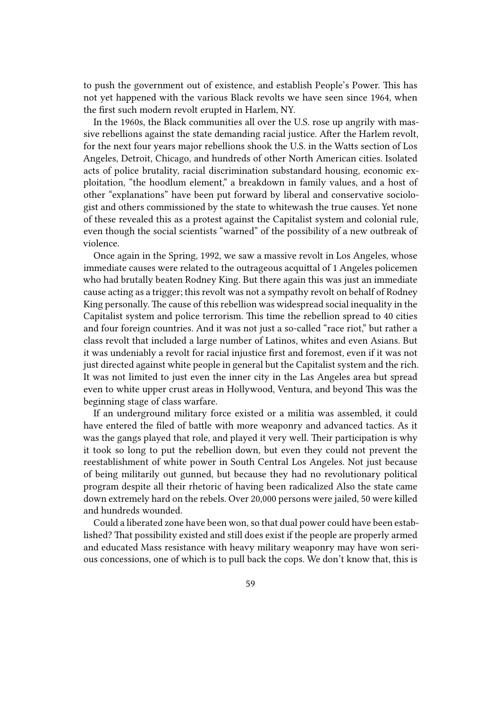to push the government out of existence, and establish People's Power. This has not yet happened with the various Black revolts we have seen since 1964, when the first such modern revolt erupted in Harlem, NY.

In the 1960s, the Black communities all over the U.S. rose up angrily with massive rebellions against the state demanding racial justice. After the Harlem revolt, for the next four years major rebellions shook the U.S. in the Watts section of Los Angeles, Detroit, Chicago, and hundreds of other North American cities. Isolated acts of police brutality, racial discrimination substandard housing, economic exploitation, "the hoodlum element," a breakdown in family values, and a host of other "explanations" have been put forward by liberal and conservative sociologist and others commissioned by the state to whitewash the true causes. Yet none of these revealed this as a protest against the Capitalist system and colonial rule, even though the social scientists "warned" of the possibility of a new outbreak of violence.

Once again in the Spring, 1992, we saw a massive revolt in Los Angeles, whose immediate causes were related to the outrageous acquittal of 1 Angeles policemen who had brutally beaten Rodney King. But there again this was just an immediate cause acting as a trigger; this revolt was not a sympathy revolt on behalf of Rodney King personally. The cause of this rebellion was widespread social inequality in the Capitalist system and police terrorism. This time the rebellion spread to 40 cities and four foreign countries. And it was not just a so-called "race riot," but rather a class revolt that included a large number of Latinos, whites and even Asians. But it was undeniably a revolt for racial injustice first and foremost, even if it was not just directed against white people in general but the Capitalist system and the rich. It was not limited to just even the inner city in the Las Angeles area but spread even to white upper crust areas in Hollywood, Ventura, and beyond This was the beginning stage of class warfare.

If an underground military force existed or a militia was assembled, it could have entered the filed of battle with more weaponry and advanced tactics. As it was the gangs played that role, and played it very well. Their participation is why it took so long to put the rebellion down, but even they could not prevent the reestablishment of white power in South Central Los Angeles. Not just because of being militarily out gunned, but because they had no revolutionary political program despite all their rhetoric of having been radicalized Also the state came down extremely hard on the rebels. Over 20,000 persons were jailed, 50 were killed and hundreds wounded.

Could a liberated zone have been won, so that dual power could have been established? That possibility existed and still does exist if the people are properly armed and educated Mass resistance with heavy military weaponry may have won serious concessions, one of which is to pull back the cops. We don't know that, this is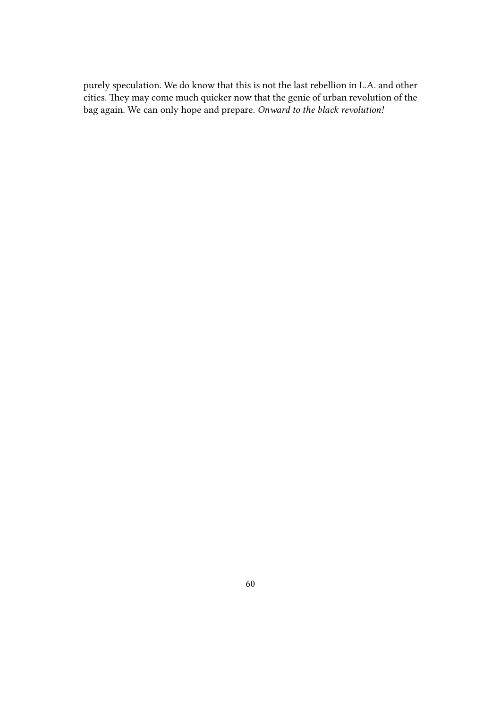purely speculation. We do know that this is not the last rebellion in L.A. and other cities. They may come much quicker now that the genie of urban revolution of the bag again. We can only hope and prepare. *Onward to the black revolution!*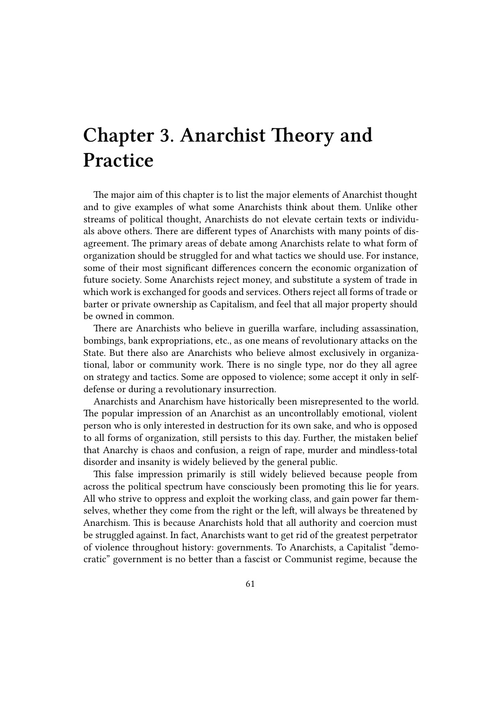# **Chapter 3. Anarchist Theory and Practice**

The major aim of this chapter is to list the major elements of Anarchist thought and to give examples of what some Anarchists think about them. Unlike other streams of political thought, Anarchists do not elevate certain texts or individuals above others. There are different types of Anarchists with many points of disagreement. The primary areas of debate among Anarchists relate to what form of organization should be struggled for and what tactics we should use. For instance, some of their most significant differences concern the economic organization of future society. Some Anarchists reject money, and substitute a system of trade in which work is exchanged for goods and services. Others reject all forms of trade or barter or private ownership as Capitalism, and feel that all major property should be owned in common.

There are Anarchists who believe in guerilla warfare, including assassination, bombings, bank expropriations, etc., as one means of revolutionary attacks on the State. But there also are Anarchists who believe almost exclusively in organizational, labor or community work. There is no single type, nor do they all agree on strategy and tactics. Some are opposed to violence; some accept it only in selfdefense or during a revolutionary insurrection.

Anarchists and Anarchism have historically been misrepresented to the world. The popular impression of an Anarchist as an uncontrollably emotional, violent person who is only interested in destruction for its own sake, and who is opposed to all forms of organization, still persists to this day. Further, the mistaken belief that Anarchy is chaos and confusion, a reign of rape, murder and mindless-total disorder and insanity is widely believed by the general public.

This false impression primarily is still widely believed because people from across the political spectrum have consciously been promoting this lie for years. All who strive to oppress and exploit the working class, and gain power far themselves, whether they come from the right or the left, will always be threatened by Anarchism. This is because Anarchists hold that all authority and coercion must be struggled against. In fact, Anarchists want to get rid of the greatest perpetrator of violence throughout history: governments. To Anarchists, a Capitalist "democratic" government is no better than a fascist or Communist regime, because the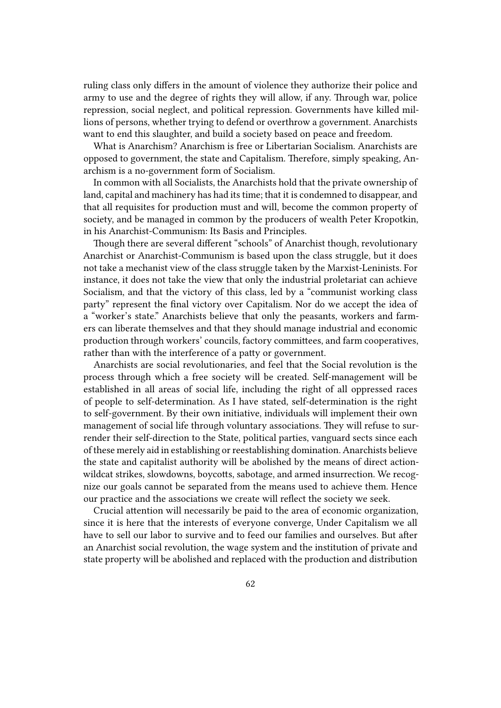ruling class only differs in the amount of violence they authorize their police and army to use and the degree of rights they will allow, if any. Through war, police repression, social neglect, and political repression. Governments have killed millions of persons, whether trying to defend or overthrow a government. Anarchists want to end this slaughter, and build a society based on peace and freedom.

What is Anarchism? Anarchism is free or Libertarian Socialism. Anarchists are opposed to government, the state and Capitalism. Therefore, simply speaking, Anarchism is a no-government form of Socialism.

In common with all Socialists, the Anarchists hold that the private ownership of land, capital and machinery has had its time; that it is condemned to disappear, and that all requisites for production must and will, become the common property of society, and be managed in common by the producers of wealth Peter Kropotkin, in his Anarchist-Communism: Its Basis and Principles.

Though there are several different "schools" of Anarchist though, revolutionary Anarchist or Anarchist-Communism is based upon the class struggle, but it does not take a mechanist view of the class struggle taken by the Marxist-Leninists. For instance, it does not take the view that only the industrial proletariat can achieve Socialism, and that the victory of this class, led by a "communist working class party" represent the final victory over Capitalism. Nor do we accept the idea of a "worker's state." Anarchists believe that only the peasants, workers and farmers can liberate themselves and that they should manage industrial and economic production through workers' councils, factory committees, and farm cooperatives, rather than with the interference of a patty or government.

Anarchists are social revolutionaries, and feel that the Social revolution is the process through which a free society will be created. Self-management will be established in all areas of social life, including the right of all oppressed races of people to self-determination. As I have stated, self-determination is the right to self-government. By their own initiative, individuals will implement their own management of social life through voluntary associations. They will refuse to surrender their self-direction to the State, political parties, vanguard sects since each of these merely aid in establishing or reestablishing domination. Anarchists believe the state and capitalist authority will be abolished by the means of direct actionwildcat strikes, slowdowns, boycotts, sabotage, and armed insurrection. We recognize our goals cannot be separated from the means used to achieve them. Hence our practice and the associations we create will reflect the society we seek.

Crucial attention will necessarily be paid to the area of economic organization, since it is here that the interests of everyone converge, Under Capitalism we all have to sell our labor to survive and to feed our families and ourselves. But after an Anarchist social revolution, the wage system and the institution of private and state property will be abolished and replaced with the production and distribution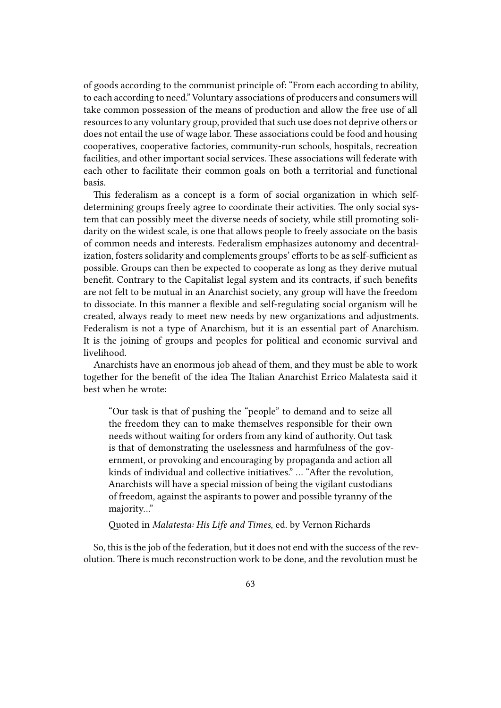of goods according to the communist principle of: "From each according to ability, to each according to need." Voluntary associations of producers and consumers will take common possession of the means of production and allow the free use of all resources to any voluntary group, provided that such use does not deprive others or does not entail the use of wage labor. These associations could be food and housing cooperatives, cooperative factories, community-run schools, hospitals, recreation facilities, and other important social services. These associations will federate with each other to facilitate their common goals on both a territorial and functional basis.

This federalism as a concept is a form of social organization in which selfdetermining groups freely agree to coordinate their activities. The only social system that can possibly meet the diverse needs of society, while still promoting solidarity on the widest scale, is one that allows people to freely associate on the basis of common needs and interests. Federalism emphasizes autonomy and decentralization, fosters solidarity and complements groups' efforts to be as self-sufficient as possible. Groups can then be expected to cooperate as long as they derive mutual benefit. Contrary to the Capitalist legal system and its contracts, if such benefits are not felt to be mutual in an Anarchist society, any group will have the freedom to dissociate. In this manner a flexible and self-regulating social organism will be created, always ready to meet new needs by new organizations and adjustments. Federalism is not a type of Anarchism, but it is an essential part of Anarchism. It is the joining of groups and peoples for political and economic survival and livelihood.

Anarchists have an enormous job ahead of them, and they must be able to work together for the benefit of the idea The Italian Anarchist Errico Malatesta said it best when he wrote:

"Our task is that of pushing the "people" to demand and to seize all the freedom they can to make themselves responsible for their own needs without waiting for orders from any kind of authority. Out task is that of demonstrating the uselessness and harmfulness of the government, or provoking and encouraging by propaganda and action all kinds of individual and collective initiatives." … "After the revolution, Anarchists will have a special mission of being the vigilant custodians of freedom, against the aspirants to power and possible tyranny of the majority…"

Quoted in *Malatesta: His Life and Times*, ed. by Vernon Richards

So, this is the job of the federation, but it does not end with the success of the revolution. There is much reconstruction work to be done, and the revolution must be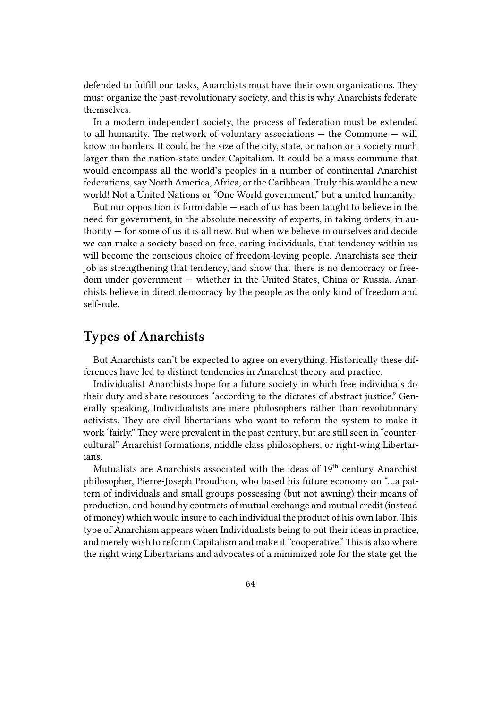defended to fulfill our tasks, Anarchists must have their own organizations. They must organize the past-revolutionary society, and this is why Anarchists federate themselves.

In a modern independent society, the process of federation must be extended to all humanity. The network of voluntary associations — the Commune — will know no borders. It could be the size of the city, state, or nation or a society much larger than the nation-state under Capitalism. It could be a mass commune that would encompass all the world's peoples in a number of continental Anarchist federations, say North America, Africa, or the Caribbean. Truly this would be a new world! Not a United Nations or "One World government," but a united humanity.

But our opposition is formidable  $-$  each of us has been taught to believe in the need for government, in the absolute necessity of experts, in taking orders, in authority — for some of us it is all new. But when we believe in ourselves and decide we can make a society based on free, caring individuals, that tendency within us will become the conscious choice of freedom-loving people. Anarchists see their job as strengthening that tendency, and show that there is no democracy or freedom under government — whether in the United States, China or Russia. Anarchists believe in direct democracy by the people as the only kind of freedom and self-rule.

### **Types of Anarchists**

But Anarchists can't be expected to agree on everything. Historically these differences have led to distinct tendencies in Anarchist theory and practice.

Individualist Anarchists hope for a future society in which free individuals do their duty and share resources "according to the dictates of abstract justice." Generally speaking, Individualists are mere philosophers rather than revolutionary activists. They are civil libertarians who want to reform the system to make it work 'fairly." They were prevalent in the past century, but are still seen in "countercultural" Anarchist formations, middle class philosophers, or right-wing Libertarians.

Mutualists are Anarchists associated with the ideas of 19<sup>th</sup> century Anarchist philosopher, Pierre-Joseph Proudhon, who based his future economy on "…a pattern of individuals and small groups possessing (but not awning) their means of production, and bound by contracts of mutual exchange and mutual credit (instead of money) which would insure to each individual the product of his own labor. This type of Anarchism appears when Individualists being to put their ideas in practice, and merely wish to reform Capitalism and make it "cooperative." This is also where the right wing Libertarians and advocates of a minimized role for the state get the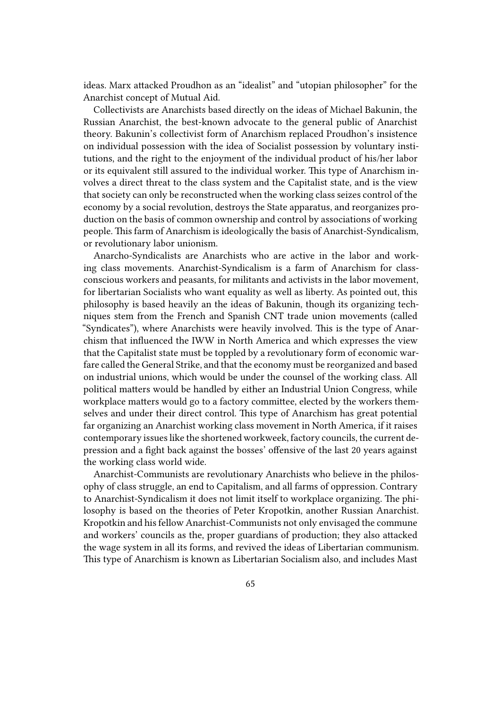ideas. Marx attacked Proudhon as an "idealist" and "utopian philosopher" for the Anarchist concept of Mutual Aid.

Collectivists are Anarchists based directly on the ideas of Michael Bakunin, the Russian Anarchist, the best-known advocate to the general public of Anarchist theory. Bakunin's collectivist form of Anarchism replaced Proudhon's insistence on individual possession with the idea of Socialist possession by voluntary institutions, and the right to the enjoyment of the individual product of his/her labor or its equivalent still assured to the individual worker. This type of Anarchism involves a direct threat to the class system and the Capitalist state, and is the view that society can only be reconstructed when the working class seizes control of the economy by a social revolution, destroys the State apparatus, and reorganizes production on the basis of common ownership and control by associations of working people. This farm of Anarchism is ideologically the basis of Anarchist-Syndicalism, or revolutionary labor unionism.

Anarcho-Syndicalists are Anarchists who are active in the labor and working class movements. Anarchist-Syndicalism is a farm of Anarchism for classconscious workers and peasants, for militants and activists in the labor movement, for libertarian Socialists who want equality as well as liberty. As pointed out, this philosophy is based heavily an the ideas of Bakunin, though its organizing techniques stem from the French and Spanish CNT trade union movements (called "Syndicates"), where Anarchists were heavily involved. This is the type of Anarchism that influenced the IWW in North America and which expresses the view that the Capitalist state must be toppled by a revolutionary form of economic warfare called the General Strike, and that the economy must be reorganized and based on industrial unions, which would be under the counsel of the working class. All political matters would be handled by either an Industrial Union Congress, while workplace matters would go to a factory committee, elected by the workers themselves and under their direct control. This type of Anarchism has great potential far organizing an Anarchist working class movement in North America, if it raises contemporary issues like the shortened workweek, factory councils, the current depression and a fight back against the bosses' offensive of the last 20 years against the working class world wide.

Anarchist-Communists are revolutionary Anarchists who believe in the philosophy of class struggle, an end to Capitalism, and all farms of oppression. Contrary to Anarchist-Syndicalism it does not limit itself to workplace organizing. The philosophy is based on the theories of Peter Kropotkin, another Russian Anarchist. Kropotkin and his fellow Anarchist-Communists not only envisaged the commune and workers' councils as the, proper guardians of production; they also attacked the wage system in all its forms, and revived the ideas of Libertarian communism. This type of Anarchism is known as Libertarian Socialism also, and includes Mast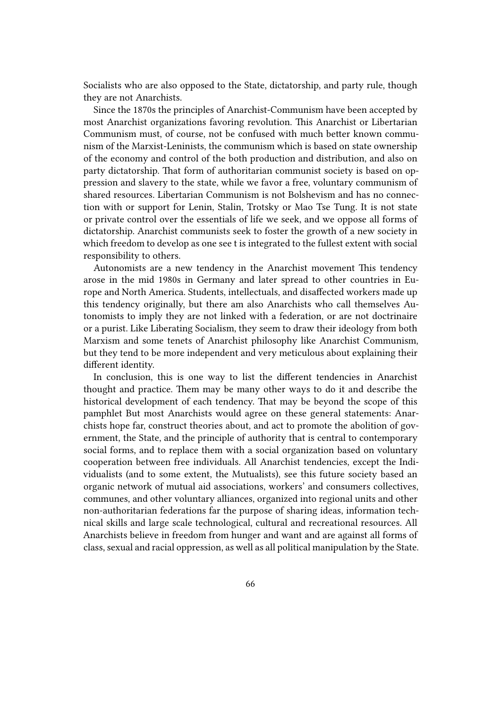Socialists who are also opposed to the State, dictatorship, and party rule, though they are not Anarchists.

Since the 1870s the principles of Anarchist-Communism have been accepted by most Anarchist organizations favoring revolution. This Anarchist or Libertarian Communism must, of course, not be confused with much better known communism of the Marxist-Leninists, the communism which is based on state ownership of the economy and control of the both production and distribution, and also on party dictatorship. That form of authoritarian communist society is based on oppression and slavery to the state, while we favor a free, voluntary communism of shared resources. Libertarian Communism is not Bolshevism and has no connection with or support for Lenin, Stalin, Trotsky or Mao Tse Tung. It is not state or private control over the essentials of life we seek, and we oppose all forms of dictatorship. Anarchist communists seek to foster the growth of a new society in which freedom to develop as one see t is integrated to the fullest extent with social responsibility to others.

Autonomists are a new tendency in the Anarchist movement This tendency arose in the mid 1980s in Germany and later spread to other countries in Europe and North America. Students, intellectuals, and disaffected workers made up this tendency originally, but there am also Anarchists who call themselves Autonomists to imply they are not linked with a federation, or are not doctrinaire or a purist. Like Liberating Socialism, they seem to draw their ideology from both Marxism and some tenets of Anarchist philosophy like Anarchist Communism, but they tend to be more independent and very meticulous about explaining their different identity.

In conclusion, this is one way to list the different tendencies in Anarchist thought and practice. Them may be many other ways to do it and describe the historical development of each tendency. That may be beyond the scope of this pamphlet But most Anarchists would agree on these general statements: Anarchists hope far, construct theories about, and act to promote the abolition of government, the State, and the principle of authority that is central to contemporary social forms, and to replace them with a social organization based on voluntary cooperation between free individuals. All Anarchist tendencies, except the Individualists (and to some extent, the Mutualists), see this future society based an organic network of mutual aid associations, workers' and consumers collectives, communes, and other voluntary alliances, organized into regional units and other non-authoritarian federations far the purpose of sharing ideas, information technical skills and large scale technological, cultural and recreational resources. All Anarchists believe in freedom from hunger and want and are against all forms of class, sexual and racial oppression, as well as all political manipulation by the State.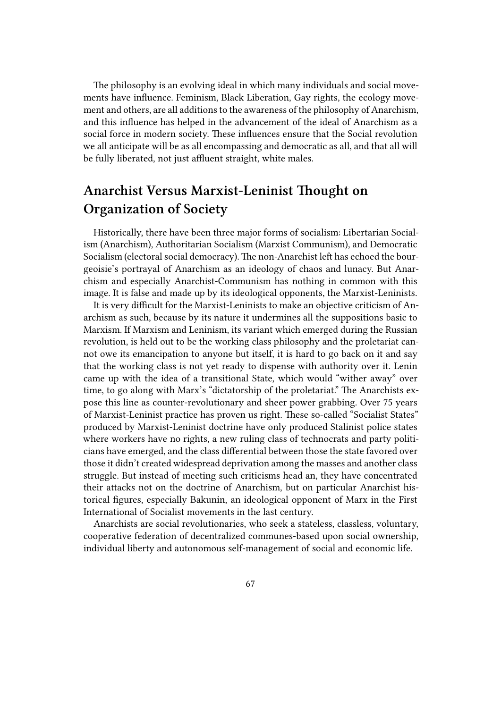The philosophy is an evolving ideal in which many individuals and social movements have influence. Feminism, Black Liberation, Gay rights, the ecology movement and others, are all additions to the awareness of the philosophy of Anarchism, and this influence has helped in the advancement of the ideal of Anarchism as a social force in modern society. These influences ensure that the Social revolution we all anticipate will be as all encompassing and democratic as all, and that all will be fully liberated, not just affluent straight, white males.

# **Anarchist Versus Marxist-Leninist Thought on Organization of Society**

Historically, there have been three major forms of socialism: Libertarian Socialism (Anarchism), Authoritarian Socialism (Marxist Communism), and Democratic Socialism (electoral social democracy). The non-Anarchist left has echoed the bourgeoisie's portrayal of Anarchism as an ideology of chaos and lunacy. But Anarchism and especially Anarchist-Communism has nothing in common with this image. It is false and made up by its ideological opponents, the Marxist-Leninists.

It is very difficult for the Marxist-Leninists to make an objective criticism of Anarchism as such, because by its nature it undermines all the suppositions basic to Marxism. If Marxism and Leninism, its variant which emerged during the Russian revolution, is held out to be the working class philosophy and the proletariat cannot owe its emancipation to anyone but itself, it is hard to go back on it and say that the working class is not yet ready to dispense with authority over it. Lenin came up with the idea of a transitional State, which would "wither away" over time, to go along with Marx's "dictatorship of the proletariat." The Anarchists expose this line as counter-revolutionary and sheer power grabbing. Over 75 years of Marxist-Leninist practice has proven us right. These so-called "Socialist States" produced by Marxist-Leninist doctrine have only produced Stalinist police states where workers have no rights, a new ruling class of technocrats and party politicians have emerged, and the class differential between those the state favored over those it didn't created widespread deprivation among the masses and another class struggle. But instead of meeting such criticisms head an, they have concentrated their attacks not on the doctrine of Anarchism, but on particular Anarchist historical figures, especially Bakunin, an ideological opponent of Marx in the First International of Socialist movements in the last century.

Anarchists are social revolutionaries, who seek a stateless, classless, voluntary, cooperative federation of decentralized communes-based upon social ownership, individual liberty and autonomous self-management of social and economic life.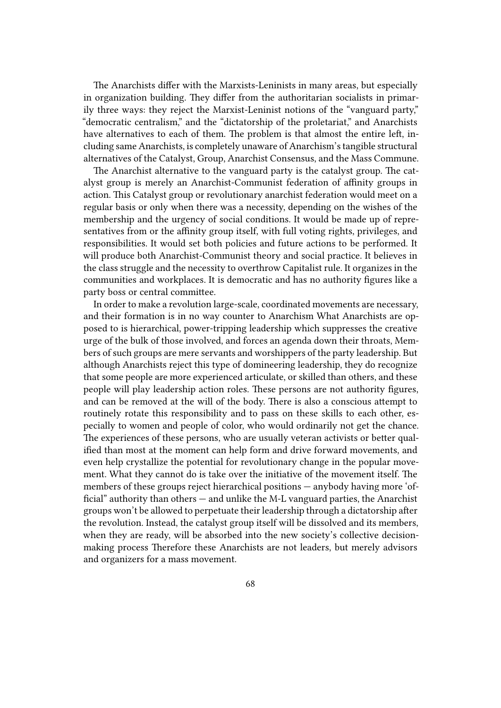The Anarchists differ with the Marxists-Leninists in many areas, but especially in organization building. They differ from the authoritarian socialists in primarily three ways: they reject the Marxist-Leninist notions of the "vanguard party," "democratic centralism," and the "dictatorship of the proletariat," and Anarchists have alternatives to each of them. The problem is that almost the entire left, including same Anarchists, is completely unaware of Anarchism's tangible structural alternatives of the Catalyst, Group, Anarchist Consensus, and the Mass Commune.

The Anarchist alternative to the vanguard party is the catalyst group. The catalyst group is merely an Anarchist-Communist federation of affinity groups in action. This Catalyst group or revolutionary anarchist federation would meet on a regular basis or only when there was a necessity, depending on the wishes of the membership and the urgency of social conditions. It would be made up of representatives from or the affinity group itself, with full voting rights, privileges, and responsibilities. It would set both policies and future actions to be performed. It will produce both Anarchist-Communist theory and social practice. It believes in the class struggle and the necessity to overthrow Capitalist rule. It organizes in the communities and workplaces. It is democratic and has no authority figures like a party boss or central committee.

In order to make a revolution large-scale, coordinated movements are necessary, and their formation is in no way counter to Anarchism What Anarchists are opposed to is hierarchical, power-tripping leadership which suppresses the creative urge of the bulk of those involved, and forces an agenda down their throats, Members of such groups are mere servants and worshippers of the party leadership. But although Anarchists reject this type of domineering leadership, they do recognize that some people are more experienced articulate, or skilled than others, and these people will play leadership action roles. These persons are not authority figures, and can be removed at the will of the body. There is also a conscious attempt to routinely rotate this responsibility and to pass on these skills to each other, especially to women and people of color, who would ordinarily not get the chance. The experiences of these persons, who are usually veteran activists or better qualified than most at the moment can help form and drive forward movements, and even help crystallize the potential for revolutionary change in the popular movement. What they cannot do is take over the initiative of the movement itself. The members of these groups reject hierarchical positions — anybody having more 'official" authority than others — and unlike the M-L vanguard parties, the Anarchist groups won't be allowed to perpetuate their leadership through a dictatorship after the revolution. Instead, the catalyst group itself will be dissolved and its members, when they are ready, will be absorbed into the new society's collective decisionmaking process Therefore these Anarchists are not leaders, but merely advisors and organizers for a mass movement.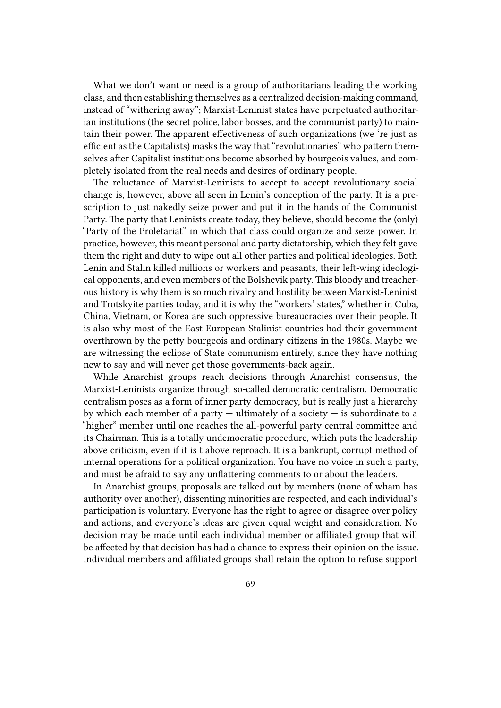What we don't want or need is a group of authoritarians leading the working class, and then establishing themselves as a centralized decision-making command, instead of "withering away"; Marxist-Leninist states have perpetuated authoritarian institutions (the secret police, labor bosses, and the communist party) to maintain their power. The apparent effectiveness of such organizations (we 're just as efficient as the Capitalists) masks the way that "revolutionaries" who pattern themselves after Capitalist institutions become absorbed by bourgeois values, and completely isolated from the real needs and desires of ordinary people.

The reluctance of Marxist-Leninists to accept to accept revolutionary social change is, however, above all seen in Lenin's conception of the party. It is a prescription to just nakedly seize power and put it in the hands of the Communist Party. The party that Leninists create today, they believe, should become the (only) "Party of the Proletariat" in which that class could organize and seize power. In practice, however, this meant personal and party dictatorship, which they felt gave them the right and duty to wipe out all other parties and political ideologies. Both Lenin and Stalin killed millions or workers and peasants, their left-wing ideological opponents, and even members of the Bolshevik party. This bloody and treacherous history is why them is so much rivalry and hostility between Marxist-Leninist and Trotskyite parties today, and it is why the "workers' states," whether in Cuba, China, Vietnam, or Korea are such oppressive bureaucracies over their people. It is also why most of the East European Stalinist countries had their government overthrown by the petty bourgeois and ordinary citizens in the 1980s. Maybe we are witnessing the eclipse of State communism entirely, since they have nothing new to say and will never get those governments-back again.

While Anarchist groups reach decisions through Anarchist consensus, the Marxist-Leninists organize through so-called democratic centralism. Democratic centralism poses as a form of inner party democracy, but is really just a hierarchy by which each member of a party  $-$  ultimately of a society  $-$  is subordinate to a "higher" member until one reaches the all-powerful party central committee and its Chairman. This is a totally undemocratic procedure, which puts the leadership above criticism, even if it is t above reproach. It is a bankrupt, corrupt method of internal operations for a political organization. You have no voice in such a party, and must be afraid to say any unflattering comments to or about the leaders.

In Anarchist groups, proposals are talked out by members (none of wham has authority over another), dissenting minorities are respected, and each individual's participation is voluntary. Everyone has the right to agree or disagree over policy and actions, and everyone's ideas are given equal weight and consideration. No decision may be made until each individual member or affiliated group that will be affected by that decision has had a chance to express their opinion on the issue. Individual members and affiliated groups shall retain the option to refuse support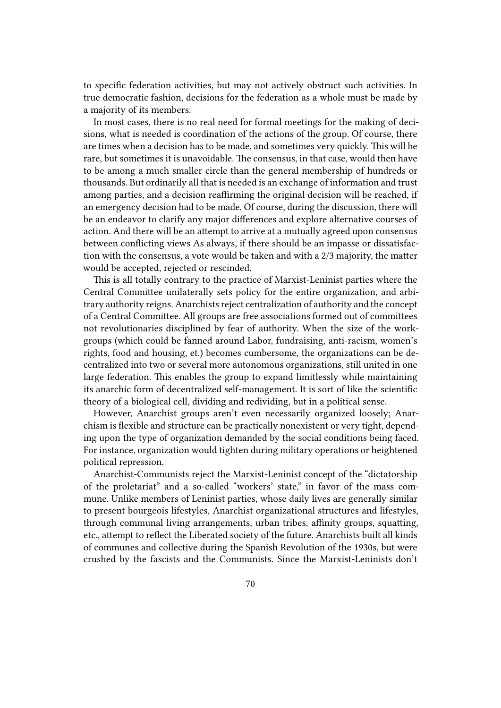to specific federation activities, but may not actively obstruct such activities. In true democratic fashion, decisions for the federation as a whole must be made by a majority of its members.

In most cases, there is no real need for formal meetings for the making of decisions, what is needed is coordination of the actions of the group. Of course, there are times when a decision has to be made, and sometimes very quickly. This will be rare, but sometimes it is unavoidable. The consensus, in that case, would then have to be among a much smaller circle than the general membership of hundreds or thousands. But ordinarily all that is needed is an exchange of information and trust among parties, and a decision reaffirming the original decision will be reached, if an emergency decision had to be made. Of course, during the discussion, there will be an endeavor to clarify any major differences and explore alternative courses of action. And there will be an attempt to arrive at a mutually agreed upon consensus between conflicting views As always, if there should be an impasse or dissatisfaction with the consensus, a vote would be taken and with a 2/3 majority, the matter would be accepted, rejected or rescinded.

This is all totally contrary to the practice of Marxist-Leninist parties where the Central Committee unilaterally sets policy for the entire organization, and arbitrary authority reigns. Anarchists reject centralization of authority and the concept of a Central Committee. All groups are free associations formed out of committees not revolutionaries disciplined by fear of authority. When the size of the workgroups (which could be fanned around Labor, fundraising, anti-racism, women's rights, food and housing, et.) becomes cumbersome, the organizations can be decentralized into two or several more autonomous organizations, still united in one large federation. This enables the group to expand limitlessly while maintaining its anarchic form of decentralized self-management. It is sort of like the scientific theory of a biological cell, dividing and redividing, but in a political sense.

However, Anarchist groups aren't even necessarily organized loosely; Anarchism is flexible and structure can be practically nonexistent or very tight, depending upon the type of organization demanded by the social conditions being faced. For instance, organization would tighten during military operations or heightened political repression.

Anarchist-Communists reject the Marxist-Leninist concept of the "dictatorship of the proletariat" and a so-called "workers' state," in favor of the mass commune. Unlike members of Leninist parties, whose daily lives are generally similar to present bourgeois lifestyles, Anarchist organizational structures and lifestyles, through communal living arrangements, urban tribes, affinity groups, squatting, etc., attempt to reflect the Liberated society of the future. Anarchists built all kinds of communes and collective during the Spanish Revolution of the 1930s, but were crushed by the fascists and the Communists. Since the Marxist-Leninists don't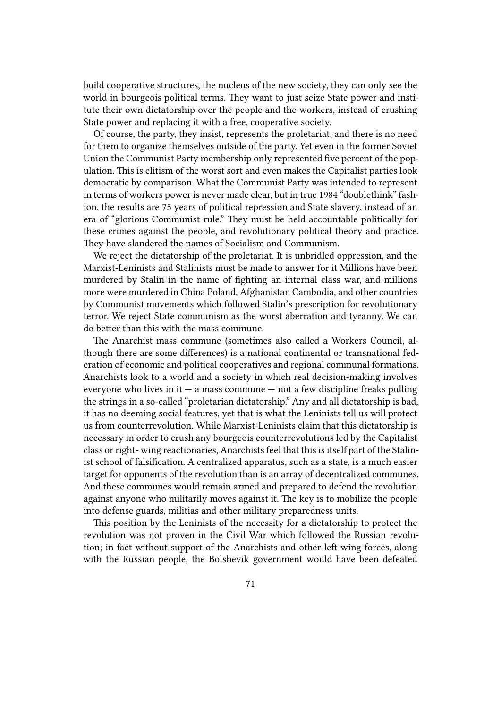build cooperative structures, the nucleus of the new society, they can only see the world in bourgeois political terms. They want to just seize State power and institute their own dictatorship over the people and the workers, instead of crushing State power and replacing it with a free, cooperative society.

Of course, the party, they insist, represents the proletariat, and there is no need for them to organize themselves outside of the party. Yet even in the former Soviet Union the Communist Party membership only represented five percent of the population. This is elitism of the worst sort and even makes the Capitalist parties look democratic by comparison. What the Communist Party was intended to represent in terms of workers power is never made clear, but in true 1984 "doublethink" fashion, the results are 75 years of political repression and State slavery, instead of an era of "glorious Communist rule." They must be held accountable politically for these crimes against the people, and revolutionary political theory and practice. They have slandered the names of Socialism and Communism.

We reject the dictatorship of the proletariat. It is unbridled oppression, and the Marxist-Leninists and Stalinists must be made to answer for it Millions have been murdered by Stalin in the name of fighting an internal class war, and millions more were murdered in China Poland, Afghanistan Cambodia, and other countries by Communist movements which followed Stalin's prescription for revolutionary terror. We reject State communism as the worst aberration and tyranny. We can do better than this with the mass commune.

The Anarchist mass commune (sometimes also called a Workers Council, although there are some differences) is a national continental or transnational federation of economic and political cooperatives and regional communal formations. Anarchists look to a world and a society in which real decision-making involves everyone who lives in it  $-$  a mass commune  $-$  not a few discipline freaks pulling the strings in a so-called "proletarian dictatorship." Any and all dictatorship is bad, it has no deeming social features, yet that is what the Leninists tell us will protect us from counterrevolution. While Marxist-Leninists claim that this dictatorship is necessary in order to crush any bourgeois counterrevolutions led by the Capitalist class or right- wing reactionaries, Anarchists feel that this is itself part of the Stalinist school of falsification. A centralized apparatus, such as a state, is a much easier target for opponents of the revolution than is an array of decentralized communes. And these communes would remain armed and prepared to defend the revolution against anyone who militarily moves against it. The key is to mobilize the people into defense guards, militias and other military preparedness units.

This position by the Leninists of the necessity for a dictatorship to protect the revolution was not proven in the Civil War which followed the Russian revolution; in fact without support of the Anarchists and other left-wing forces, along with the Russian people, the Bolshevik government would have been defeated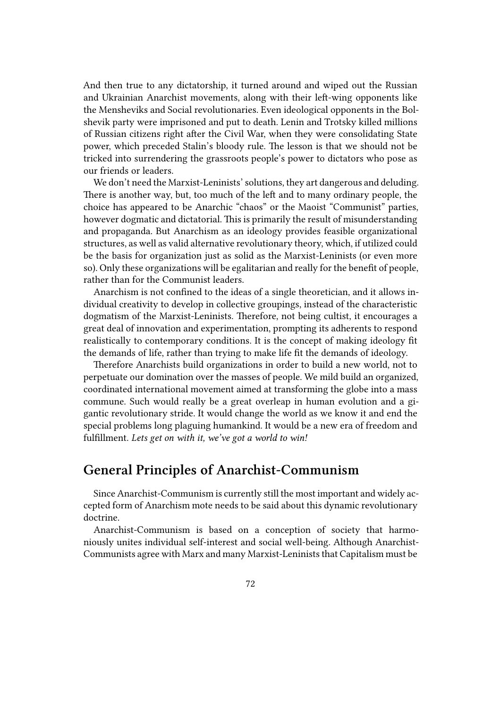And then true to any dictatorship, it turned around and wiped out the Russian and Ukrainian Anarchist movements, along with their left-wing opponents like the Mensheviks and Social revolutionaries. Even ideological opponents in the Bolshevik party were imprisoned and put to death. Lenin and Trotsky killed millions of Russian citizens right after the Civil War, when they were consolidating State power, which preceded Stalin's bloody rule. The lesson is that we should not be tricked into surrendering the grassroots people's power to dictators who pose as our friends or leaders.

We don't need the Marxist-Leninists' solutions, they art dangerous and deluding. There is another way, but, too much of the left and to many ordinary people, the choice has appeared to be Anarchic "chaos" or the Maoist "Communist" parties, however dogmatic and dictatorial. This is primarily the result of misunderstanding and propaganda. But Anarchism as an ideology provides feasible organizational structures, as well as valid alternative revolutionary theory, which, if utilized could be the basis for organization just as solid as the Marxist-Leninists (or even more so). Only these organizations will be egalitarian and really for the benefit of people, rather than for the Communist leaders.

Anarchism is not confined to the ideas of a single theoretician, and it allows individual creativity to develop in collective groupings, instead of the characteristic dogmatism of the Marxist-Leninists. Therefore, not being cultist, it encourages a great deal of innovation and experimentation, prompting its adherents to respond realistically to contemporary conditions. It is the concept of making ideology fit the demands of life, rather than trying to make life fit the demands of ideology.

Therefore Anarchists build organizations in order to build a new world, not to perpetuate our domination over the masses of people. We mild build an organized, coordinated international movement aimed at transforming the globe into a mass commune. Such would really be a great overleap in human evolution and a gigantic revolutionary stride. It would change the world as we know it and end the special problems long plaguing humankind. It would be a new era of freedom and fulfillment. *Lets get on with it, we've got a world to win!*

#### **General Principles of Anarchist-Communism**

Since Anarchist-Communism is currently still the most important and widely accepted form of Anarchism mote needs to be said about this dynamic revolutionary doctrine.

Anarchist-Communism is based on a conception of society that harmoniously unites individual self-interest and social well-being. Although Anarchist-Communists agree with Marx and many Marxist-Leninists that Capitalism must be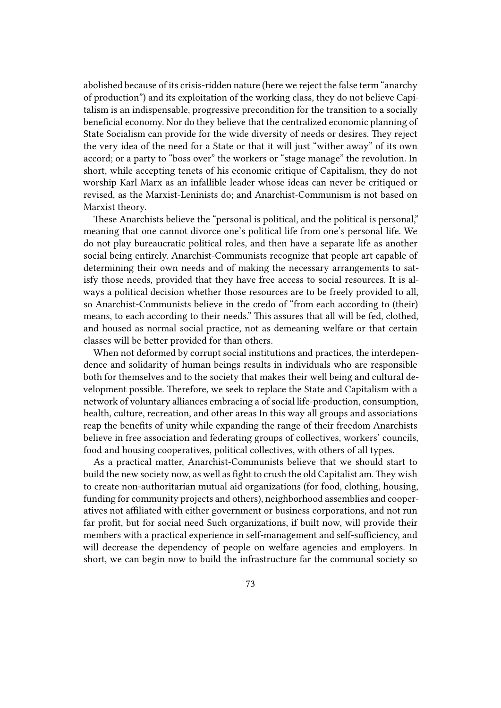abolished because of its crisis-ridden nature (here we reject the false term "anarchy of production") and its exploitation of the working class, they do not believe Capitalism is an indispensable, progressive precondition for the transition to a socially beneficial economy. Nor do they believe that the centralized economic planning of State Socialism can provide for the wide diversity of needs or desires. They reject the very idea of the need for a State or that it will just "wither away" of its own accord; or a party to "boss over" the workers or "stage manage" the revolution. In short, while accepting tenets of his economic critique of Capitalism, they do not worship Karl Marx as an infallible leader whose ideas can never be critiqued or revised, as the Marxist-Leninists do; and Anarchist-Communism is not based on Marxist theory.

These Anarchists believe the "personal is political, and the political is personal," meaning that one cannot divorce one's political life from one's personal life. We do not play bureaucratic political roles, and then have a separate life as another social being entirely. Anarchist-Communists recognize that people art capable of determining their own needs and of making the necessary arrangements to satisfy those needs, provided that they have free access to social resources. It is always a political decision whether those resources are to be freely provided to all, so Anarchist-Communists believe in the credo of "from each according to (their) means, to each according to their needs." This assures that all will be fed, clothed, and housed as normal social practice, not as demeaning welfare or that certain classes will be better provided for than others.

When not deformed by corrupt social institutions and practices, the interdependence and solidarity of human beings results in individuals who are responsible both for themselves and to the society that makes their well being and cultural development possible. Therefore, we seek to replace the State and Capitalism with a network of voluntary alliances embracing a of social life-production, consumption, health, culture, recreation, and other areas In this way all groups and associations reap the benefits of unity while expanding the range of their freedom Anarchists believe in free association and federating groups of collectives, workers' councils, food and housing cooperatives, political collectives, with others of all types.

As a practical matter, Anarchist-Communists believe that we should start to build the new society now, as well as fight to crush the old Capitalist am. They wish to create non-authoritarian mutual aid organizations (for food, clothing, housing, funding for community projects and others), neighborhood assemblies and cooperatives not affiliated with either government or business corporations, and not run far profit, but for social need Such organizations, if built now, will provide their members with a practical experience in self-management and self-sufficiency, and will decrease the dependency of people on welfare agencies and employers. In short, we can begin now to build the infrastructure far the communal society so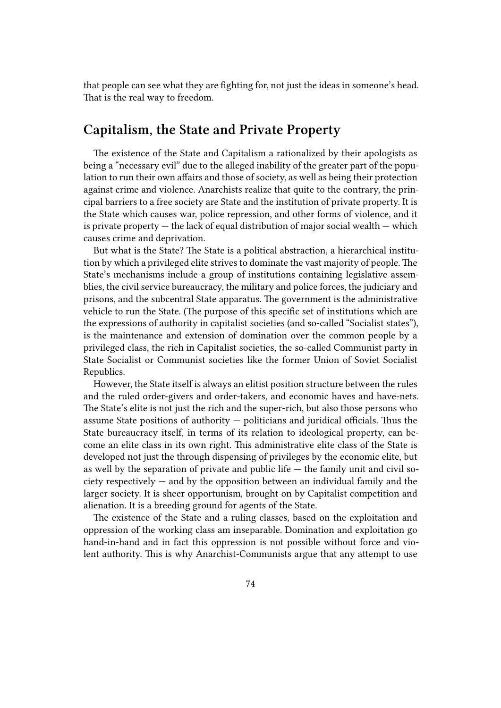that people can see what they are fighting for, not just the ideas in someone's head. That is the real way to freedom.

### **Capitalism, the State and Private Property**

The existence of the State and Capitalism a rationalized by their apologists as being a "necessary evil" due to the alleged inability of the greater part of the population to run their own affairs and those of society, as well as being their protection against crime and violence. Anarchists realize that quite to the contrary, the principal barriers to a free society are State and the institution of private property. It is the State which causes war, police repression, and other forms of violence, and it is private property  $-$  the lack of equal distribution of major social wealth  $-$  which causes crime and deprivation.

But what is the State? The State is a political abstraction, a hierarchical institution by which a privileged elite strives to dominate the vast majority of people. The State's mechanisms include a group of institutions containing legislative assemblies, the civil service bureaucracy, the military and police forces, the judiciary and prisons, and the subcentral State apparatus. The government is the administrative vehicle to run the State. (The purpose of this specific set of institutions which are the expressions of authority in capitalist societies (and so-called "Socialist states"), is the maintenance and extension of domination over the common people by a privileged class, the rich in Capitalist societies, the so-called Communist party in State Socialist or Communist societies like the former Union of Soviet Socialist Republics.

However, the State itself is always an elitist position structure between the rules and the ruled order-givers and order-takers, and economic haves and have-nets. The State's elite is not just the rich and the super-rich, but also those persons who assume State positions of authority — politicians and juridical officials. Thus the State bureaucracy itself, in terms of its relation to ideological property, can become an elite class in its own right. This administrative elite class of the State is developed not just the through dispensing of privileges by the economic elite, but as well by the separation of private and public life  $-$  the family unit and civil society respectively — and by the opposition between an individual family and the larger society. It is sheer opportunism, brought on by Capitalist competition and alienation. It is a breeding ground for agents of the State.

The existence of the State and a ruling classes, based on the exploitation and oppression of the working class am inseparable. Domination and exploitation go hand-in-hand and in fact this oppression is not possible without force and violent authority. This is why Anarchist-Communists argue that any attempt to use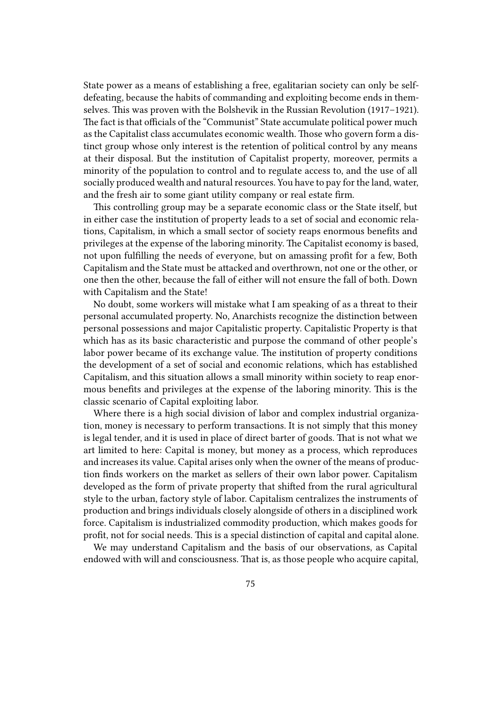State power as a means of establishing a free, egalitarian society can only be selfdefeating, because the habits of commanding and exploiting become ends in themselves. This was proven with the Bolshevik in the Russian Revolution (1917–1921). The fact is that officials of the "Communist" State accumulate political power much as the Capitalist class accumulates economic wealth. Those who govern form a distinct group whose only interest is the retention of political control by any means at their disposal. But the institution of Capitalist property, moreover, permits a minority of the population to control and to regulate access to, and the use of all socially produced wealth and natural resources. You have to pay for the land, water, and the fresh air to some giant utility company or real estate firm.

This controlling group may be a separate economic class or the State itself, but in either case the institution of property leads to a set of social and economic relations, Capitalism, in which a small sector of society reaps enormous benefits and privileges at the expense of the laboring minority. The Capitalist economy is based, not upon fulfilling the needs of everyone, but on amassing profit for a few, Both Capitalism and the State must be attacked and overthrown, not one or the other, or one then the other, because the fall of either will not ensure the fall of both. Down with Capitalism and the State!

No doubt, some workers will mistake what I am speaking of as a threat to their personal accumulated property. No, Anarchists recognize the distinction between personal possessions and major Capitalistic property. Capitalistic Property is that which has as its basic characteristic and purpose the command of other people's labor power became of its exchange value. The institution of property conditions the development of a set of social and economic relations, which has established Capitalism, and this situation allows a small minority within society to reap enormous benefits and privileges at the expense of the laboring minority. This is the classic scenario of Capital exploiting labor.

Where there is a high social division of labor and complex industrial organization, money is necessary to perform transactions. It is not simply that this money is legal tender, and it is used in place of direct barter of goods. That is not what we art limited to here: Capital is money, but money as a process, which reproduces and increases its value. Capital arises only when the owner of the means of production finds workers on the market as sellers of their own labor power. Capitalism developed as the form of private property that shifted from the rural agricultural style to the urban, factory style of labor. Capitalism centralizes the instruments of production and brings individuals closely alongside of others in a disciplined work force. Capitalism is industrialized commodity production, which makes goods for profit, not for social needs. This is a special distinction of capital and capital alone.

We may understand Capitalism and the basis of our observations, as Capital endowed with will and consciousness. That is, as those people who acquire capital,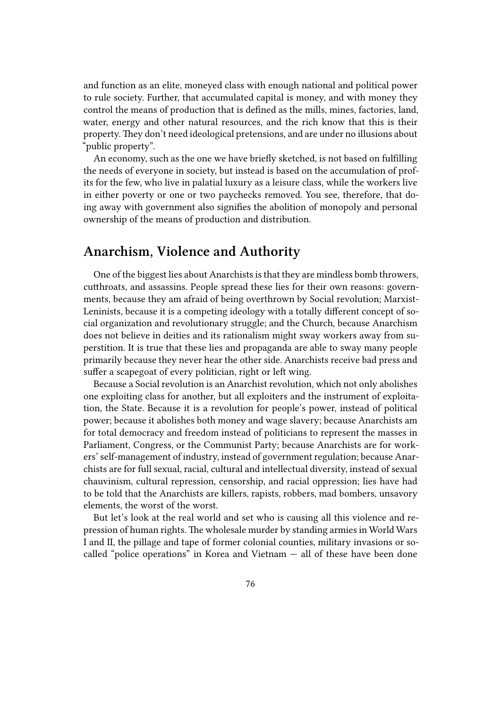and function as an elite, moneyed class with enough national and political power to rule society. Further, that accumulated capital is money, and with money they control the means of production that is defined as the mills, mines, factories, land, water, energy and other natural resources, and the rich know that this is their property. They don't need ideological pretensions, and are under no illusions about "public property".

An economy, such as the one we have briefly sketched, is not based on fulfilling the needs of everyone in society, but instead is based on the accumulation of profits for the few, who live in palatial luxury as a leisure class, while the workers live in either poverty or one or two paychecks removed. You see, therefore, that doing away with government also signifies the abolition of monopoly and personal ownership of the means of production and distribution.

#### **Anarchism, Violence and Authority**

One of the biggest lies about Anarchists is that they are mindless bomb throwers, cutthroats, and assassins. People spread these lies for their own reasons: governments, because they am afraid of being overthrown by Social revolution; Marxist-Leninists, because it is a competing ideology with a totally different concept of social organization and revolutionary struggle; and the Church, because Anarchism does not believe in deities and its rationalism might sway workers away from superstition. It is true that these lies and propaganda are able to sway many people primarily because they never hear the other side. Anarchists receive bad press and suffer a scapegoat of every politician, right or left wing.

Because a Social revolution is an Anarchist revolution, which not only abolishes one exploiting class for another, but all exploiters and the instrument of exploitation, the State. Because it is a revolution for people's power, instead of political power; because it abolishes both money and wage slavery; because Anarchists am for total democracy and freedom instead of politicians to represent the masses in Parliament, Congress, or the Communist Party; because Anarchists are for workers' self-management of industry, instead of government regulation; because Anarchists are for full sexual, racial, cultural and intellectual diversity, instead of sexual chauvinism, cultural repression, censorship, and racial oppression; lies have had to be told that the Anarchists are killers, rapists, robbers, mad bombers, unsavory elements, the worst of the worst.

But let's look at the real world and set who is causing all this violence and repression of human rights. The wholesale murder by standing armies in World Wars I and II, the pillage and tape of former colonial counties, military invasions or socalled "police operations" in Korea and Vietnam — all of these have been done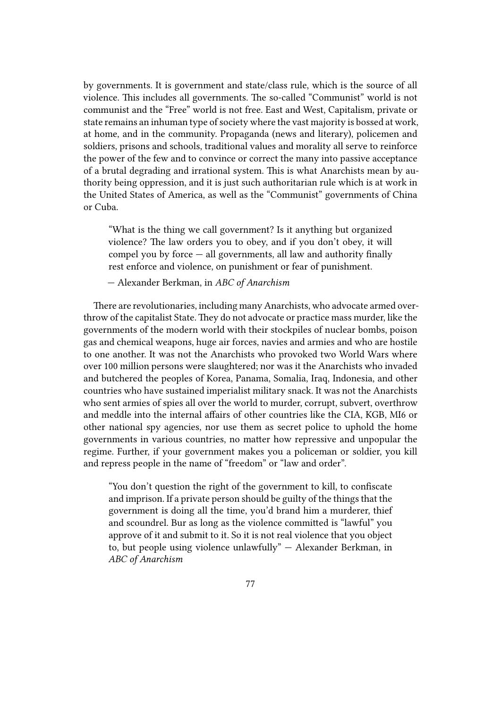by governments. It is government and state/class rule, which is the source of all violence. This includes all governments. The so-called "Communist" world is not communist and the "Free" world is not free. East and West, Capitalism, private or state remains an inhuman type of society where the vast majority is bossed at work, at home, and in the community. Propaganda (news and literary), policemen and soldiers, prisons and schools, traditional values and morality all serve to reinforce the power of the few and to convince or correct the many into passive acceptance of a brutal degrading and irrational system. This is what Anarchists mean by authority being oppression, and it is just such authoritarian rule which is at work in the United States of America, as well as the "Communist" governments of China or Cuba.

"What is the thing we call government? Is it anything but organized violence? The law orders you to obey, and if you don't obey, it will compel you by force — all governments, all law and authority finally rest enforce and violence, on punishment or fear of punishment.

— Alexander Berkman, in *ABC of Anarchism*

There are revolutionaries, including many Anarchists, who advocate armed overthrow of the capitalist State. They do not advocate or practice mass murder, like the governments of the modern world with their stockpiles of nuclear bombs, poison gas and chemical weapons, huge air forces, navies and armies and who are hostile to one another. It was not the Anarchists who provoked two World Wars where over 100 million persons were slaughtered; nor was it the Anarchists who invaded and butchered the peoples of Korea, Panama, Somalia, Iraq, Indonesia, and other countries who have sustained imperialist military snack. It was not the Anarchists who sent armies of spies all over the world to murder, corrupt, subvert, overthrow and meddle into the internal affairs of other countries like the CIA, KGB, MI6 or other national spy agencies, nor use them as secret police to uphold the home governments in various countries, no matter how repressive and unpopular the regime. Further, if your government makes you a policeman or soldier, you kill and repress people in the name of "freedom" or "law and order".

"You don't question the right of the government to kill, to confiscate and imprison. If a private person should be guilty of the things that the government is doing all the time, you'd brand him a murderer, thief and scoundrel. Bur as long as the violence committed is "lawful" you approve of it and submit to it. So it is not real violence that you object to, but people using violence unlawfully" — Alexander Berkman, in *ABC of Anarchism*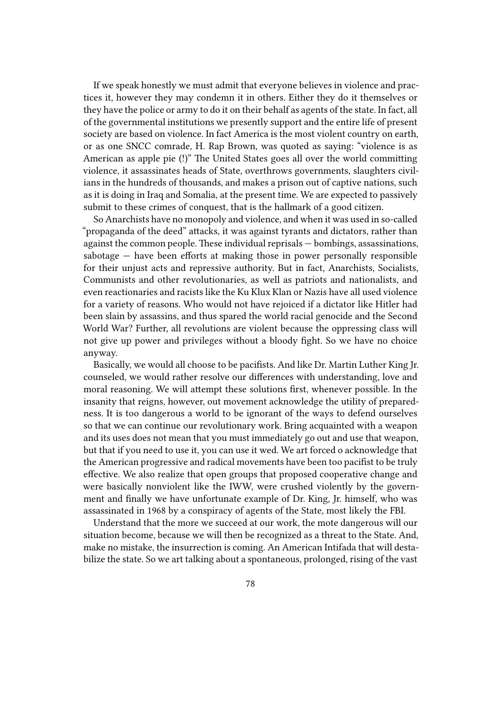If we speak honestly we must admit that everyone believes in violence and practices it, however they may condemn it in others. Either they do it themselves or they have the police or army to do it on their behalf as agents of the state. In fact, all of the governmental institutions we presently support and the entire life of present society are based on violence. In fact America is the most violent country on earth, or as one SNCC comrade, H. Rap Brown, was quoted as saying: "violence is as American as apple pie (!)" The United States goes all over the world committing violence, it assassinates heads of State, overthrows governments, slaughters civilians in the hundreds of thousands, and makes a prison out of captive nations, such as it is doing in Iraq and Somalia, at the present time. We are expected to passively submit to these crimes of conquest, that is the hallmark of a good citizen.

So Anarchists have no monopoly and violence, and when it was used in so-called "propaganda of the deed" attacks, it was against tyrants and dictators, rather than against the common people. These individual reprisals — bombings, assassinations, sabotage  $-$  have been efforts at making those in power personally responsible for their unjust acts and repressive authority. But in fact, Anarchists, Socialists, Communists and other revolutionaries, as well as patriots and nationalists, and even reactionaries and racists like the Ku Klux Klan or Nazis have all used violence for a variety of reasons. Who would not have rejoiced if a dictator like Hitler had been slain by assassins, and thus spared the world racial genocide and the Second World War? Further, all revolutions are violent because the oppressing class will not give up power and privileges without a bloody fight. So we have no choice anyway.

Basically, we would all choose to be pacifists. And like Dr. Martin Luther King Jr. counseled, we would rather resolve our differences with understanding, love and moral reasoning. We will attempt these solutions first, whenever possible. In the insanity that reigns, however, out movement acknowledge the utility of preparedness. It is too dangerous a world to be ignorant of the ways to defend ourselves so that we can continue our revolutionary work. Bring acquainted with a weapon and its uses does not mean that you must immediately go out and use that weapon, but that if you need to use it, you can use it wed. We art forced o acknowledge that the American progressive and radical movements have been too pacifist to be truly effective. We also realize that open groups that proposed cooperative change and were basically nonviolent like the IWW, were crushed violently by the government and finally we have unfortunate example of Dr. King, Jr. himself, who was assassinated in 1968 by a conspiracy of agents of the State, most likely the FBI.

Understand that the more we succeed at our work, the mote dangerous will our situation become, because we will then be recognized as a threat to the State. And, make no mistake, the insurrection is coming. An American Intifada that will destabilize the state. So we art talking about a spontaneous, prolonged, rising of the vast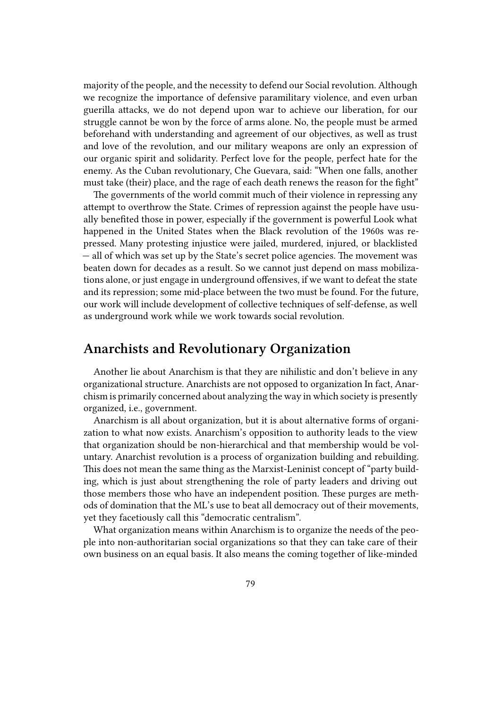majority of the people, and the necessity to defend our Social revolution. Although we recognize the importance of defensive paramilitary violence, and even urban guerilla attacks, we do not depend upon war to achieve our liberation, for our struggle cannot be won by the force of arms alone. No, the people must be armed beforehand with understanding and agreement of our objectives, as well as trust and love of the revolution, and our military weapons are only an expression of our organic spirit and solidarity. Perfect love for the people, perfect hate for the enemy. As the Cuban revolutionary, Che Guevara, said: "When one falls, another must take (their) place, and the rage of each death renews the reason for the fight"

The governments of the world commit much of their violence in repressing any attempt to overthrow the State. Crimes of repression against the people have usually benefited those in power, especially if the government is powerful Look what happened in the United States when the Black revolution of the 1960s was repressed. Many protesting injustice were jailed, murdered, injured, or blacklisted — all of which was set up by the State's secret police agencies. The movement was beaten down for decades as a result. So we cannot just depend on mass mobilizations alone, or just engage in underground offensives, if we want to defeat the state and its repression; some mid-place between the two must be found. For the future, our work will include development of collective techniques of self-defense, as well as underground work while we work towards social revolution.

#### **Anarchists and Revolutionary Organization**

Another lie about Anarchism is that they are nihilistic and don't believe in any organizational structure. Anarchists are not opposed to organization In fact, Anarchism is primarily concerned about analyzing the way in which society is presently organized, i.e., government.

Anarchism is all about organization, but it is about alternative forms of organization to what now exists. Anarchism's opposition to authority leads to the view that organization should be non-hierarchical and that membership would be voluntary. Anarchist revolution is a process of organization building and rebuilding. This does not mean the same thing as the Marxist-Leninist concept of "party building, which is just about strengthening the role of party leaders and driving out those members those who have an independent position. These purges are methods of domination that the ML's use to beat all democracy out of their movements, yet they facetiously call this "democratic centralism".

What organization means within Anarchism is to organize the needs of the people into non-authoritarian social organizations so that they can take care of their own business on an equal basis. It also means the coming together of like-minded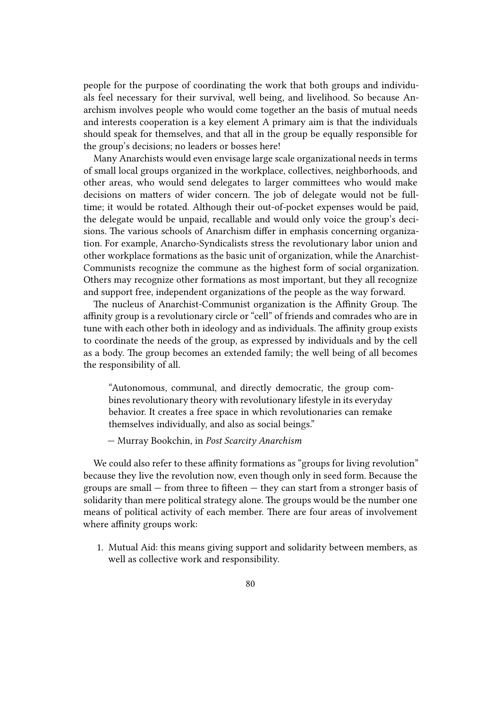people for the purpose of coordinating the work that both groups and individuals feel necessary for their survival, well being, and livelihood. So because Anarchism involves people who would come together an the basis of mutual needs and interests cooperation is a key element A primary aim is that the individuals should speak for themselves, and that all in the group be equally responsible for the group's decisions; no leaders or bosses here!

Many Anarchists would even envisage large scale organizational needs in terms of small local groups organized in the workplace, collectives, neighborhoods, and other areas, who would send delegates to larger committees who would make decisions on matters of wider concern. The job of delegate would not be fulltime; it would be rotated. Although their out-of-pocket expenses would be paid, the delegate would be unpaid, recallable and would only voice the group's decisions. The various schools of Anarchism differ in emphasis concerning organization. For example, Anarcho-Syndicalists stress the revolutionary labor union and other workplace formations as the basic unit of organization, while the Anarchist-Communists recognize the commune as the highest form of social organization. Others may recognize other formations as most important, but they all recognize and support free, independent organizations of the people as the way forward.

The nucleus of Anarchist-Communist organization is the Affinity Group. The affinity group is a revolutionary circle or "cell" of friends and comrades who are in tune with each other both in ideology and as individuals. The affinity group exists to coordinate the needs of the group, as expressed by individuals and by the cell as a body. The group becomes an extended family; the well being of all becomes the responsibility of all.

"Autonomous, communal, and directly democratic, the group combines revolutionary theory with revolutionary lifestyle in its everyday behavior. It creates a free space in which revolutionaries can remake themselves individually, and also as social beings."

— Murray Bookchin, in *Post Scarcity Anarchism*

We could also refer to these affinity formations as "groups for living revolution" because they live the revolution now, even though only in seed form. Because the groups are small  $-$  from three to fifteen  $-$  they can start from a stronger basis of solidarity than mere political strategy alone. The groups would be the number one means of political activity of each member. There are four areas of involvement where affinity groups work:

1. Mutual Aid: this means giving support and solidarity between members, as well as collective work and responsibility.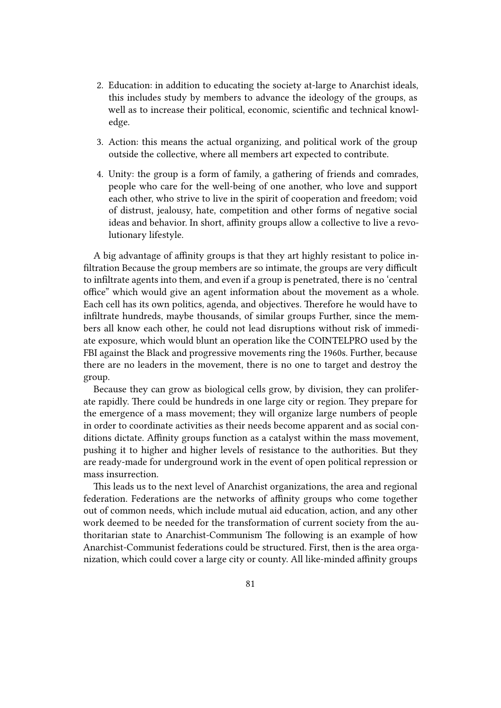- 2. Education: in addition to educating the society at-large to Anarchist ideals, this includes study by members to advance the ideology of the groups, as well as to increase their political, economic, scientific and technical knowledge.
- 3. Action: this means the actual organizing, and political work of the group outside the collective, where all members art expected to contribute.
- 4. Unity: the group is a form of family, a gathering of friends and comrades, people who care for the well-being of one another, who love and support each other, who strive to live in the spirit of cooperation and freedom; void of distrust, jealousy, hate, competition and other forms of negative social ideas and behavior. In short, affinity groups allow a collective to live a revolutionary lifestyle.

A big advantage of affinity groups is that they art highly resistant to police infiltration Because the group members are so intimate, the groups are very difficult to infiltrate agents into them, and even if a group is penetrated, there is no 'central office" which would give an agent information about the movement as a whole. Each cell has its own politics, agenda, and objectives. Therefore he would have to infiltrate hundreds, maybe thousands, of similar groups Further, since the members all know each other, he could not lead disruptions without risk of immediate exposure, which would blunt an operation like the COINTELPRO used by the FBI against the Black and progressive movements ring the 1960s. Further, because there are no leaders in the movement, there is no one to target and destroy the group.

Because they can grow as biological cells grow, by division, they can proliferate rapidly. There could be hundreds in one large city or region. They prepare for the emergence of a mass movement; they will organize large numbers of people in order to coordinate activities as their needs become apparent and as social conditions dictate. Affinity groups function as a catalyst within the mass movement, pushing it to higher and higher levels of resistance to the authorities. But they are ready-made for underground work in the event of open political repression or mass insurrection.

This leads us to the next level of Anarchist organizations, the area and regional federation. Federations are the networks of affinity groups who come together out of common needs, which include mutual aid education, action, and any other work deemed to be needed for the transformation of current society from the authoritarian state to Anarchist-Communism The following is an example of how Anarchist-Communist federations could be structured. First, then is the area organization, which could cover a large city or county. All like-minded affinity groups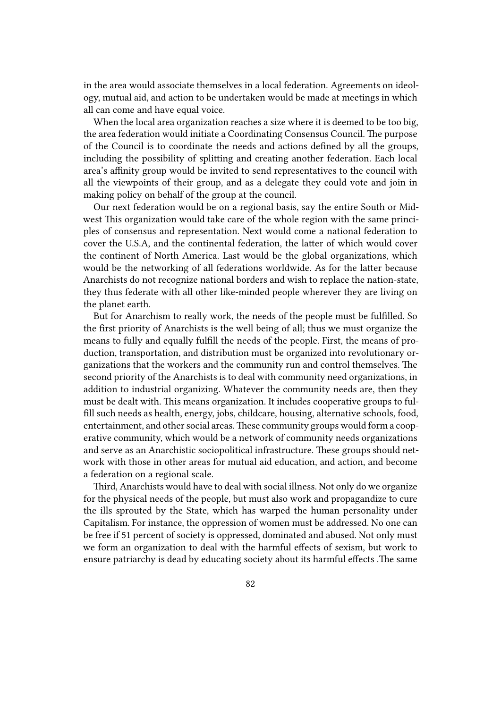in the area would associate themselves in a local federation. Agreements on ideology, mutual aid, and action to be undertaken would be made at meetings in which all can come and have equal voice.

When the local area organization reaches a size where it is deemed to be too big, the area federation would initiate a Coordinating Consensus Council. The purpose of the Council is to coordinate the needs and actions defined by all the groups, including the possibility of splitting and creating another federation. Each local area's affinity group would be invited to send representatives to the council with all the viewpoints of their group, and as a delegate they could vote and join in making policy on behalf of the group at the council.

Our next federation would be on a regional basis, say the entire South or Midwest This organization would take care of the whole region with the same principles of consensus and representation. Next would come a national federation to cover the U.S.A, and the continental federation, the latter of which would cover the continent of North America. Last would be the global organizations, which would be the networking of all federations worldwide. As for the latter because Anarchists do not recognize national borders and wish to replace the nation-state, they thus federate with all other like-minded people wherever they are living on the planet earth.

But for Anarchism to really work, the needs of the people must be fulfilled. So the first priority of Anarchists is the well being of all; thus we must organize the means to fully and equally fulfill the needs of the people. First, the means of production, transportation, and distribution must be organized into revolutionary organizations that the workers and the community run and control themselves. The second priority of the Anarchists is to deal with community need organizations, in addition to industrial organizing. Whatever the community needs are, then they must be dealt with. This means organization. It includes cooperative groups to fulfill such needs as health, energy, jobs, childcare, housing, alternative schools, food, entertainment, and other social areas.These community groups would form a cooperative community, which would be a network of community needs organizations and serve as an Anarchistic sociopolitical infrastructure. These groups should network with those in other areas for mutual aid education, and action, and become a federation on a regional scale.

Third, Anarchists would have to deal with social illness. Not only do we organize for the physical needs of the people, but must also work and propagandize to cure the ills sprouted by the State, which has warped the human personality under Capitalism. For instance, the oppression of women must be addressed. No one can be free if 51 percent of society is oppressed, dominated and abused. Not only must we form an organization to deal with the harmful effects of sexism, but work to ensure patriarchy is dead by educating society about its harmful effects .The same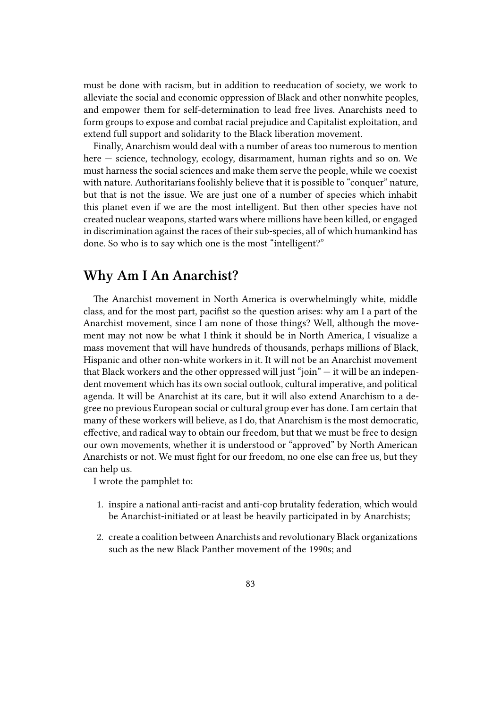must be done with racism, but in addition to reeducation of society, we work to alleviate the social and economic oppression of Black and other nonwhite peoples, and empower them for self-determination to lead free lives. Anarchists need to form groups to expose and combat racial prejudice and Capitalist exploitation, and extend full support and solidarity to the Black liberation movement.

Finally, Anarchism would deal with a number of areas too numerous to mention here — science, technology, ecology, disarmament, human rights and so on. We must harness the social sciences and make them serve the people, while we coexist with nature. Authoritarians foolishly believe that it is possible to "conquer" nature, but that is not the issue. We are just one of a number of species which inhabit this planet even if we are the most intelligent. But then other species have not created nuclear weapons, started wars where millions have been killed, or engaged in discrimination against the races of their sub-species, all of which humankind has done. So who is to say which one is the most "intelligent?"

#### **Why Am I An Anarchist?**

The Anarchist movement in North America is overwhelmingly white, middle class, and for the most part, pacifist so the question arises: why am I a part of the Anarchist movement, since I am none of those things? Well, although the movement may not now be what I think it should be in North America, I visualize a mass movement that will have hundreds of thousands, perhaps millions of Black, Hispanic and other non-white workers in it. It will not be an Anarchist movement that Black workers and the other oppressed will just "join" — it will be an independent movement which has its own social outlook, cultural imperative, and political agenda. It will be Anarchist at its care, but it will also extend Anarchism to a degree no previous European social or cultural group ever has done. I am certain that many of these workers will believe, as I do, that Anarchism is the most democratic, effective, and radical way to obtain our freedom, but that we must be free to design our own movements, whether it is understood or "approved" by North American Anarchists or not. We must fight for our freedom, no one else can free us, but they can help us.

I wrote the pamphlet to:

- 1. inspire a national anti-racist and anti-cop brutality federation, which would be Anarchist-initiated or at least be heavily participated in by Anarchists;
- 2. create a coalition between Anarchists and revolutionary Black organizations such as the new Black Panther movement of the 1990s; and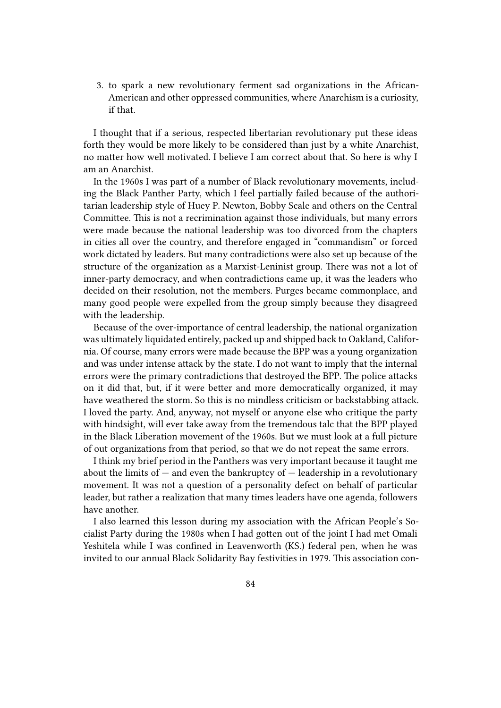3. to spark a new revolutionary ferment sad organizations in the African-American and other oppressed communities, where Anarchism is a curiosity, if that.

I thought that if a serious, respected libertarian revolutionary put these ideas forth they would be more likely to be considered than just by a white Anarchist, no matter how well motivated. I believe I am correct about that. So here is why I am an Anarchist.

In the 1960s I was part of a number of Black revolutionary movements, including the Black Panther Party, which I feel partially failed because of the authoritarian leadership style of Huey P. Newton, Bobby Scale and others on the Central Committee. This is not a recrimination against those individuals, but many errors were made because the national leadership was too divorced from the chapters in cities all over the country, and therefore engaged in "commandism" or forced work dictated by leaders. But many contradictions were also set up because of the structure of the organization as a Marxist-Leninist group. There was not a lot of inner-party democracy, and when contradictions came up, it was the leaders who decided on their resolution, not the members. Purges became commonplace, and many good people were expelled from the group simply because they disagreed with the leadership.

Because of the over-importance of central leadership, the national organization was ultimately liquidated entirely, packed up and shipped back to Oakland, California. Of course, many errors were made because the BPP was a young organization and was under intense attack by the state. I do not want to imply that the internal errors were the primary contradictions that destroyed the BPP. The police attacks on it did that, but, if it were better and more democratically organized, it may have weathered the storm. So this is no mindless criticism or backstabbing attack. I loved the party. And, anyway, not myself or anyone else who critique the party with hindsight, will ever take away from the tremendous talc that the BPP played in the Black Liberation movement of the 1960s. But we must look at a full picture of out organizations from that period, so that we do not repeat the same errors.

I think my brief period in the Panthers was very important because it taught me about the limits of  $-$  and even the bankruptcy of  $-$  leadership in a revolutionary movement. It was not a question of a personality defect on behalf of particular leader, but rather a realization that many times leaders have one agenda, followers have another.

I also learned this lesson during my association with the African People's Socialist Party during the 1980s when I had gotten out of the joint I had met Omali Yeshitela while I was confined in Leavenworth (KS.) federal pen, when he was invited to our annual Black Solidarity Bay festivities in 1979. This association con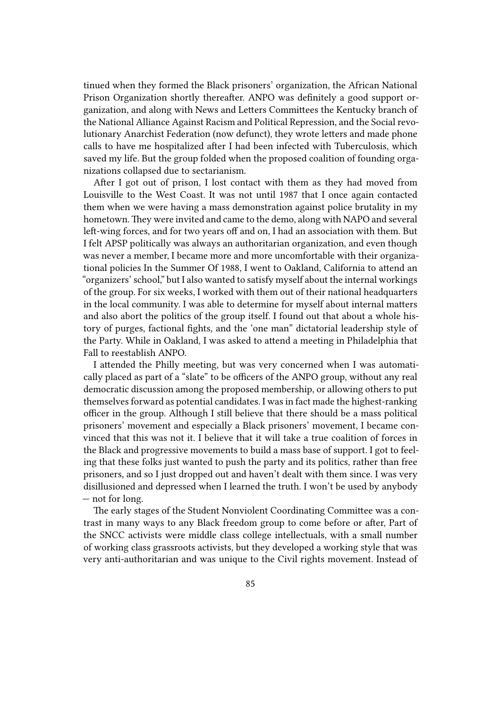tinued when they formed the Black prisoners' organization, the African National Prison Organization shortly thereafter. ANPO was definitely a good support organization, and along with News and Letters Committees the Kentucky branch of the National Alliance Against Racism and Political Repression, and the Social revolutionary Anarchist Federation (now defunct), they wrote letters and made phone calls to have me hospitalized after I had been infected with Tuberculosis, which saved my life. But the group folded when the proposed coalition of founding organizations collapsed due to sectarianism.

After I got out of prison, I lost contact with them as they had moved from Louisville to the West Coast. It was not until 1987 that I once again contacted them when we were having a mass demonstration against police brutality in my hometown. They were invited and came to the demo, along with NAPO and several left-wing forces, and for two years off and on, I had an association with them. But I felt APSP politically was always an authoritarian organization, and even though was never a member, I became more and more uncomfortable with their organizational policies In the Summer Of 1988, I went to Oakland, California to attend an "organizers' school," but I also wanted to satisfy myself about the internal workings of the group. For six weeks, I worked with them out of their national headquarters in the local community. I was able to determine for myself about internal matters and also abort the politics of the group itself. I found out that about a whole history of purges, factional fights, and the 'one man" dictatorial leadership style of the Party. While in Oakland, I was asked to attend a meeting in Philadelphia that Fall to reestablish ANPO.

I attended the Philly meeting, but was very concerned when I was automatically placed as part of a "slate" to be officers of the ANPO group, without any real democratic discussion among the proposed membership, or allowing others to put themselves forward as potential candidates. I was in fact made the highest-ranking officer in the group. Although I still believe that there should be a mass political prisoners' movement and especially a Black prisoners' movement, I became convinced that this was not it. I believe that it will take a true coalition of forces in the Black and progressive movements to build a mass base of support. I got to feeling that these folks just wanted to push the party and its politics, rather than free prisoners, and so I just dropped out and haven't dealt with them since. I was very disillusioned and depressed when I learned the truth. I won't be used by anybody — not for long.

The early stages of the Student Nonviolent Coordinating Committee was a contrast in many ways to any Black freedom group to come before or after, Part of the SNCC activists were middle class college intellectuals, with a small number of working class grassroots activists, but they developed a working style that was very anti-authoritarian and was unique to the Civil rights movement. Instead of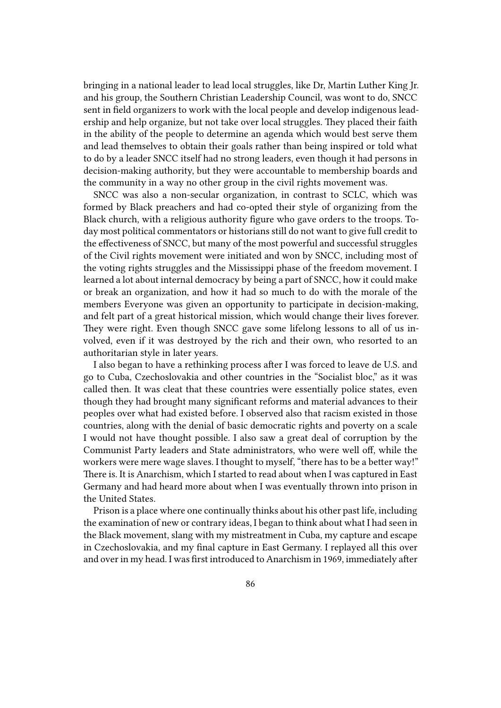bringing in a national leader to lead local struggles, like Dr, Martin Luther King Jr. and his group, the Southern Christian Leadership Council, was wont to do, SNCC sent in field organizers to work with the local people and develop indigenous leadership and help organize, but not take over local struggles. They placed their faith in the ability of the people to determine an agenda which would best serve them and lead themselves to obtain their goals rather than being inspired or told what to do by a leader SNCC itself had no strong leaders, even though it had persons in decision-making authority, but they were accountable to membership boards and the community in a way no other group in the civil rights movement was.

SNCC was also a non-secular organization, in contrast to SCLC, which was formed by Black preachers and had co-opted their style of organizing from the Black church, with a religious authority figure who gave orders to the troops. Today most political commentators or historians still do not want to give full credit to the effectiveness of SNCC, but many of the most powerful and successful struggles of the Civil rights movement were initiated and won by SNCC, including most of the voting rights struggles and the Mississippi phase of the freedom movement. I learned a lot about internal democracy by being a part of SNCC, how it could make or break an organization, and how it had so much to do with the morale of the members Everyone was given an opportunity to participate in decision-making, and felt part of a great historical mission, which would change their lives forever. They were right. Even though SNCC gave some lifelong lessons to all of us involved, even if it was destroyed by the rich and their own, who resorted to an authoritarian style in later years.

I also began to have a rethinking process after I was forced to leave de U.S. and go to Cuba, Czechoslovakia and other countries in the "Socialist bloc," as it was called then. It was cleat that these countries were essentially police states, even though they had brought many significant reforms and material advances to their peoples over what had existed before. I observed also that racism existed in those countries, along with the denial of basic democratic rights and poverty on a scale I would not have thought possible. I also saw a great deal of corruption by the Communist Party leaders and State administrators, who were well off, while the workers were mere wage slaves. I thought to myself, "there has to be a better way!" There is. It is Anarchism, which I started to read about when I was captured in East Germany and had heard more about when I was eventually thrown into prison in the United States.

Prison is a place where one continually thinks about his other past life, including the examination of new or contrary ideas, I began to think about what I had seen in the Black movement, slang with my mistreatment in Cuba, my capture and escape in Czechoslovakia, and my final capture in East Germany. I replayed all this over and over in my head. I was first introduced to Anarchism in 1969, immediately after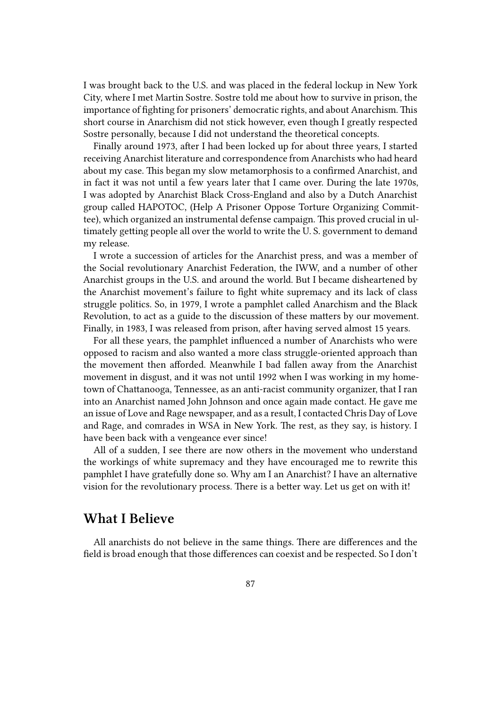I was brought back to the U.S. and was placed in the federal lockup in New York City, where I met Martin Sostre. Sostre told me about how to survive in prison, the importance of fighting for prisoners' democratic rights, and about Anarchism. This short course in Anarchism did not stick however, even though I greatly respected Sostre personally, because I did not understand the theoretical concepts.

Finally around 1973, after I had been locked up for about three years, I started receiving Anarchist literature and correspondence from Anarchists who had heard about my case. This began my slow metamorphosis to a confirmed Anarchist, and in fact it was not until a few years later that I came over. During the late 1970s, I was adopted by Anarchist Black Cross-England and also by a Dutch Anarchist group called HAPOTOC, (Help A Prisoner Oppose Torture Organizing Committee), which organized an instrumental defense campaign. This proved crucial in ultimately getting people all over the world to write the U. S. government to demand my release.

I wrote a succession of articles for the Anarchist press, and was a member of the Social revolutionary Anarchist Federation, the IWW, and a number of other Anarchist groups in the U.S. and around the world. But I became disheartened by the Anarchist movement's failure to fight white supremacy and its lack of class struggle politics. So, in 1979, I wrote a pamphlet called Anarchism and the Black Revolution, to act as a guide to the discussion of these matters by our movement. Finally, in 1983, I was released from prison, after having served almost 15 years.

For all these years, the pamphlet influenced a number of Anarchists who were opposed to racism and also wanted a more class struggle-oriented approach than the movement then afforded. Meanwhile I bad fallen away from the Anarchist movement in disgust, and it was not until 1992 when I was working in my hometown of Chattanooga, Tennessee, as an anti-racist community organizer, that I ran into an Anarchist named John Johnson and once again made contact. He gave me an issue of Love and Rage newspaper, and as a result, I contacted Chris Day of Love and Rage, and comrades in WSA in New York. The rest, as they say, is history. I have been back with a vengeance ever since!

All of a sudden, I see there are now others in the movement who understand the workings of white supremacy and they have encouraged me to rewrite this pamphlet I have gratefully done so. Why am I an Anarchist? I have an alternative vision for the revolutionary process. There is a better way. Let us get on with it!

#### **What I Believe**

All anarchists do not believe in the same things. There are differences and the field is broad enough that those differences can coexist and be respected. So I don't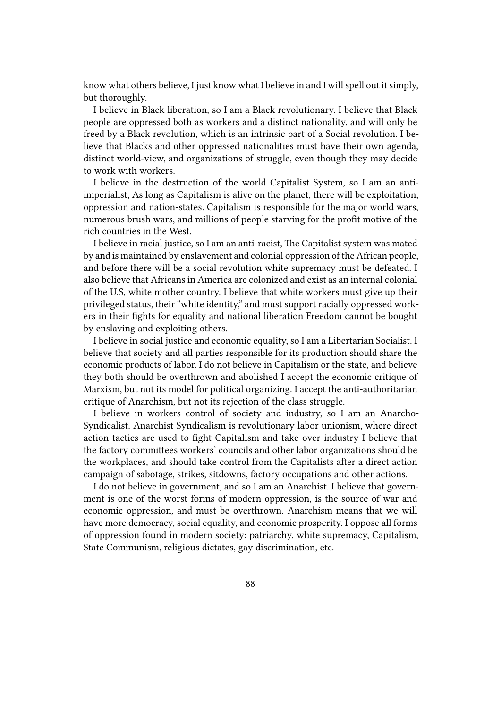know what others believe, I just know what I believe in and I will spell out it simply, but thoroughly.

I believe in Black liberation, so I am a Black revolutionary. I believe that Black people are oppressed both as workers and a distinct nationality, and will only be freed by a Black revolution, which is an intrinsic part of a Social revolution. I believe that Blacks and other oppressed nationalities must have their own agenda, distinct world-view, and organizations of struggle, even though they may decide to work with workers.

I believe in the destruction of the world Capitalist System, so I am an antiimperialist, As long as Capitalism is alive on the planet, there will be exploitation, oppression and nation-states. Capitalism is responsible for the major world wars, numerous brush wars, and millions of people starving for the profit motive of the rich countries in the West.

I believe in racial justice, so I am an anti-racist, The Capitalist system was mated by and is maintained by enslavement and colonial oppression of the African people, and before there will be a social revolution white supremacy must be defeated. I also believe that Africans in America are colonized and exist as an internal colonial of the U.S, white mother country. I believe that white workers must give up their privileged status, their "white identity," and must support racially oppressed workers in their fights for equality and national liberation Freedom cannot be bought by enslaving and exploiting others.

I believe in social justice and economic equality, so I am a Libertarian Socialist. I believe that society and all parties responsible for its production should share the economic products of labor. I do not believe in Capitalism or the state, and believe they both should be overthrown and abolished I accept the economic critique of Marxism, but not its model for political organizing. I accept the anti-authoritarian critique of Anarchism, but not its rejection of the class struggle.

I believe in workers control of society and industry, so I am an Anarcho-Syndicalist. Anarchist Syndicalism is revolutionary labor unionism, where direct action tactics are used to fight Capitalism and take over industry I believe that the factory committees workers' councils and other labor organizations should be the workplaces, and should take control from the Capitalists after a direct action campaign of sabotage, strikes, sitdowns, factory occupations and other actions.

I do not believe in government, and so I am an Anarchist. I believe that government is one of the worst forms of modern oppression, is the source of war and economic oppression, and must be overthrown. Anarchism means that we will have more democracy, social equality, and economic prosperity. I oppose all forms of oppression found in modern society: patriarchy, white supremacy, Capitalism, State Communism, religious dictates, gay discrimination, etc.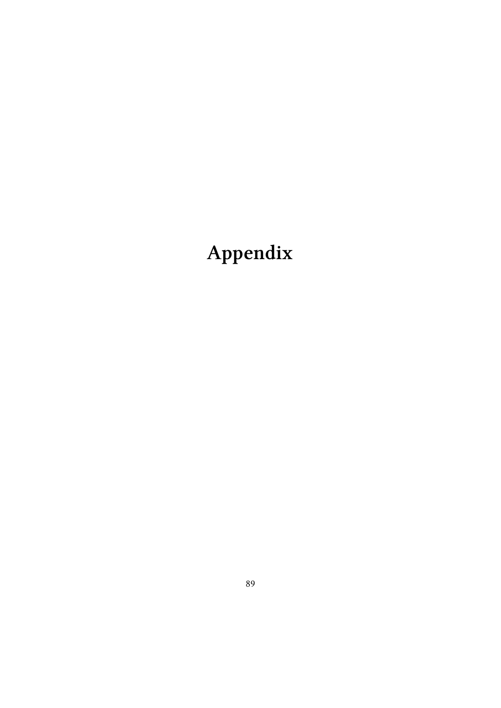# **Appendix**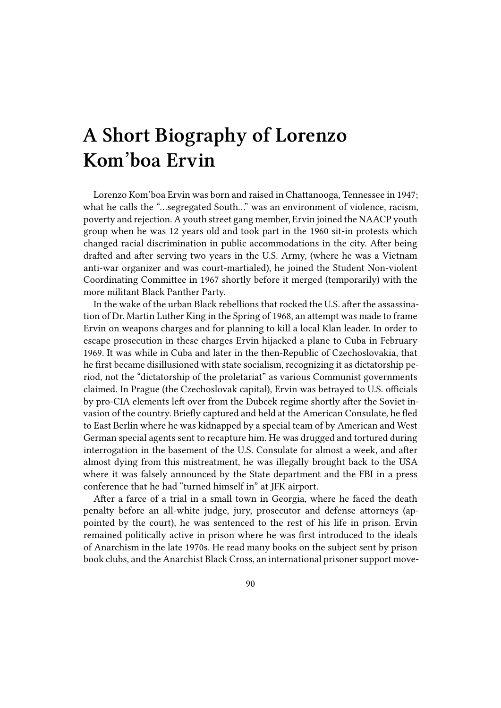## **A Short Biography of Lorenzo Kom'boa Ervin**

Lorenzo Kom'boa Ervin was born and raised in Chattanooga, Tennessee in 1947; what he calls the "…segregated South…" was an environment of violence, racism, poverty and rejection. A youth street gang member, Ervin joined the NAACP youth group when he was 12 years old and took part in the 1960 sit-in protests which changed racial discrimination in public accommodations in the city. After being drafted and after serving two years in the U.S. Army, (where he was a Vietnam anti-war organizer and was court-martialed), he joined the Student Non-violent Coordinating Committee in 1967 shortly before it merged (temporarily) with the more militant Black Panther Party.

In the wake of the urban Black rebellions that rocked the U.S. after the assassination of Dr. Martin Luther King in the Spring of 1968, an attempt was made to frame Ervin on weapons charges and for planning to kill a local Klan leader. In order to escape prosecution in these charges Ervin hijacked a plane to Cuba in February 1969. It was while in Cuba and later in the then-Republic of Czechoslovakia, that he first became disillusioned with state socialism, recognizing it as dictatorship period, not the "dictatorship of the proletariat" as various Communist governments claimed. In Prague (the Czechoslovak capital), Ervin was betrayed to U.S. officials by pro-CIA elements left over from the Dubcek regime shortly after the Soviet invasion of the country. Briefly captured and held at the American Consulate, he fled to East Berlin where he was kidnapped by a special team of by American and West German special agents sent to recapture him. He was drugged and tortured during interrogation in the basement of the U.S. Consulate for almost a week, and after almost dying from this mistreatment, he was illegally brought back to the USA where it was falsely announced by the State department and the FBI in a press conference that he had "turned himself in" at JFK airport.

After a farce of a trial in a small town in Georgia, where he faced the death penalty before an all-white judge, jury, prosecutor and defense attorneys (appointed by the court), he was sentenced to the rest of his life in prison. Ervin remained politically active in prison where he was first introduced to the ideals of Anarchism in the late 1970s. He read many books on the subject sent by prison book clubs, and the Anarchist Black Cross, an international prisoner support move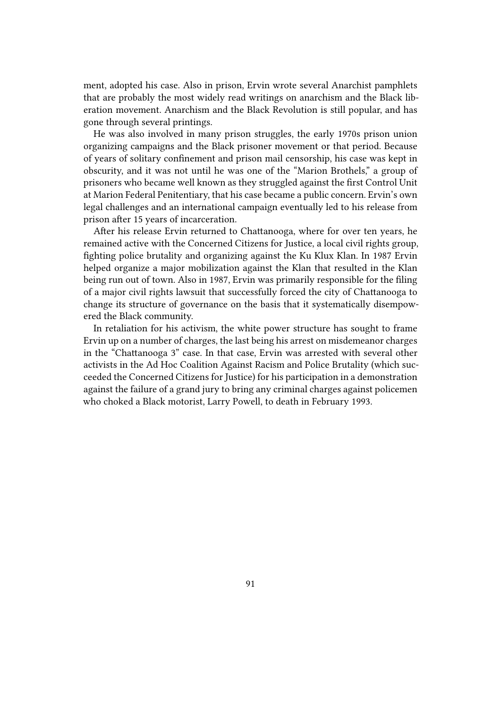ment, adopted his case. Also in prison, Ervin wrote several Anarchist pamphlets that are probably the most widely read writings on anarchism and the Black liberation movement. Anarchism and the Black Revolution is still popular, and has gone through several printings.

He was also involved in many prison struggles, the early 1970s prison union organizing campaigns and the Black prisoner movement or that period. Because of years of solitary confinement and prison mail censorship, his case was kept in obscurity, and it was not until he was one of the "Marion Brothels," a group of prisoners who became well known as they struggled against the first Control Unit at Marion Federal Penitentiary, that his case became a public concern. Ervin's own legal challenges and an international campaign eventually led to his release from prison after 15 years of incarceration.

After his release Ervin returned to Chattanooga, where for over ten years, he remained active with the Concerned Citizens for Justice, a local civil rights group, fighting police brutality and organizing against the Ku Klux Klan. In 1987 Ervin helped organize a major mobilization against the Klan that resulted in the Klan being run out of town. Also in 1987, Ervin was primarily responsible for the filing of a major civil rights lawsuit that successfully forced the city of Chattanooga to change its structure of governance on the basis that it systematically disempowered the Black community.

In retaliation for his activism, the white power structure has sought to frame Ervin up on a number of charges, the last being his arrest on misdemeanor charges in the "Chattanooga 3" case. In that case, Ervin was arrested with several other activists in the Ad Hoc Coalition Against Racism and Police Brutality (which succeeded the Concerned Citizens for Justice) for his participation in a demonstration against the failure of a grand jury to bring any criminal charges against policemen who choked a Black motorist, Larry Powell, to death in February 1993.